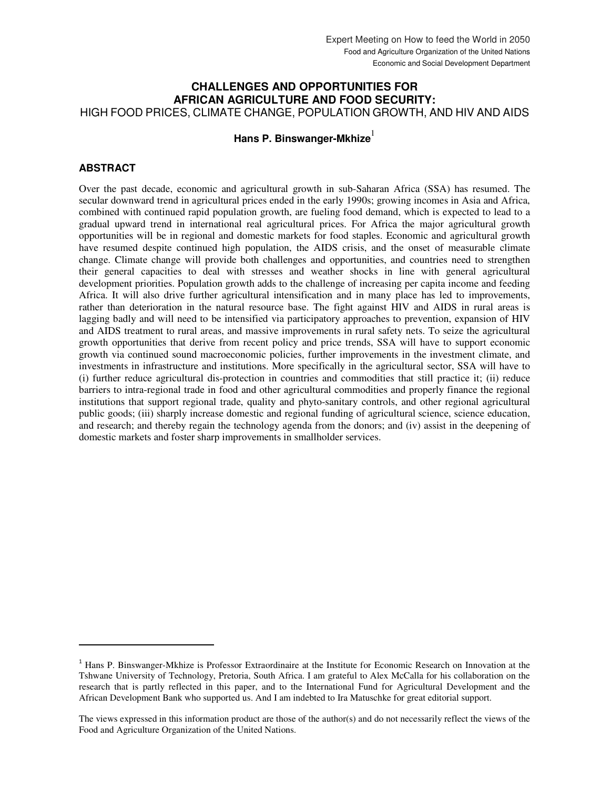# **CHALLENGES AND OPPORTUNITIES FOR AFRICAN AGRICULTURE AND FOOD SECURITY:**

HIGH FOOD PRICES, CLIMATE CHANGE, POPULATION GROWTH, AND HIV AND AIDS

# **Hans P. Binswanger-Mkhize**

# **ABSTRACT**

1

Over the past decade, economic and agricultural growth in sub-Saharan Africa (SSA) has resumed. The secular downward trend in agricultural prices ended in the early 1990s; growing incomes in Asia and Africa, combined with continued rapid population growth, are fueling food demand, which is expected to lead to a gradual upward trend in international real agricultural prices. For Africa the major agricultural growth opportunities will be in regional and domestic markets for food staples. Economic and agricultural growth have resumed despite continued high population, the AIDS crisis, and the onset of measurable climate change. Climate change will provide both challenges and opportunities, and countries need to strengthen their general capacities to deal with stresses and weather shocks in line with general agricultural development priorities. Population growth adds to the challenge of increasing per capita income and feeding Africa. It will also drive further agricultural intensification and in many place has led to improvements, rather than deterioration in the natural resource base. The fight against HIV and AIDS in rural areas is lagging badly and will need to be intensified via participatory approaches to prevention, expansion of HIV and AIDS treatment to rural areas, and massive improvements in rural safety nets. To seize the agricultural growth opportunities that derive from recent policy and price trends, SSA will have to support economic growth via continued sound macroeconomic policies, further improvements in the investment climate, and investments in infrastructure and institutions. More specifically in the agricultural sector, SSA will have to (i) further reduce agricultural dis-protection in countries and commodities that still practice it; (ii) reduce barriers to intra-regional trade in food and other agricultural commodities and properly finance the regional institutions that support regional trade, quality and phyto-sanitary controls, and other regional agricultural public goods; (iii) sharply increase domestic and regional funding of agricultural science, science education, and research; and thereby regain the technology agenda from the donors; and (iv) assist in the deepening of domestic markets and foster sharp improvements in smallholder services.

<sup>&</sup>lt;sup>1</sup> Hans P. Binswanger-Mkhize is Professor Extraordinaire at the Institute for Economic Research on Innovation at the Tshwane University of Technology, Pretoria, South Africa. I am grateful to Alex McCalla for his collaboration on the research that is partly reflected in this paper, and to the International Fund for Agricultural Development and the African Development Bank who supported us. And I am indebted to Ira Matuschke for great editorial support.

The views expressed in this information product are those of the author(s) and do not necessarily reflect the views of the Food and Agriculture Organization of the United Nations.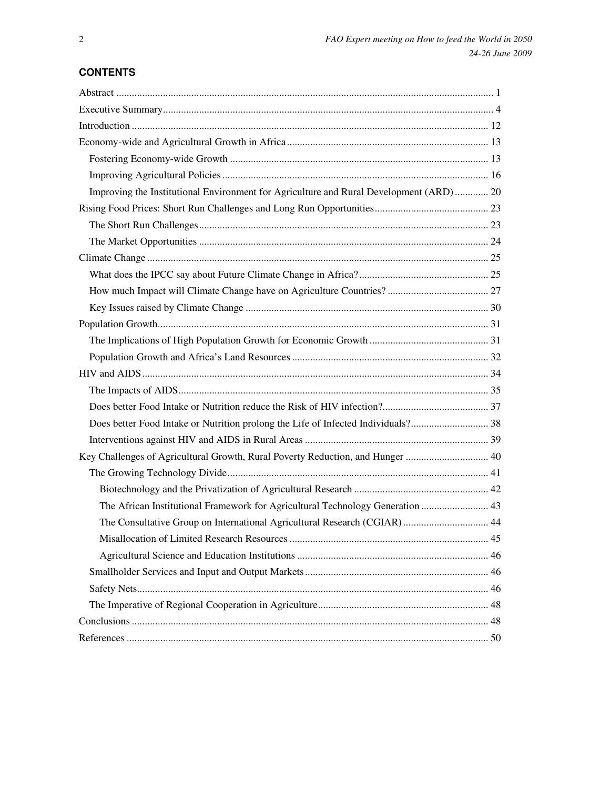# **CONTENTS**

| Improving the Institutional Environment for Agriculture and Rural Development (ARD) 20 |  |
|----------------------------------------------------------------------------------------|--|
|                                                                                        |  |
|                                                                                        |  |
|                                                                                        |  |
|                                                                                        |  |
|                                                                                        |  |
|                                                                                        |  |
|                                                                                        |  |
|                                                                                        |  |
|                                                                                        |  |
|                                                                                        |  |
|                                                                                        |  |
|                                                                                        |  |
|                                                                                        |  |
|                                                                                        |  |
|                                                                                        |  |
| Key Challenges of Agricultural Growth, Rural Poverty Reduction, and Hunger  40         |  |
|                                                                                        |  |
|                                                                                        |  |
| The African Institutional Framework for Agricultural Technology Generation  43         |  |
| The Consultative Group on International Agricultural Research (CGIAR) 44               |  |
|                                                                                        |  |
|                                                                                        |  |
|                                                                                        |  |
|                                                                                        |  |
|                                                                                        |  |
|                                                                                        |  |
|                                                                                        |  |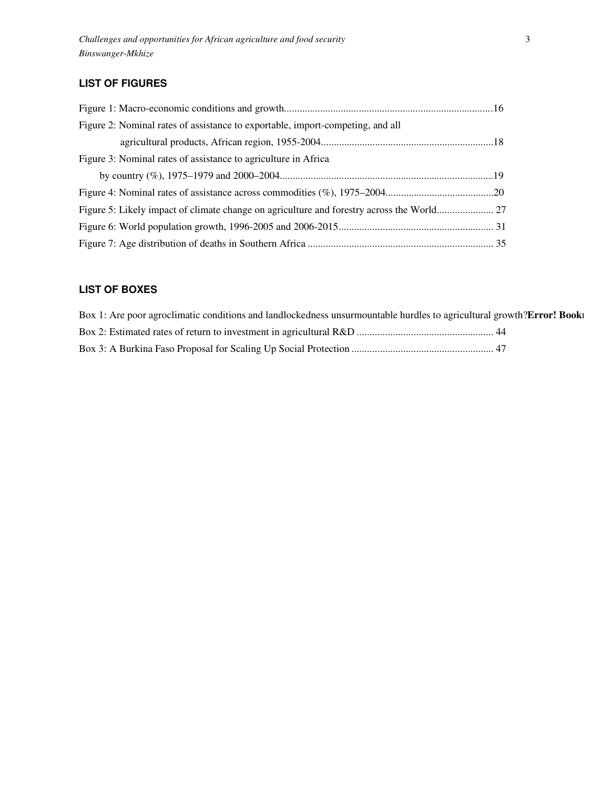# **LIST OF FIGURES**

| Figure 2: Nominal rates of assistance to exportable, import-competing, and all |  |
|--------------------------------------------------------------------------------|--|
|                                                                                |  |
| Figure 3: Nominal rates of assistance to agriculture in Africa                 |  |
|                                                                                |  |
|                                                                                |  |
|                                                                                |  |
|                                                                                |  |
|                                                                                |  |

# **LIST OF BOXES**

| Box 1: Are poor agroclimatic conditions and landlockedness unsurmountable hurdles to agricultural growth?Error! Book |
|----------------------------------------------------------------------------------------------------------------------|
|                                                                                                                      |
|                                                                                                                      |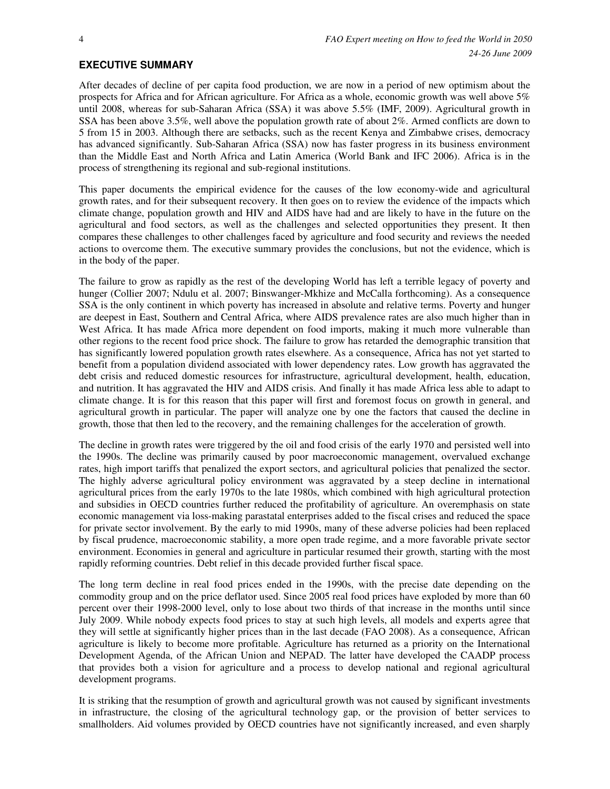# **EXECUTIVE SUMMARY**

After decades of decline of per capita food production, we are now in a period of new optimism about the prospects for Africa and for African agriculture. For Africa as a whole, economic growth was well above 5% until 2008, whereas for sub-Saharan Africa (SSA) it was above 5.5% (IMF, 2009). Agricultural growth in SSA has been above 3.5%, well above the population growth rate of about 2%. Armed conflicts are down to 5 from 15 in 2003. Although there are setbacks, such as the recent Kenya and Zimbabwe crises, democracy has advanced significantly. Sub-Saharan Africa (SSA) now has faster progress in its business environment than the Middle East and North Africa and Latin America (World Bank and IFC 2006). Africa is in the process of strengthening its regional and sub-regional institutions.

This paper documents the empirical evidence for the causes of the low economy-wide and agricultural growth rates, and for their subsequent recovery. It then goes on to review the evidence of the impacts which climate change, population growth and HIV and AIDS have had and are likely to have in the future on the agricultural and food sectors, as well as the challenges and selected opportunities they present. It then compares these challenges to other challenges faced by agriculture and food security and reviews the needed actions to overcome them. The executive summary provides the conclusions, but not the evidence, which is in the body of the paper.

The failure to grow as rapidly as the rest of the developing World has left a terrible legacy of poverty and hunger (Collier 2007; Ndulu et al. 2007; Binswanger-Mkhize and McCalla forthcoming). As a consequence SSA is the only continent in which poverty has increased in absolute and relative terms. Poverty and hunger are deepest in East, Southern and Central Africa, where AIDS prevalence rates are also much higher than in West Africa. It has made Africa more dependent on food imports, making it much more vulnerable than other regions to the recent food price shock. The failure to grow has retarded the demographic transition that has significantly lowered population growth rates elsewhere. As a consequence, Africa has not yet started to benefit from a population dividend associated with lower dependency rates. Low growth has aggravated the debt crisis and reduced domestic resources for infrastructure, agricultural development, health, education, and nutrition. It has aggravated the HIV and AIDS crisis. And finally it has made Africa less able to adapt to climate change. It is for this reason that this paper will first and foremost focus on growth in general, and agricultural growth in particular. The paper will analyze one by one the factors that caused the decline in growth, those that then led to the recovery, and the remaining challenges for the acceleration of growth.

The decline in growth rates were triggered by the oil and food crisis of the early 1970 and persisted well into the 1990s. The decline was primarily caused by poor macroeconomic management, overvalued exchange rates, high import tariffs that penalized the export sectors, and agricultural policies that penalized the sector. The highly adverse agricultural policy environment was aggravated by a steep decline in international agricultural prices from the early 1970s to the late 1980s, which combined with high agricultural protection and subsidies in OECD countries further reduced the profitability of agriculture. An overemphasis on state economic management via loss-making parastatal enterprises added to the fiscal crises and reduced the space for private sector involvement. By the early to mid 1990s, many of these adverse policies had been replaced by fiscal prudence, macroeconomic stability, a more open trade regime, and a more favorable private sector environment. Economies in general and agriculture in particular resumed their growth, starting with the most rapidly reforming countries. Debt relief in this decade provided further fiscal space.

The long term decline in real food prices ended in the 1990s, with the precise date depending on the commodity group and on the price deflator used. Since 2005 real food prices have exploded by more than 60 percent over their 1998-2000 level, only to lose about two thirds of that increase in the months until since July 2009. While nobody expects food prices to stay at such high levels, all models and experts agree that they will settle at significantly higher prices than in the last decade (FAO 2008). As a consequence, African agriculture is likely to become more profitable. Agriculture has returned as a priority on the International Development Agenda, of the African Union and NEPAD. The latter have developed the CAADP process that provides both a vision for agriculture and a process to develop national and regional agricultural development programs.

It is striking that the resumption of growth and agricultural growth was not caused by significant investments in infrastructure, the closing of the agricultural technology gap, or the provision of better services to smallholders. Aid volumes provided by OECD countries have not significantly increased, and even sharply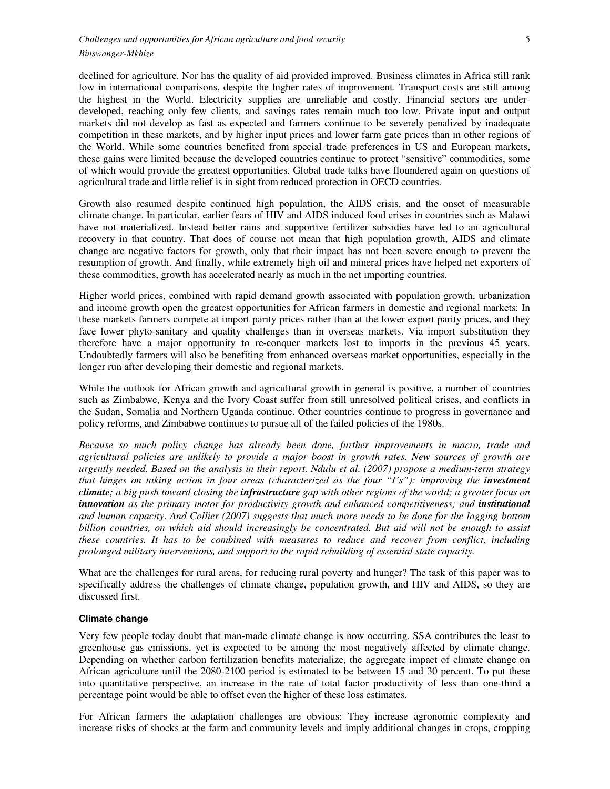declined for agriculture. Nor has the quality of aid provided improved. Business climates in Africa still rank low in international comparisons, despite the higher rates of improvement. Transport costs are still among the highest in the World. Electricity supplies are unreliable and costly. Financial sectors are underdeveloped, reaching only few clients, and savings rates remain much too low. Private input and output markets did not develop as fast as expected and farmers continue to be severely penalized by inadequate competition in these markets, and by higher input prices and lower farm gate prices than in other regions of the World. While some countries benefited from special trade preferences in US and European markets, these gains were limited because the developed countries continue to protect "sensitive" commodities, some of which would provide the greatest opportunities. Global trade talks have floundered again on questions of agricultural trade and little relief is in sight from reduced protection in OECD countries.

Growth also resumed despite continued high population, the AIDS crisis, and the onset of measurable climate change. In particular, earlier fears of HIV and AIDS induced food crises in countries such as Malawi have not materialized. Instead better rains and supportive fertilizer subsidies have led to an agricultural recovery in that country. That does of course not mean that high population growth, AIDS and climate change are negative factors for growth, only that their impact has not been severe enough to prevent the resumption of growth. And finally, while extremely high oil and mineral prices have helped net exporters of these commodities, growth has accelerated nearly as much in the net importing countries.

Higher world prices, combined with rapid demand growth associated with population growth, urbanization and income growth open the greatest opportunities for African farmers in domestic and regional markets: In these markets farmers compete at import parity prices rather than at the lower export parity prices, and they face lower phyto-sanitary and quality challenges than in overseas markets. Via import substitution they therefore have a major opportunity to re-conquer markets lost to imports in the previous 45 years. Undoubtedly farmers will also be benefiting from enhanced overseas market opportunities, especially in the longer run after developing their domestic and regional markets.

While the outlook for African growth and agricultural growth in general is positive, a number of countries such as Zimbabwe, Kenya and the Ivory Coast suffer from still unresolved political crises, and conflicts in the Sudan, Somalia and Northern Uganda continue. Other countries continue to progress in governance and policy reforms, and Zimbabwe continues to pursue all of the failed policies of the 1980s.

*Because so much policy change has already been done, further improvements in macro, trade and agricultural policies are unlikely to provide a major boost in growth rates. New sources of growth are urgently needed. Based on the analysis in their report, Ndulu et al. (2007) propose a medium-term strategy that hinges on taking action in four areas (characterized as the four "I's"): improving the <i>investment climate; a big push toward closing the infrastructure gap with other regions of the world; a greater focus on innovation* as the primary motor for productivity growth and enhanced competitiveness; and *institutional and human capacity*. *And Collier (2007) suggests that much more needs to be done for the lagging bottom billion countries, on which aid should increasingly be concentrated. But aid will not be enough to assist these countries. It has to be combined with measures to reduce and recover from conflict, including prolonged military interventions, and support to the rapid rebuilding of essential state capacity.* 

What are the challenges for rural areas, for reducing rural poverty and hunger? The task of this paper was to specifically address the challenges of climate change, population growth, and HIV and AIDS, so they are discussed first.

#### **Climate change**

Very few people today doubt that man-made climate change is now occurring. SSA contributes the least to greenhouse gas emissions, yet is expected to be among the most negatively affected by climate change. Depending on whether carbon fertilization benefits materialize, the aggregate impact of climate change on African agriculture until the 2080-2100 period is estimated to be between 15 and 30 percent. To put these into quantitative perspective, an increase in the rate of total factor productivity of less than one-third a percentage point would be able to offset even the higher of these loss estimates.

For African farmers the adaptation challenges are obvious: They increase agronomic complexity and increase risks of shocks at the farm and community levels and imply additional changes in crops, cropping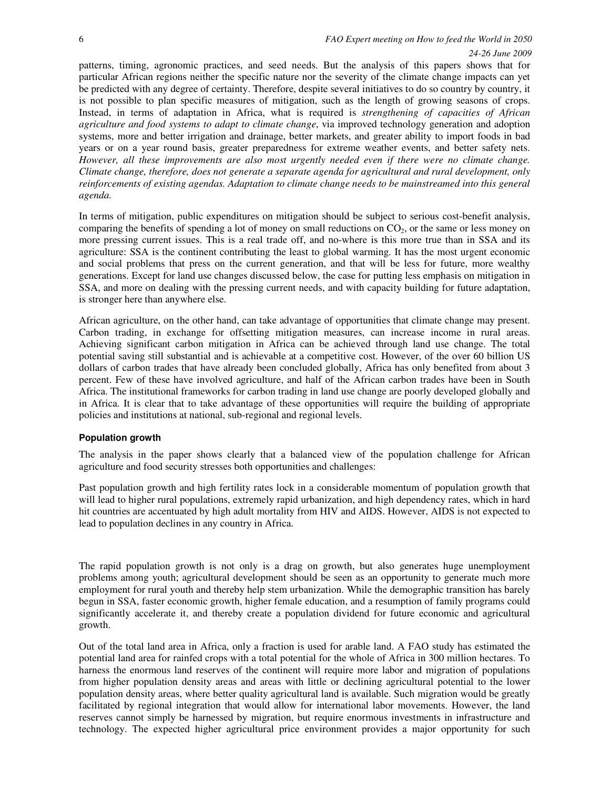patterns, timing, agronomic practices, and seed needs. But the analysis of this papers shows that for particular African regions neither the specific nature nor the severity of the climate change impacts can yet be predicted with any degree of certainty. Therefore, despite several initiatives to do so country by country, it is not possible to plan specific measures of mitigation, such as the length of growing seasons of crops. Instead, in terms of adaptation in Africa, what is required is *strengthening of capacities of African agriculture and food systems to adapt to climate change*, via improved technology generation and adoption systems, more and better irrigation and drainage, better markets, and greater ability to import foods in bad years or on a year round basis, greater preparedness for extreme weather events, and better safety nets. *However, all these improvements are also most urgently needed even if there were no climate change. Climate change, therefore, does not generate a separate agenda for agricultural and rural development, only reinforcements of existing agendas. Adaptation to climate change needs to be mainstreamed into this general agenda.*

In terms of mitigation, public expenditures on mitigation should be subject to serious cost-benefit analysis, comparing the benefits of spending a lot of money on small reductions on  $CO<sub>2</sub>$ , or the same or less money on more pressing current issues. This is a real trade off, and no-where is this more true than in SSA and its agriculture: SSA is the continent contributing the least to global warming. It has the most urgent economic and social problems that press on the current generation, and that will be less for future, more wealthy generations. Except for land use changes discussed below, the case for putting less emphasis on mitigation in SSA, and more on dealing with the pressing current needs, and with capacity building for future adaptation, is stronger here than anywhere else.

African agriculture, on the other hand, can take advantage of opportunities that climate change may present. Carbon trading, in exchange for offsetting mitigation measures, can increase income in rural areas. Achieving significant carbon mitigation in Africa can be achieved through land use change. The total potential saving still substantial and is achievable at a competitive cost. However, of the over 60 billion US dollars of carbon trades that have already been concluded globally, Africa has only benefited from about 3 percent. Few of these have involved agriculture, and half of the African carbon trades have been in South Africa. The institutional frameworks for carbon trading in land use change are poorly developed globally and in Africa. It is clear that to take advantage of these opportunities will require the building of appropriate policies and institutions at national, sub-regional and regional levels.

#### **Population growth**

The analysis in the paper shows clearly that a balanced view of the population challenge for African agriculture and food security stresses both opportunities and challenges:

Past population growth and high fertility rates lock in a considerable momentum of population growth that will lead to higher rural populations, extremely rapid urbanization, and high dependency rates, which in hard hit countries are accentuated by high adult mortality from HIV and AIDS. However, AIDS is not expected to lead to population declines in any country in Africa.

The rapid population growth is not only is a drag on growth, but also generates huge unemployment problems among youth; agricultural development should be seen as an opportunity to generate much more employment for rural youth and thereby help stem urbanization. While the demographic transition has barely begun in SSA, faster economic growth, higher female education, and a resumption of family programs could significantly accelerate it, and thereby create a population dividend for future economic and agricultural growth.

Out of the total land area in Africa, only a fraction is used for arable land. A FAO study has estimated the potential land area for rainfed crops with a total potential for the whole of Africa in 300 million hectares. To harness the enormous land reserves of the continent will require more labor and migration of populations from higher population density areas and areas with little or declining agricultural potential to the lower population density areas, where better quality agricultural land is available. Such migration would be greatly facilitated by regional integration that would allow for international labor movements. However, the land reserves cannot simply be harnessed by migration, but require enormous investments in infrastructure and technology. The expected higher agricultural price environment provides a major opportunity for such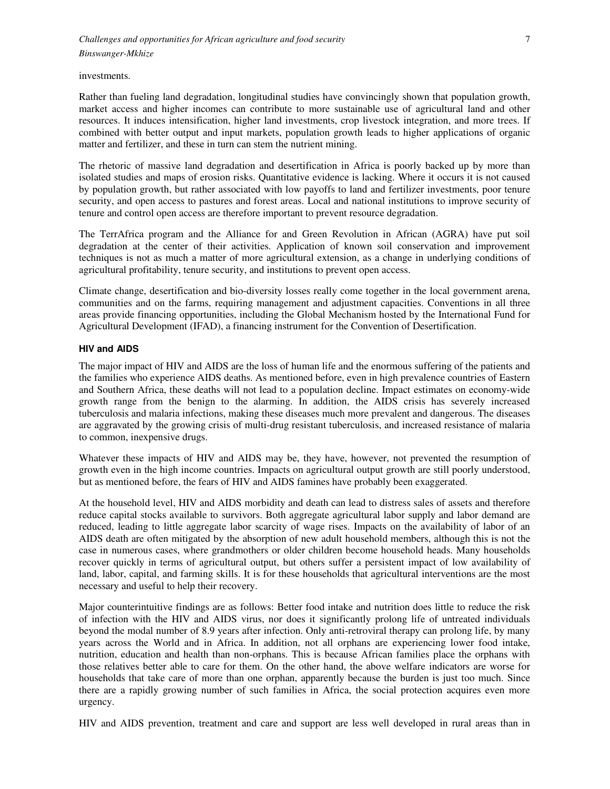investments.

Rather than fueling land degradation, longitudinal studies have convincingly shown that population growth, market access and higher incomes can contribute to more sustainable use of agricultural land and other resources. It induces intensification, higher land investments, crop livestock integration, and more trees. If combined with better output and input markets, population growth leads to higher applications of organic matter and fertilizer, and these in turn can stem the nutrient mining.

The rhetoric of massive land degradation and desertification in Africa is poorly backed up by more than isolated studies and maps of erosion risks. Quantitative evidence is lacking. Where it occurs it is not caused by population growth, but rather associated with low payoffs to land and fertilizer investments, poor tenure security, and open access to pastures and forest areas. Local and national institutions to improve security of tenure and control open access are therefore important to prevent resource degradation.

The TerrAfrica program and the Alliance for and Green Revolution in African (AGRA) have put soil degradation at the center of their activities. Application of known soil conservation and improvement techniques is not as much a matter of more agricultural extension, as a change in underlying conditions of agricultural profitability, tenure security, and institutions to prevent open access.

Climate change, desertification and bio-diversity losses really come together in the local government arena, communities and on the farms, requiring management and adjustment capacities. Conventions in all three areas provide financing opportunities, including the Global Mechanism hosted by the International Fund for Agricultural Development (IFAD), a financing instrument for the Convention of Desertification.

#### **HIV and AIDS**

The major impact of HIV and AIDS are the loss of human life and the enormous suffering of the patients and the families who experience AIDS deaths. As mentioned before, even in high prevalence countries of Eastern and Southern Africa, these deaths will not lead to a population decline. Impact estimates on economy-wide growth range from the benign to the alarming. In addition, the AIDS crisis has severely increased tuberculosis and malaria infections, making these diseases much more prevalent and dangerous. The diseases are aggravated by the growing crisis of multi-drug resistant tuberculosis, and increased resistance of malaria to common, inexpensive drugs.

Whatever these impacts of HIV and AIDS may be, they have, however, not prevented the resumption of growth even in the high income countries. Impacts on agricultural output growth are still poorly understood, but as mentioned before, the fears of HIV and AIDS famines have probably been exaggerated.

At the household level, HIV and AIDS morbidity and death can lead to distress sales of assets and therefore reduce capital stocks available to survivors. Both aggregate agricultural labor supply and labor demand are reduced, leading to little aggregate labor scarcity of wage rises. Impacts on the availability of labor of an AIDS death are often mitigated by the absorption of new adult household members, although this is not the case in numerous cases, where grandmothers or older children become household heads. Many households recover quickly in terms of agricultural output, but others suffer a persistent impact of low availability of land, labor, capital, and farming skills. It is for these households that agricultural interventions are the most necessary and useful to help their recovery.

Major counterintuitive findings are as follows: Better food intake and nutrition does little to reduce the risk of infection with the HIV and AIDS virus, nor does it significantly prolong life of untreated individuals beyond the modal number of 8.9 years after infection. Only anti-retroviral therapy can prolong life, by many years across the World and in Africa. In addition, not all orphans are experiencing lower food intake, nutrition, education and health than non-orphans. This is because African families place the orphans with those relatives better able to care for them. On the other hand, the above welfare indicators are worse for households that take care of more than one orphan, apparently because the burden is just too much. Since there are a rapidly growing number of such families in Africa, the social protection acquires even more urgency.

HIV and AIDS prevention, treatment and care and support are less well developed in rural areas than in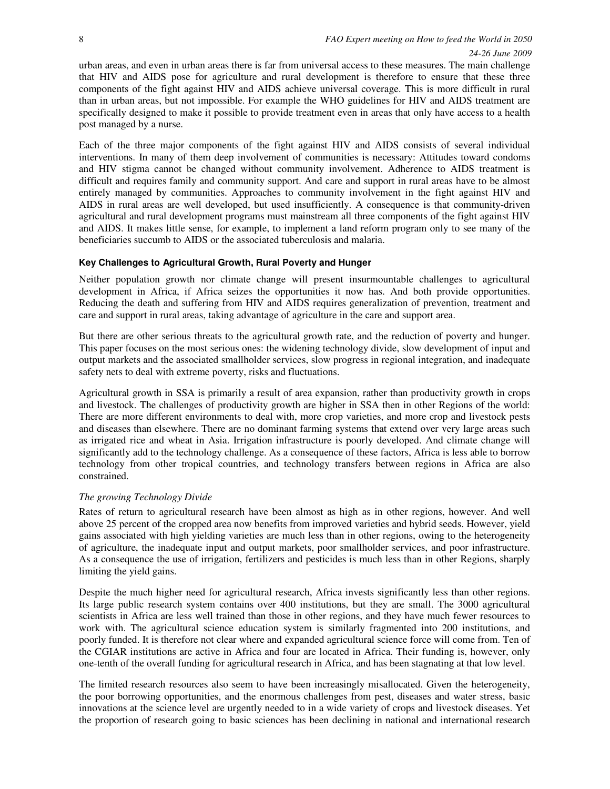#### *24-26 June 2009*

urban areas, and even in urban areas there is far from universal access to these measures. The main challenge that HIV and AIDS pose for agriculture and rural development is therefore to ensure that these three components of the fight against HIV and AIDS achieve universal coverage. This is more difficult in rural than in urban areas, but not impossible. For example the WHO guidelines for HIV and AIDS treatment are specifically designed to make it possible to provide treatment even in areas that only have access to a health post managed by a nurse.

Each of the three major components of the fight against HIV and AIDS consists of several individual interventions. In many of them deep involvement of communities is necessary: Attitudes toward condoms and HIV stigma cannot be changed without community involvement. Adherence to AIDS treatment is difficult and requires family and community support. And care and support in rural areas have to be almost entirely managed by communities. Approaches to community involvement in the fight against HIV and AIDS in rural areas are well developed, but used insufficiently. A consequence is that community-driven agricultural and rural development programs must mainstream all three components of the fight against HIV and AIDS. It makes little sense, for example, to implement a land reform program only to see many of the beneficiaries succumb to AIDS or the associated tuberculosis and malaria.

#### **Key Challenges to Agricultural Growth, Rural Poverty and Hunger**

Neither population growth nor climate change will present insurmountable challenges to agricultural development in Africa, if Africa seizes the opportunities it now has. And both provide opportunities. Reducing the death and suffering from HIV and AIDS requires generalization of prevention, treatment and care and support in rural areas, taking advantage of agriculture in the care and support area.

But there are other serious threats to the agricultural growth rate, and the reduction of poverty and hunger. This paper focuses on the most serious ones: the widening technology divide, slow development of input and output markets and the associated smallholder services, slow progress in regional integration, and inadequate safety nets to deal with extreme poverty, risks and fluctuations.

Agricultural growth in SSA is primarily a result of area expansion, rather than productivity growth in crops and livestock. The challenges of productivity growth are higher in SSA then in other Regions of the world: There are more different environments to deal with, more crop varieties, and more crop and livestock pests and diseases than elsewhere. There are no dominant farming systems that extend over very large areas such as irrigated rice and wheat in Asia. Irrigation infrastructure is poorly developed. And climate change will significantly add to the technology challenge. As a consequence of these factors, Africa is less able to borrow technology from other tropical countries, and technology transfers between regions in Africa are also constrained.

#### *The growing Technology Divide*

Rates of return to agricultural research have been almost as high as in other regions, however. And well above 25 percent of the cropped area now benefits from improved varieties and hybrid seeds. However, yield gains associated with high yielding varieties are much less than in other regions, owing to the heterogeneity of agriculture, the inadequate input and output markets, poor smallholder services, and poor infrastructure. As a consequence the use of irrigation, fertilizers and pesticides is much less than in other Regions, sharply limiting the yield gains.

Despite the much higher need for agricultural research, Africa invests significantly less than other regions. Its large public research system contains over 400 institutions, but they are small. The 3000 agricultural scientists in Africa are less well trained than those in other regions, and they have much fewer resources to work with. The agricultural science education system is similarly fragmented into 200 institutions, and poorly funded. It is therefore not clear where and expanded agricultural science force will come from. Ten of the CGIAR institutions are active in Africa and four are located in Africa. Their funding is, however, only one-tenth of the overall funding for agricultural research in Africa, and has been stagnating at that low level.

The limited research resources also seem to have been increasingly misallocated. Given the heterogeneity, the poor borrowing opportunities, and the enormous challenges from pest, diseases and water stress, basic innovations at the science level are urgently needed to in a wide variety of crops and livestock diseases. Yet the proportion of research going to basic sciences has been declining in national and international research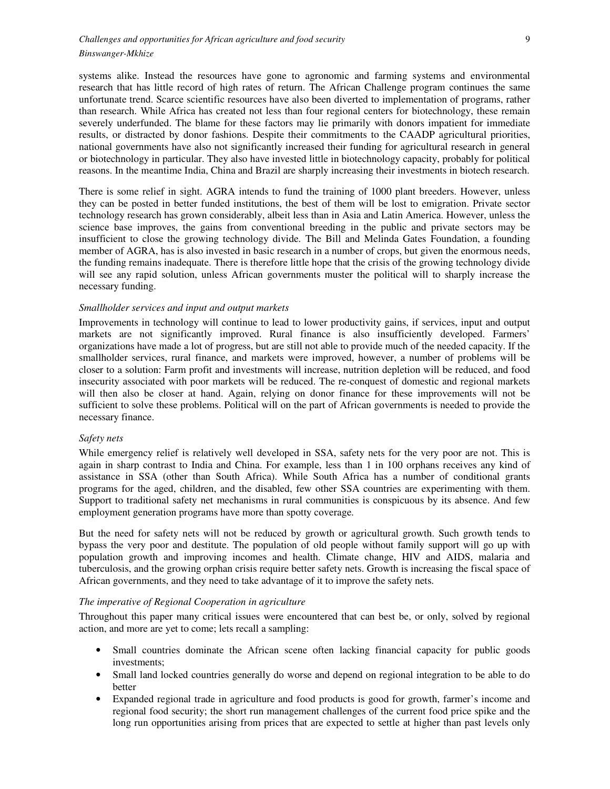systems alike. Instead the resources have gone to agronomic and farming systems and environmental research that has little record of high rates of return. The African Challenge program continues the same unfortunate trend. Scarce scientific resources have also been diverted to implementation of programs, rather than research. While Africa has created not less than four regional centers for biotechnology, these remain severely underfunded. The blame for these factors may lie primarily with donors impatient for immediate results, or distracted by donor fashions. Despite their commitments to the CAADP agricultural priorities, national governments have also not significantly increased their funding for agricultural research in general or biotechnology in particular. They also have invested little in biotechnology capacity, probably for political reasons. In the meantime India, China and Brazil are sharply increasing their investments in biotech research.

There is some relief in sight. AGRA intends to fund the training of 1000 plant breeders. However, unless they can be posted in better funded institutions, the best of them will be lost to emigration. Private sector technology research has grown considerably, albeit less than in Asia and Latin America. However, unless the science base improves, the gains from conventional breeding in the public and private sectors may be insufficient to close the growing technology divide. The Bill and Melinda Gates Foundation, a founding member of AGRA, has is also invested in basic research in a number of crops, but given the enormous needs, the funding remains inadequate. There is therefore little hope that the crisis of the growing technology divide will see any rapid solution, unless African governments muster the political will to sharply increase the necessary funding.

#### *Smallholder services and input and output markets*

Improvements in technology will continue to lead to lower productivity gains, if services, input and output markets are not significantly improved. Rural finance is also insufficiently developed. Farmers' organizations have made a lot of progress, but are still not able to provide much of the needed capacity. If the smallholder services, rural finance, and markets were improved, however, a number of problems will be closer to a solution: Farm profit and investments will increase, nutrition depletion will be reduced, and food insecurity associated with poor markets will be reduced. The re-conquest of domestic and regional markets will then also be closer at hand. Again, relying on donor finance for these improvements will not be sufficient to solve these problems. Political will on the part of African governments is needed to provide the necessary finance.

#### *Safety nets*

While emergency relief is relatively well developed in SSA, safety nets for the very poor are not. This is again in sharp contrast to India and China. For example, less than 1 in 100 orphans receives any kind of assistance in SSA (other than South Africa). While South Africa has a number of conditional grants programs for the aged, children, and the disabled, few other SSA countries are experimenting with them. Support to traditional safety net mechanisms in rural communities is conspicuous by its absence. And few employment generation programs have more than spotty coverage.

But the need for safety nets will not be reduced by growth or agricultural growth. Such growth tends to bypass the very poor and destitute. The population of old people without family support will go up with population growth and improving incomes and health. Climate change, HIV and AIDS, malaria and tuberculosis, and the growing orphan crisis require better safety nets. Growth is increasing the fiscal space of African governments, and they need to take advantage of it to improve the safety nets.

#### *The imperative of Regional Cooperation in agriculture*

Throughout this paper many critical issues were encountered that can best be, or only, solved by regional action, and more are yet to come; lets recall a sampling:

- Small countries dominate the African scene often lacking financial capacity for public goods investments;
- Small land locked countries generally do worse and depend on regional integration to be able to do better
- Expanded regional trade in agriculture and food products is good for growth, farmer's income and regional food security; the short run management challenges of the current food price spike and the long run opportunities arising from prices that are expected to settle at higher than past levels only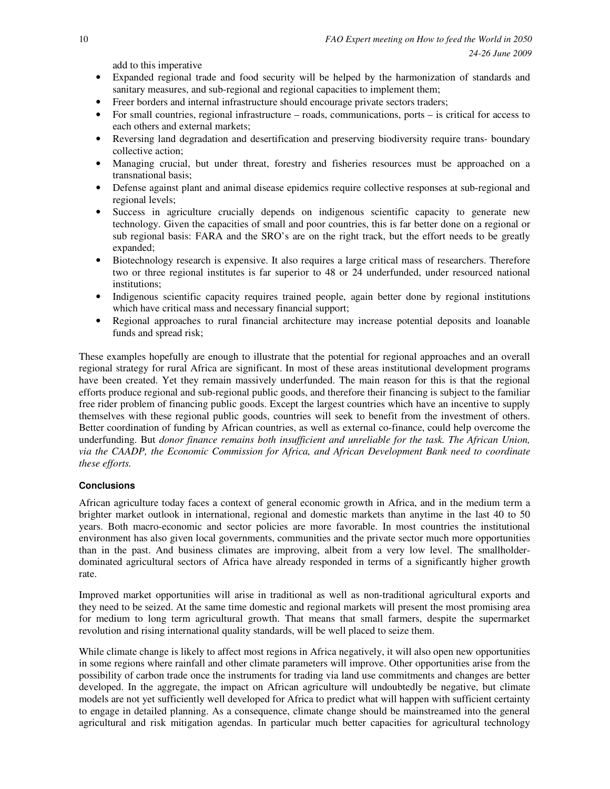add to this imperative

- Expanded regional trade and food security will be helped by the harmonization of standards and sanitary measures, and sub-regional and regional capacities to implement them;
- Freer borders and internal infrastructure should encourage private sectors traders;
- For small countries, regional infrastructure roads, communications, ports is critical for access to each others and external markets;
- Reversing land degradation and desertification and preserving biodiversity require trans- boundary collective action;
- Managing crucial, but under threat, forestry and fisheries resources must be approached on a transnational basis;
- Defense against plant and animal disease epidemics require collective responses at sub-regional and regional levels;
- Success in agriculture crucially depends on indigenous scientific capacity to generate new technology. Given the capacities of small and poor countries, this is far better done on a regional or sub regional basis: FARA and the SRO's are on the right track, but the effort needs to be greatly expanded;
- Biotechnology research is expensive. It also requires a large critical mass of researchers. Therefore two or three regional institutes is far superior to 48 or 24 underfunded, under resourced national institutions;
- Indigenous scientific capacity requires trained people, again better done by regional institutions which have critical mass and necessary financial support;
- Regional approaches to rural financial architecture may increase potential deposits and loanable funds and spread risk;

These examples hopefully are enough to illustrate that the potential for regional approaches and an overall regional strategy for rural Africa are significant. In most of these areas institutional development programs have been created. Yet they remain massively underfunded. The main reason for this is that the regional efforts produce regional and sub-regional public goods, and therefore their financing is subject to the familiar free rider problem of financing public goods. Except the largest countries which have an incentive to supply themselves with these regional public goods, countries will seek to benefit from the investment of others. Better coordination of funding by African countries, as well as external co-finance, could help overcome the underfunding. But *donor finance remains both insufficient and unreliable for the task. The African Union, via the CAADP, the Economic Commission for Africa, and African Development Bank need to coordinate these efforts.* 

# **Conclusions**

African agriculture today faces a context of general economic growth in Africa, and in the medium term a brighter market outlook in international, regional and domestic markets than anytime in the last 40 to 50 years. Both macro-economic and sector policies are more favorable. In most countries the institutional environment has also given local governments, communities and the private sector much more opportunities than in the past. And business climates are improving, albeit from a very low level. The smallholderdominated agricultural sectors of Africa have already responded in terms of a significantly higher growth rate.

Improved market opportunities will arise in traditional as well as non-traditional agricultural exports and they need to be seized. At the same time domestic and regional markets will present the most promising area for medium to long term agricultural growth. That means that small farmers, despite the supermarket revolution and rising international quality standards, will be well placed to seize them.

While climate change is likely to affect most regions in Africa negatively, it will also open new opportunities in some regions where rainfall and other climate parameters will improve. Other opportunities arise from the possibility of carbon trade once the instruments for trading via land use commitments and changes are better developed. In the aggregate, the impact on African agriculture will undoubtedly be negative, but climate models are not yet sufficiently well developed for Africa to predict what will happen with sufficient certainty to engage in detailed planning. As a consequence, climate change should be mainstreamed into the general agricultural and risk mitigation agendas. In particular much better capacities for agricultural technology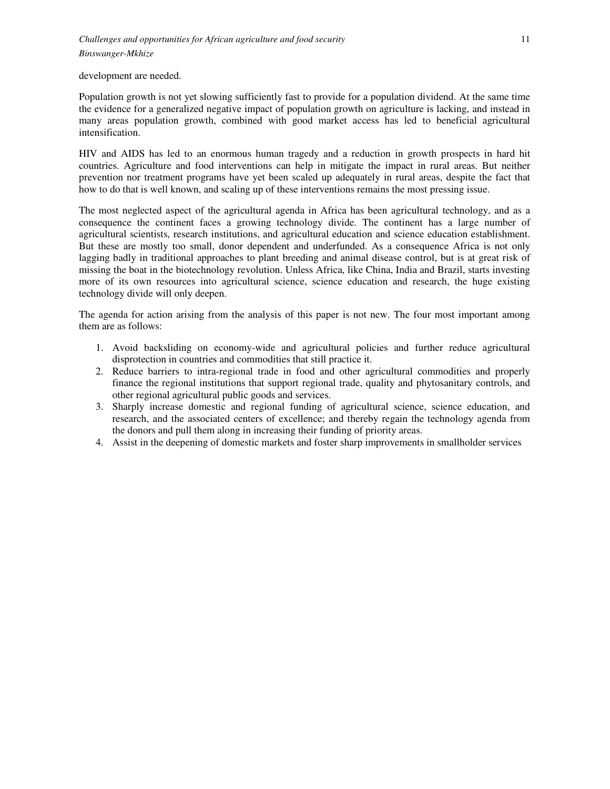development are needed.

Population growth is not yet slowing sufficiently fast to provide for a population dividend. At the same time the evidence for a generalized negative impact of population growth on agriculture is lacking, and instead in many areas population growth, combined with good market access has led to beneficial agricultural intensification.

HIV and AIDS has led to an enormous human tragedy and a reduction in growth prospects in hard hit countries. Agriculture and food interventions can help in mitigate the impact in rural areas. But neither prevention nor treatment programs have yet been scaled up adequately in rural areas, despite the fact that how to do that is well known, and scaling up of these interventions remains the most pressing issue.

The most neglected aspect of the agricultural agenda in Africa has been agricultural technology, and as a consequence the continent faces a growing technology divide. The continent has a large number of agricultural scientists, research institutions, and agricultural education and science education establishment. But these are mostly too small, donor dependent and underfunded. As a consequence Africa is not only lagging badly in traditional approaches to plant breeding and animal disease control, but is at great risk of missing the boat in the biotechnology revolution. Unless Africa, like China, India and Brazil, starts investing more of its own resources into agricultural science, science education and research, the huge existing technology divide will only deepen.

The agenda for action arising from the analysis of this paper is not new. The four most important among them are as follows:

- 1. Avoid backsliding on economy-wide and agricultural policies and further reduce agricultural disprotection in countries and commodities that still practice it.
- 2. Reduce barriers to intra-regional trade in food and other agricultural commodities and properly finance the regional institutions that support regional trade, quality and phytosanitary controls, and other regional agricultural public goods and services.
- 3. Sharply increase domestic and regional funding of agricultural science, science education, and research, and the associated centers of excellence; and thereby regain the technology agenda from the donors and pull them along in increasing their funding of priority areas.
- 4. Assist in the deepening of domestic markets and foster sharp improvements in smallholder services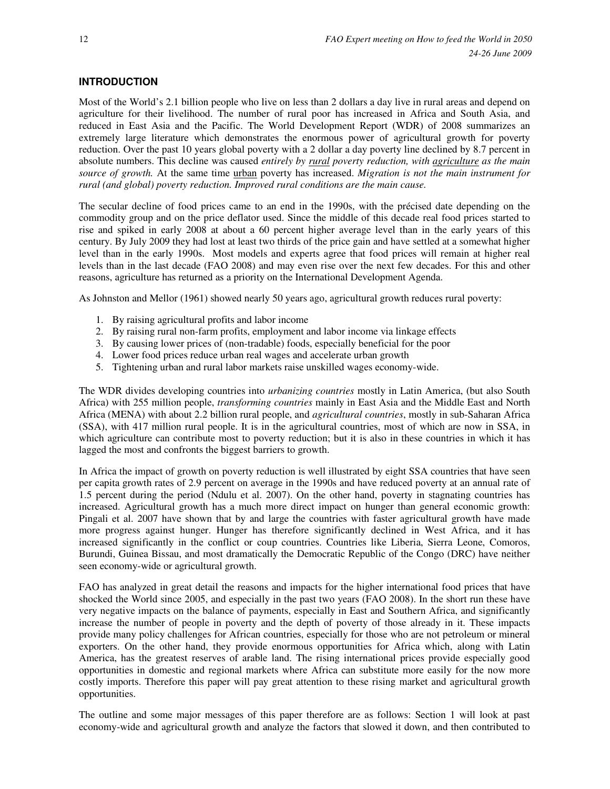# **INTRODUCTION**

Most of the World's 2.1 billion people who live on less than 2 dollars a day live in rural areas and depend on agriculture for their livelihood. The number of rural poor has increased in Africa and South Asia, and reduced in East Asia and the Pacific. The World Development Report (WDR) of 2008 summarizes an extremely large literature which demonstrates the enormous power of agricultural growth for poverty reduction. Over the past 10 years global poverty with a 2 dollar a day poverty line declined by 8.7 percent in absolute numbers. This decline was caused *entirely by rural poverty reduction, with agriculture as the main source of growth.* At the same time urban poverty has increased. *Migration is not the main instrument for rural (and global) poverty reduction. Improved rural conditions are the main cause.* 

The secular decline of food prices came to an end in the 1990s, with the précised date depending on the commodity group and on the price deflator used. Since the middle of this decade real food prices started to rise and spiked in early 2008 at about a 60 percent higher average level than in the early years of this century. By July 2009 they had lost at least two thirds of the price gain and have settled at a somewhat higher level than in the early 1990s. Most models and experts agree that food prices will remain at higher real levels than in the last decade (FAO 2008) and may even rise over the next few decades. For this and other reasons, agriculture has returned as a priority on the International Development Agenda.

As Johnston and Mellor (1961) showed nearly 50 years ago, agricultural growth reduces rural poverty:

- 1. By raising agricultural profits and labor income
- 2. By raising rural non-farm profits, employment and labor income via linkage effects
- 3. By causing lower prices of (non-tradable) foods, especially beneficial for the poor
- 4. Lower food prices reduce urban real wages and accelerate urban growth
- 5. Tightening urban and rural labor markets raise unskilled wages economy-wide.

The WDR divides developing countries into *urbanizing countries* mostly in Latin America, (but also South Africa) with 255 million people, *transforming countries* mainly in East Asia and the Middle East and North Africa (MENA) with about 2.2 billion rural people, and *agricultural countries*, mostly in sub-Saharan Africa (SSA), with 417 million rural people. It is in the agricultural countries, most of which are now in SSA, in which agriculture can contribute most to poverty reduction; but it is also in these countries in which it has lagged the most and confronts the biggest barriers to growth.

In Africa the impact of growth on poverty reduction is well illustrated by eight SSA countries that have seen per capita growth rates of 2.9 percent on average in the 1990s and have reduced poverty at an annual rate of 1.5 percent during the period (Ndulu et al. 2007). On the other hand, poverty in stagnating countries has increased. Agricultural growth has a much more direct impact on hunger than general economic growth: Pingali et al. 2007 have shown that by and large the countries with faster agricultural growth have made more progress against hunger. Hunger has therefore significantly declined in West Africa, and it has increased significantly in the conflict or coup countries. Countries like Liberia, Sierra Leone, Comoros, Burundi, Guinea Bissau, and most dramatically the Democratic Republic of the Congo (DRC) have neither seen economy-wide or agricultural growth.

FAO has analyzed in great detail the reasons and impacts for the higher international food prices that have shocked the World since 2005, and especially in the past two years (FAO 2008). In the short run these have very negative impacts on the balance of payments, especially in East and Southern Africa, and significantly increase the number of people in poverty and the depth of poverty of those already in it. These impacts provide many policy challenges for African countries, especially for those who are not petroleum or mineral exporters. On the other hand, they provide enormous opportunities for Africa which, along with Latin America, has the greatest reserves of arable land. The rising international prices provide especially good opportunities in domestic and regional markets where Africa can substitute more easily for the now more costly imports. Therefore this paper will pay great attention to these rising market and agricultural growth opportunities.

The outline and some major messages of this paper therefore are as follows: Section 1 will look at past economy-wide and agricultural growth and analyze the factors that slowed it down, and then contributed to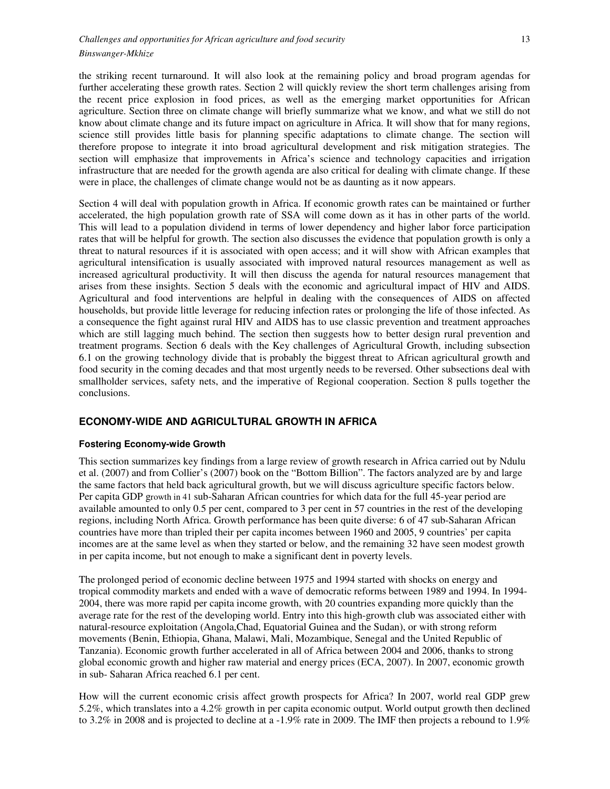the striking recent turnaround. It will also look at the remaining policy and broad program agendas for further accelerating these growth rates. Section 2 will quickly review the short term challenges arising from the recent price explosion in food prices, as well as the emerging market opportunities for African agriculture. Section three on climate change will briefly summarize what we know, and what we still do not know about climate change and its future impact on agriculture in Africa. It will show that for many regions, science still provides little basis for planning specific adaptations to climate change. The section will therefore propose to integrate it into broad agricultural development and risk mitigation strategies. The section will emphasize that improvements in Africa's science and technology capacities and irrigation infrastructure that are needed for the growth agenda are also critical for dealing with climate change. If these were in place, the challenges of climate change would not be as daunting as it now appears.

Section 4 will deal with population growth in Africa. If economic growth rates can be maintained or further accelerated, the high population growth rate of SSA will come down as it has in other parts of the world. This will lead to a population dividend in terms of lower dependency and higher labor force participation rates that will be helpful for growth. The section also discusses the evidence that population growth is only a threat to natural resources if it is associated with open access; and it will show with African examples that agricultural intensification is usually associated with improved natural resources management as well as increased agricultural productivity. It will then discuss the agenda for natural resources management that arises from these insights. Section 5 deals with the economic and agricultural impact of HIV and AIDS. Agricultural and food interventions are helpful in dealing with the consequences of AIDS on affected households, but provide little leverage for reducing infection rates or prolonging the life of those infected. As a consequence the fight against rural HIV and AIDS has to use classic prevention and treatment approaches which are still lagging much behind. The section then suggests how to better design rural prevention and treatment programs. Section 6 deals with the Key challenges of Agricultural Growth, including subsection 6.1 on the growing technology divide that is probably the biggest threat to African agricultural growth and food security in the coming decades and that most urgently needs to be reversed. Other subsections deal with smallholder services, safety nets, and the imperative of Regional cooperation. Section 8 pulls together the conclusions.

# **ECONOMY-WIDE AND AGRICULTURAL GROWTH IN AFRICA**

# **Fostering Economy-wide Growth**

This section summarizes key findings from a large review of growth research in Africa carried out by Ndulu et al. (2007) and from Collier's (2007) book on the "Bottom Billion". The factors analyzed are by and large the same factors that held back agricultural growth, but we will discuss agriculture specific factors below. Per capita GDP growth in 41 sub-Saharan African countries for which data for the full 45-year period are available amounted to only 0.5 per cent, compared to 3 per cent in 57 countries in the rest of the developing regions, including North Africa. Growth performance has been quite diverse: 6 of 47 sub-Saharan African countries have more than tripled their per capita incomes between 1960 and 2005, 9 countries' per capita incomes are at the same level as when they started or below, and the remaining 32 have seen modest growth in per capita income, but not enough to make a significant dent in poverty levels.

The prolonged period of economic decline between 1975 and 1994 started with shocks on energy and tropical commodity markets and ended with a wave of democratic reforms between 1989 and 1994. In 1994- 2004, there was more rapid per capita income growth, with 20 countries expanding more quickly than the average rate for the rest of the developing world. Entry into this high-growth club was associated either with natural-resource exploitation (Angola,Chad, Equatorial Guinea and the Sudan), or with strong reform movements (Benin, Ethiopia, Ghana, Malawi, Mali, Mozambique, Senegal and the United Republic of Tanzania). Economic growth further accelerated in all of Africa between 2004 and 2006, thanks to strong global economic growth and higher raw material and energy prices (ECA, 2007). In 2007, economic growth in sub- Saharan Africa reached 6.1 per cent.

How will the current economic crisis affect growth prospects for Africa? In 2007, world real GDP grew 5.2%, which translates into a 4.2% growth in per capita economic output. World output growth then declined to 3.2% in 2008 and is projected to decline at a -1.9% rate in 2009. The IMF then projects a rebound to 1.9%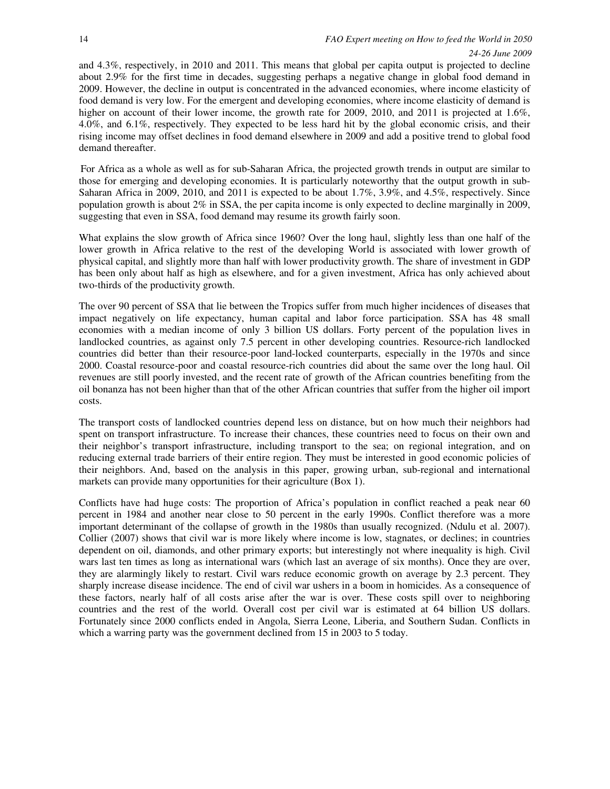and 4.3%, respectively, in 2010 and 2011. This means that global per capita output is projected to decline about 2.9% for the first time in decades, suggesting perhaps a negative change in global food demand in 2009. However, the decline in output is concentrated in the advanced economies, where income elasticity of food demand is very low. For the emergent and developing economies, where income elasticity of demand is higher on account of their lower income, the growth rate for 2009, 2010, and 2011 is projected at 1.6%, 4.0%, and 6.1%, respectively. They expected to be less hard hit by the global economic crisis, and their rising income may offset declines in food demand elsewhere in 2009 and add a positive trend to global food demand thereafter.

For Africa as a whole as well as for sub-Saharan Africa, the projected growth trends in output are similar to those for emerging and developing economies. It is particularly noteworthy that the output growth in sub-Saharan Africa in 2009, 2010, and 2011 is expected to be about 1.7%, 3.9%, and 4.5%, respectively. Since population growth is about  $2\%$  in SSA, the per capita income is only expected to decline marginally in 2009, suggesting that even in SSA, food demand may resume its growth fairly soon.

What explains the slow growth of Africa since 1960? Over the long haul, slightly less than one half of the lower growth in Africa relative to the rest of the developing World is associated with lower growth of physical capital, and slightly more than half with lower productivity growth. The share of investment in GDP has been only about half as high as elsewhere, and for a given investment, Africa has only achieved about two-thirds of the productivity growth.

The over 90 percent of SSA that lie between the Tropics suffer from much higher incidences of diseases that impact negatively on life expectancy, human capital and labor force participation. SSA has 48 small economies with a median income of only 3 billion US dollars. Forty percent of the population lives in landlocked countries, as against only 7.5 percent in other developing countries. Resource-rich landlocked countries did better than their resource-poor land-locked counterparts, especially in the 1970s and since 2000. Coastal resource-poor and coastal resource-rich countries did about the same over the long haul. Oil revenues are still poorly invested, and the recent rate of growth of the African countries benefiting from the oil bonanza has not been higher than that of the other African countries that suffer from the higher oil import costs.

The transport costs of landlocked countries depend less on distance, but on how much their neighbors had spent on transport infrastructure. To increase their chances, these countries need to focus on their own and their neighbor's transport infrastructure, including transport to the sea; on regional integration, and on reducing external trade barriers of their entire region. They must be interested in good economic policies of their neighbors. And, based on the analysis in this paper, growing urban, sub-regional and international markets can provide many opportunities for their agriculture (Box 1).

Conflicts have had huge costs: The proportion of Africa's population in conflict reached a peak near 60 percent in 1984 and another near close to 50 percent in the early 1990s. Conflict therefore was a more important determinant of the collapse of growth in the 1980s than usually recognized. (Ndulu et al. 2007). Collier (2007) shows that civil war is more likely where income is low, stagnates, or declines; in countries dependent on oil, diamonds, and other primary exports; but interestingly not where inequality is high. Civil wars last ten times as long as international wars (which last an average of six months). Once they are over, they are alarmingly likely to restart. Civil wars reduce economic growth on average by 2.3 percent. They sharply increase disease incidence. The end of civil war ushers in a boom in homicides. As a consequence of these factors, nearly half of all costs arise after the war is over. These costs spill over to neighboring countries and the rest of the world. Overall cost per civil war is estimated at 64 billion US dollars. Fortunately since 2000 conflicts ended in Angola, Sierra Leone, Liberia, and Southern Sudan. Conflicts in which a warring party was the government declined from 15 in 2003 to 5 today.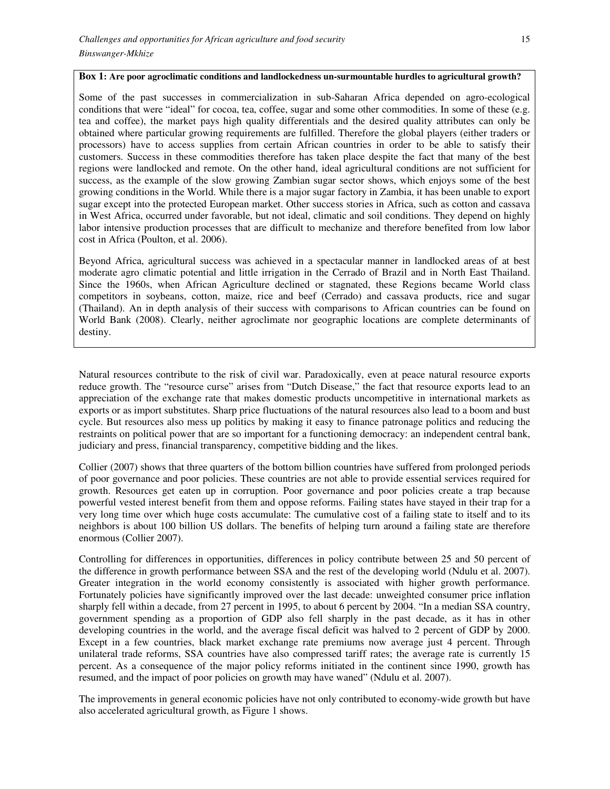#### **Box 1: Are poor agroclimatic conditions and landlockedness un-surmountable hurdles to agricultural growth?**

Some of the past successes in commercialization in sub-Saharan Africa depended on agro-ecological conditions that were "ideal" for cocoa, tea, coffee, sugar and some other commodities. In some of these (e.g. tea and coffee), the market pays high quality differentials and the desired quality attributes can only be obtained where particular growing requirements are fulfilled. Therefore the global players (either traders or processors) have to access supplies from certain African countries in order to be able to satisfy their customers. Success in these commodities therefore has taken place despite the fact that many of the best regions were landlocked and remote. On the other hand, ideal agricultural conditions are not sufficient for success, as the example of the slow growing Zambian sugar sector shows, which enjoys some of the best growing conditions in the World. While there is a major sugar factory in Zambia, it has been unable to export sugar except into the protected European market. Other success stories in Africa, such as cotton and cassava in West Africa, occurred under favorable, but not ideal, climatic and soil conditions. They depend on highly labor intensive production processes that are difficult to mechanize and therefore benefited from low labor cost in Africa (Poulton, et al. 2006).

Beyond Africa, agricultural success was achieved in a spectacular manner in landlocked areas of at best moderate agro climatic potential and little irrigation in the Cerrado of Brazil and in North East Thailand. Since the 1960s, when African Agriculture declined or stagnated, these Regions became World class competitors in soybeans, cotton, maize, rice and beef (Cerrado) and cassava products, rice and sugar (Thailand). An in depth analysis of their success with comparisons to African countries can be found on World Bank (2008). Clearly, neither agroclimate nor geographic locations are complete determinants of destiny.

Natural resources contribute to the risk of civil war. Paradoxically, even at peace natural resource exports reduce growth. The "resource curse" arises from "Dutch Disease," the fact that resource exports lead to an appreciation of the exchange rate that makes domestic products uncompetitive in international markets as exports or as import substitutes. Sharp price fluctuations of the natural resources also lead to a boom and bust cycle. But resources also mess up politics by making it easy to finance patronage politics and reducing the restraints on political power that are so important for a functioning democracy: an independent central bank, judiciary and press, financial transparency, competitive bidding and the likes.

Collier (2007) shows that three quarters of the bottom billion countries have suffered from prolonged periods of poor governance and poor policies. These countries are not able to provide essential services required for growth. Resources get eaten up in corruption. Poor governance and poor policies create a trap because powerful vested interest benefit from them and oppose reforms. Failing states have stayed in their trap for a very long time over which huge costs accumulate: The cumulative cost of a failing state to itself and to its neighbors is about 100 billion US dollars. The benefits of helping turn around a failing state are therefore enormous (Collier 2007).

Controlling for differences in opportunities, differences in policy contribute between 25 and 50 percent of the difference in growth performance between SSA and the rest of the developing world (Ndulu et al. 2007). Greater integration in the world economy consistently is associated with higher growth performance. Fortunately policies have significantly improved over the last decade: unweighted consumer price inflation sharply fell within a decade, from 27 percent in 1995, to about 6 percent by 2004. "In a median SSA country, government spending as a proportion of GDP also fell sharply in the past decade, as it has in other developing countries in the world, and the average fiscal deficit was halved to 2 percent of GDP by 2000. Except in a few countries, black market exchange rate premiums now average just 4 percent. Through unilateral trade reforms, SSA countries have also compressed tariff rates; the average rate is currently 15 percent. As a consequence of the major policy reforms initiated in the continent since 1990, growth has resumed, and the impact of poor policies on growth may have waned" (Ndulu et al. 2007).

The improvements in general economic policies have not only contributed to economy-wide growth but have also accelerated agricultural growth, as Figure 1 shows.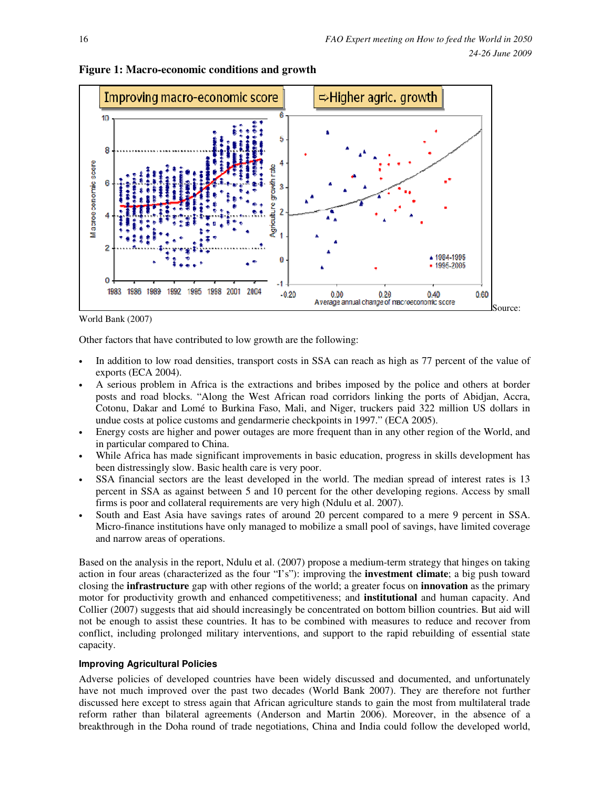

# **Figure 1: Macro-economic conditions and growth**

World Bank (2007)

Other factors that have contributed to low growth are the following:

- In addition to low road densities, transport costs in SSA can reach as high as 77 percent of the value of exports (ECA 2004).
- A serious problem in Africa is the extractions and bribes imposed by the police and others at border posts and road blocks. "Along the West African road corridors linking the ports of Abidjan, Accra, Cotonu, Dakar and Lomé to Burkina Faso, Mali, and Niger, truckers paid 322 million US dollars in undue costs at police customs and gendarmerie checkpoints in 1997." (ECA 2005).
- Energy costs are higher and power outages are more frequent than in any other region of the World, and in particular compared to China.
- While Africa has made significant improvements in basic education, progress in skills development has been distressingly slow. Basic health care is very poor.
- SSA financial sectors are the least developed in the world. The median spread of interest rates is 13 percent in SSA as against between 5 and 10 percent for the other developing regions. Access by small firms is poor and collateral requirements are very high (Ndulu et al. 2007).
- South and East Asia have savings rates of around 20 percent compared to a mere 9 percent in SSA. Micro-finance institutions have only managed to mobilize a small pool of savings, have limited coverage and narrow areas of operations.

Based on the analysis in the report, Ndulu et al. (2007) propose a medium-term strategy that hinges on taking action in four areas (characterized as the four "I's"): improving the **investment climate**; a big push toward closing the **infrastructure** gap with other regions of the world; a greater focus on **innovation** as the primary motor for productivity growth and enhanced competitiveness; and **institutional** and human capacity. And Collier (2007) suggests that aid should increasingly be concentrated on bottom billion countries. But aid will not be enough to assist these countries. It has to be combined with measures to reduce and recover from conflict, including prolonged military interventions, and support to the rapid rebuilding of essential state capacity.

# **Improving Agricultural Policies**

Adverse policies of developed countries have been widely discussed and documented, and unfortunately have not much improved over the past two decades (World Bank 2007). They are therefore not further discussed here except to stress again that African agriculture stands to gain the most from multilateral trade reform rather than bilateral agreements (Anderson and Martin 2006). Moreover, in the absence of a breakthrough in the Doha round of trade negotiations, China and India could follow the developed world,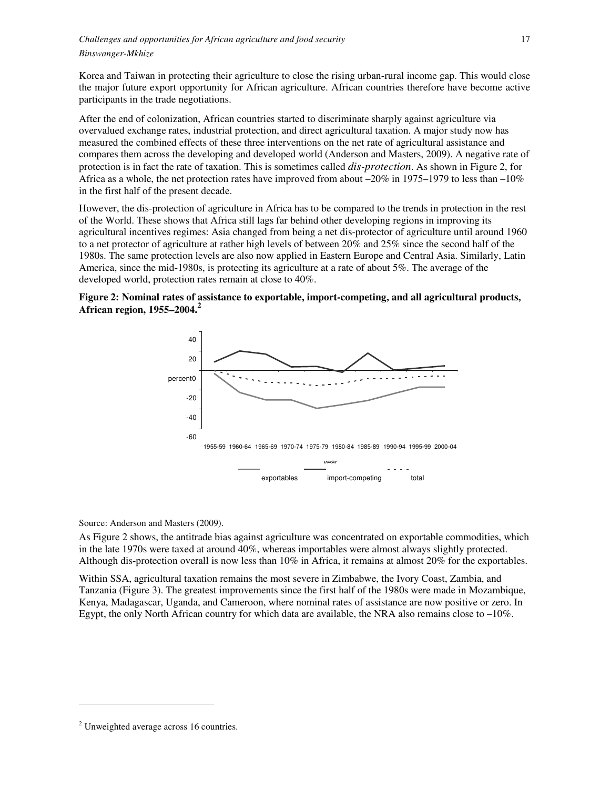Korea and Taiwan in protecting their agriculture to close the rising urban-rural income gap. This would close the major future export opportunity for African agriculture. African countries therefore have become active participants in the trade negotiations.

After the end of colonization, African countries started to discriminate sharply against agriculture via overvalued exchange rates, industrial protection, and direct agricultural taxation. A major study now has measured the combined effects of these three interventions on the net rate of agricultural assistance and compares them across the developing and developed world (Anderson and Masters, 2009). A negative rate of protection is in fact the rate of taxation. This is sometimes called *dis-protection*. As shown in Figure 2, for Africa as a whole, the net protection rates have improved from about  $-20\%$  in 1975–1979 to less than  $-10\%$ in the first half of the present decade.

However, the dis-protection of agriculture in Africa has to be compared to the trends in protection in the rest of the World. These shows that Africa still lags far behind other developing regions in improving its agricultural incentives regimes: Asia changed from being a net dis-protector of agriculture until around 1960 to a net protector of agriculture at rather high levels of between 20% and 25% since the second half of the 1980s. The same protection levels are also now applied in Eastern Europe and Central Asia. Similarly, Latin America, since the mid-1980s, is protecting its agriculture at a rate of about 5%. The average of the developed world, protection rates remain at close to 40%.





Source: Anderson and Masters (2009).

As Figure 2 shows, the antitrade bias against agriculture was concentrated on exportable commodities, which in the late 1970s were taxed at around 40%, whereas importables were almost always slightly protected. Although dis-protection overall is now less than 10% in Africa, it remains at almost 20% for the exportables.

Within SSA, agricultural taxation remains the most severe in Zimbabwe, the Ivory Coast, Zambia, and Tanzania (Figure 3). The greatest improvements since the first half of the 1980s were made in Mozambique, Kenya, Madagascar, Uganda, and Cameroon, where nominal rates of assistance are now positive or zero. In Egypt, the only North African country for which data are available, the NRA also remains close to –10%.

l,

<sup>&</sup>lt;sup>2</sup> Unweighted average across 16 countries.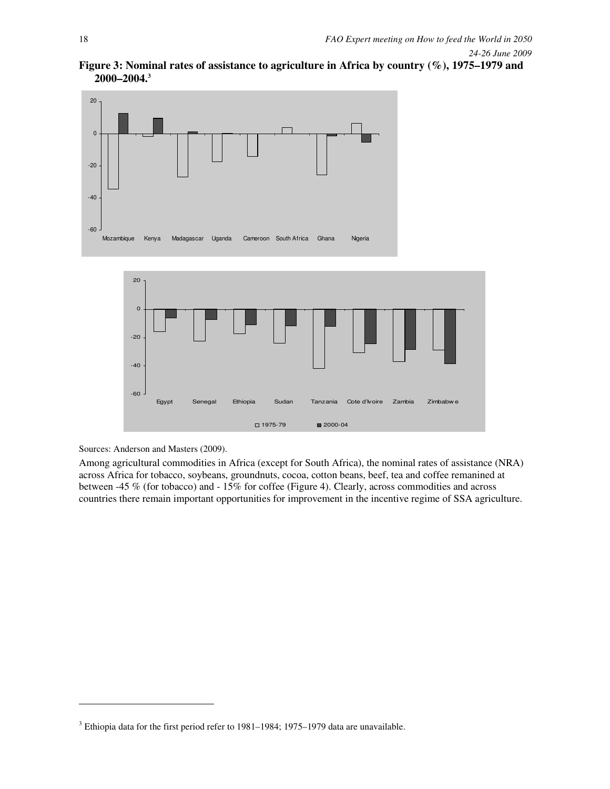





Sources: Anderson and Masters (2009).

l,

Among agricultural commodities in Africa (except for South Africa), the nominal rates of assistance (NRA) across Africa for tobacco, soybeans, groundnuts, cocoa, cotton beans, beef, tea and coffee remanined at between -45 % (for tobacco) and - 15% for coffee (Figure 4). Clearly, across commodities and across countries there remain important opportunities for improvement in the incentive regime of SSA agriculture.

 $3$  Ethiopia data for the first period refer to 1981–1984; 1975–1979 data are unavailable.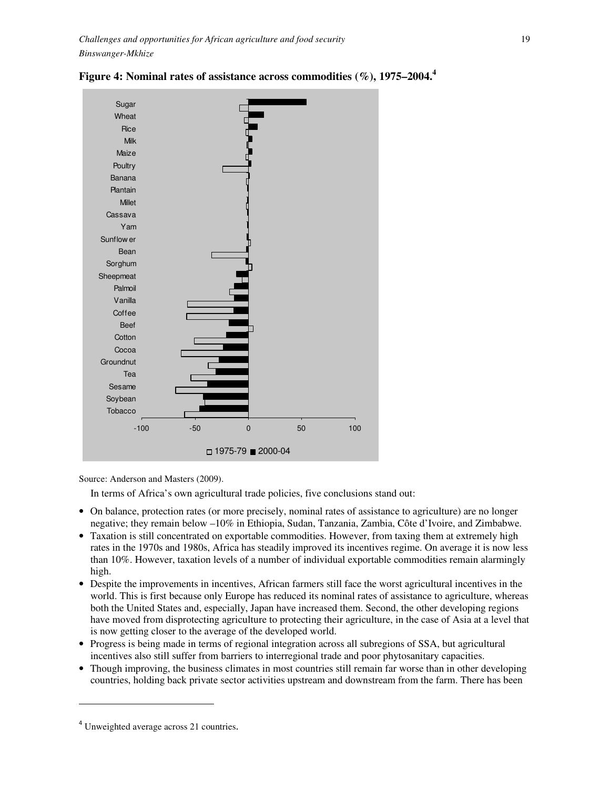



Source: Anderson and Masters (2009).

In terms of Africa's own agricultural trade policies, five conclusions stand out:

- On balance, protection rates (or more precisely, nominal rates of assistance to agriculture) are no longer negative; they remain below –10% in Ethiopia, Sudan, Tanzania, Zambia, Côte d'Ivoire, and Zimbabwe.
- Taxation is still concentrated on exportable commodities. However, from taxing them at extremely high rates in the 1970s and 1980s, Africa has steadily improved its incentives regime. On average it is now less than 10%. However, taxation levels of a number of individual exportable commodities remain alarmingly high.
- Despite the improvements in incentives, African farmers still face the worst agricultural incentives in the world. This is first because only Europe has reduced its nominal rates of assistance to agriculture, whereas both the United States and, especially, Japan have increased them. Second, the other developing regions have moved from disprotecting agriculture to protecting their agriculture, in the case of Asia at a level that is now getting closer to the average of the developed world.
- Progress is being made in terms of regional integration across all subregions of SSA, but agricultural incentives also still suffer from barriers to interregional trade and poor phytosanitary capacities.
- Though improving, the business climates in most countries still remain far worse than in other developing countries, holding back private sector activities upstream and downstream from the farm. There has been

l,

<sup>&</sup>lt;sup>4</sup> Unweighted average across 21 countries.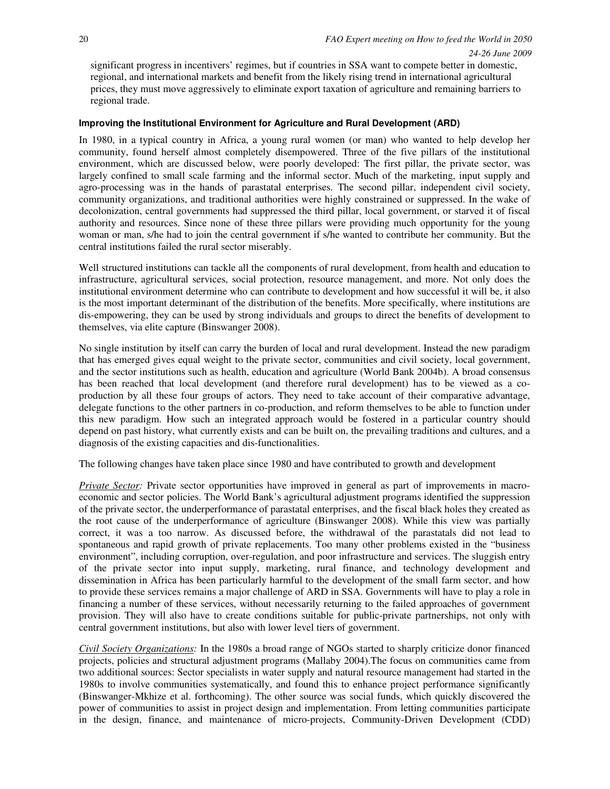significant progress in incentivers' regimes, but if countries in SSA want to compete better in domestic, regional, and international markets and benefit from the likely rising trend in international agricultural prices, they must move aggressively to eliminate export taxation of agriculture and remaining barriers to regional trade.

# **Improving the Institutional Environment for Agriculture and Rural Development (ARD)**

In 1980, in a typical country in Africa, a young rural women (or man) who wanted to help develop her community, found herself almost completely disempowered. Three of the five pillars of the institutional environment, which are discussed below, were poorly developed: The first pillar, the private sector, was largely confined to small scale farming and the informal sector. Much of the marketing, input supply and agro-processing was in the hands of parastatal enterprises. The second pillar, independent civil society, community organizations, and traditional authorities were highly constrained or suppressed. In the wake of decolonization, central governments had suppressed the third pillar, local government, or starved it of fiscal authority and resources. Since none of these three pillars were providing much opportunity for the young woman or man, s/he had to join the central government if s/he wanted to contribute her community. But the central institutions failed the rural sector miserably.

Well structured institutions can tackle all the components of rural development, from health and education to infrastructure, agricultural services, social protection, resource management, and more. Not only does the institutional environment determine who can contribute to development and how successful it will be, it also is the most important determinant of the distribution of the benefits. More specifically, where institutions are dis-empowering, they can be used by strong individuals and groups to direct the benefits of development to themselves, via elite capture (Binswanger 2008).

No single institution by itself can carry the burden of local and rural development. Instead the new paradigm that has emerged gives equal weight to the private sector, communities and civil society, local government, and the sector institutions such as health, education and agriculture (World Bank 2004b). A broad consensus has been reached that local development (and therefore rural development) has to be viewed as a coproduction by all these four groups of actors. They need to take account of their comparative advantage, delegate functions to the other partners in co-production, and reform themselves to be able to function under this new paradigm. How such an integrated approach would be fostered in a particular country should depend on past history, what currently exists and can be built on, the prevailing traditions and cultures, and a diagnosis of the existing capacities and dis-functionalities.

The following changes have taken place since 1980 and have contributed to growth and development

*Private Sector:* Private sector opportunities have improved in general as part of improvements in macroeconomic and sector policies. The World Bank's agricultural adjustment programs identified the suppression of the private sector, the underperformance of parastatal enterprises, and the fiscal black holes they created as the root cause of the underperformance of agriculture (Binswanger 2008). While this view was partially correct, it was a too narrow. As discussed before, the withdrawal of the parastatals did not lead to spontaneous and rapid growth of private replacements. Too many other problems existed in the "business environment", including corruption, over-regulation, and poor infrastructure and services. The sluggish entry of the private sector into input supply, marketing, rural finance, and technology development and dissemination in Africa has been particularly harmful to the development of the small farm sector, and how to provide these services remains a major challenge of ARD in SSA. Governments will have to play a role in financing a number of these services, without necessarily returning to the failed approaches of government provision. They will also have to create conditions suitable for public-private partnerships, not only with central government institutions, but also with lower level tiers of government.

*Civil Society Organizations:* In the 1980s a broad range of NGOs started to sharply criticize donor financed projects, policies and structural adjustment programs (Mallaby 2004).The focus on communities came from two additional sources: Sector specialists in water supply and natural resource management had started in the 1980s to involve communities systematically, and found this to enhance project performance significantly (Binswanger-Mkhize et al. forthcoming). The other source was social funds, which quickly discovered the power of communities to assist in project design and implementation. From letting communities participate in the design, finance, and maintenance of micro-projects, Community-Driven Development (CDD)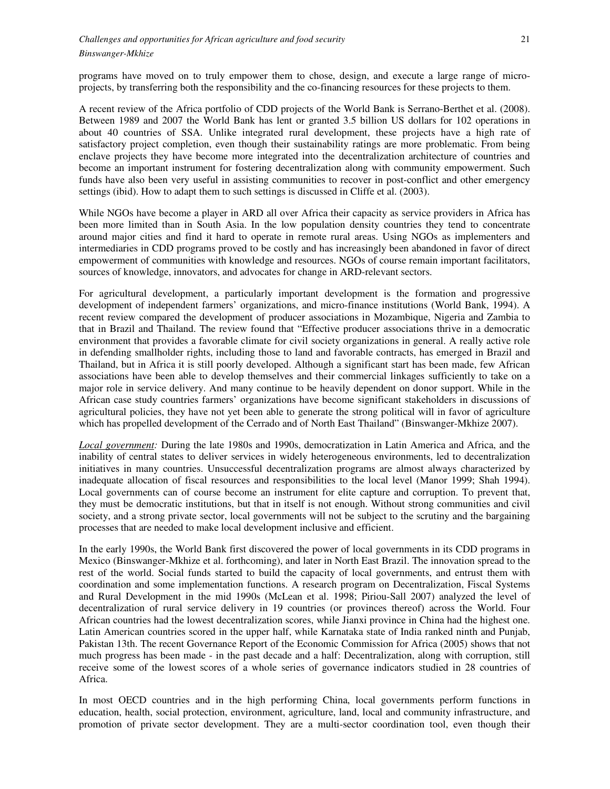programs have moved on to truly empower them to chose, design, and execute a large range of microprojects, by transferring both the responsibility and the co-financing resources for these projects to them.

A recent review of the Africa portfolio of CDD projects of the World Bank is Serrano-Berthet et al. (2008). Between 1989 and 2007 the World Bank has lent or granted 3.5 billion US dollars for 102 operations in about 40 countries of SSA. Unlike integrated rural development, these projects have a high rate of satisfactory project completion, even though their sustainability ratings are more problematic. From being enclave projects they have become more integrated into the decentralization architecture of countries and become an important instrument for fostering decentralization along with community empowerment. Such funds have also been very useful in assisting communities to recover in post-conflict and other emergency settings (ibid). How to adapt them to such settings is discussed in Cliffe et al. (2003).

While NGOs have become a player in ARD all over Africa their capacity as service providers in Africa has been more limited than in South Asia. In the low population density countries they tend to concentrate around major cities and find it hard to operate in remote rural areas. Using NGOs as implementers and intermediaries in CDD programs proved to be costly and has increasingly been abandoned in favor of direct empowerment of communities with knowledge and resources. NGOs of course remain important facilitators, sources of knowledge, innovators, and advocates for change in ARD-relevant sectors.

For agricultural development, a particularly important development is the formation and progressive development of independent farmers' organizations, and micro-finance institutions (World Bank, 1994). A recent review compared the development of producer associations in Mozambique, Nigeria and Zambia to that in Brazil and Thailand. The review found that "Effective producer associations thrive in a democratic environment that provides a favorable climate for civil society organizations in general. A really active role in defending smallholder rights, including those to land and favorable contracts, has emerged in Brazil and Thailand, but in Africa it is still poorly developed. Although a significant start has been made, few African associations have been able to develop themselves and their commercial linkages sufficiently to take on a major role in service delivery. And many continue to be heavily dependent on donor support. While in the African case study countries farmers' organizations have become significant stakeholders in discussions of agricultural policies, they have not yet been able to generate the strong political will in favor of agriculture which has propelled development of the Cerrado and of North East Thailand" (Binswanger-Mkhize 2007).

*Local government:* During the late 1980s and 1990s, democratization in Latin America and Africa, and the inability of central states to deliver services in widely heterogeneous environments, led to decentralization initiatives in many countries. Unsuccessful decentralization programs are almost always characterized by inadequate allocation of fiscal resources and responsibilities to the local level (Manor 1999; Shah 1994). Local governments can of course become an instrument for elite capture and corruption. To prevent that, they must be democratic institutions, but that in itself is not enough. Without strong communities and civil society, and a strong private sector, local governments will not be subject to the scrutiny and the bargaining processes that are needed to make local development inclusive and efficient.

In the early 1990s, the World Bank first discovered the power of local governments in its CDD programs in Mexico (Binswanger-Mkhize et al. forthcoming), and later in North East Brazil. The innovation spread to the rest of the world. Social funds started to build the capacity of local governments, and entrust them with coordination and some implementation functions. A research program on Decentralization, Fiscal Systems and Rural Development in the mid 1990s (McLean et al. 1998; Piriou-Sall 2007) analyzed the level of decentralization of rural service delivery in 19 countries (or provinces thereof) across the World. Four African countries had the lowest decentralization scores, while Jianxi province in China had the highest one. Latin American countries scored in the upper half, while Karnataka state of India ranked ninth and Punjab, Pakistan 13th. The recent Governance Report of the Economic Commission for Africa (2005) shows that not much progress has been made - in the past decade and a half: Decentralization, along with corruption, still receive some of the lowest scores of a whole series of governance indicators studied in 28 countries of Africa.

In most OECD countries and in the high performing China, local governments perform functions in education, health, social protection, environment, agriculture, land, local and community infrastructure, and promotion of private sector development. They are a multi-sector coordination tool, even though their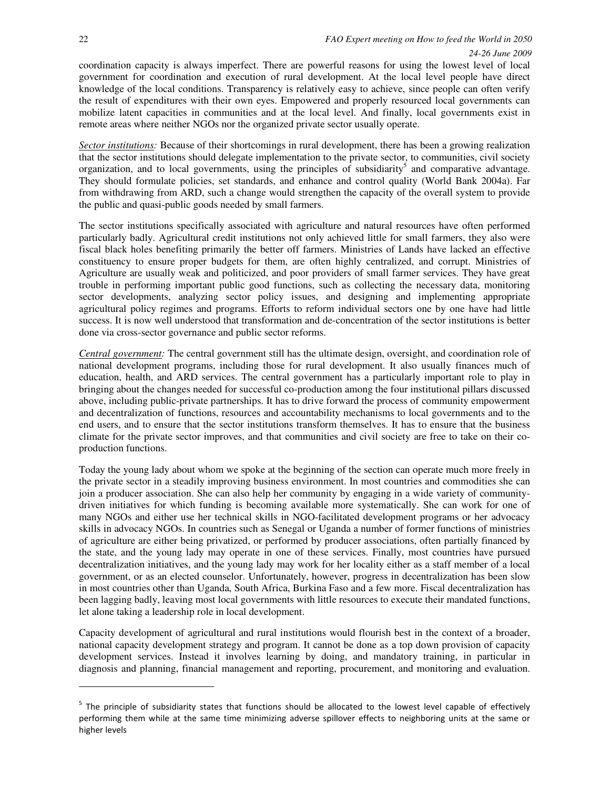1

coordination capacity is always imperfect. There are powerful reasons for using the lowest level of local government for coordination and execution of rural development. At the local level people have direct knowledge of the local conditions. Transparency is relatively easy to achieve, since people can often verify the result of expenditures with their own eyes. Empowered and properly resourced local governments can mobilize latent capacities in communities and at the local level. And finally, local governments exist in remote areas where neither NGOs nor the organized private sector usually operate.

*Sector institutions:* Because of their shortcomings in rural development, there has been a growing realization that the sector institutions should delegate implementation to the private sector, to communities, civil society organization, and to local governments, using the principles of subsidiarity<sup>5</sup> and comparative advantage. They should formulate policies, set standards, and enhance and control quality (World Bank 2004a). Far from withdrawing from ARD, such a change would strengthen the capacity of the overall system to provide the public and quasi-public goods needed by small farmers.

The sector institutions specifically associated with agriculture and natural resources have often performed particularly badly. Agricultural credit institutions not only achieved little for small farmers, they also were fiscal black holes benefiting primarily the better off farmers. Ministries of Lands have lacked an effective constituency to ensure proper budgets for them, are often highly centralized, and corrupt. Ministries of Agriculture are usually weak and politicized, and poor providers of small farmer services. They have great trouble in performing important public good functions, such as collecting the necessary data, monitoring sector developments, analyzing sector policy issues, and designing and implementing appropriate agricultural policy regimes and programs. Efforts to reform individual sectors one by one have had little success. It is now well understood that transformation and de-concentration of the sector institutions is better done via cross-sector governance and public sector reforms.

*Central government:* The central government still has the ultimate design, oversight, and coordination role of national development programs, including those for rural development. It also usually finances much of education, health, and ARD services. The central government has a particularly important role to play in bringing about the changes needed for successful co-production among the four institutional pillars discussed above, including public-private partnerships. It has to drive forward the process of community empowerment and decentralization of functions, resources and accountability mechanisms to local governments and to the end users, and to ensure that the sector institutions transform themselves. It has to ensure that the business climate for the private sector improves, and that communities and civil society are free to take on their coproduction functions.

Today the young lady about whom we spoke at the beginning of the section can operate much more freely in the private sector in a steadily improving business environment. In most countries and commodities she can join a producer association. She can also help her community by engaging in a wide variety of communitydriven initiatives for which funding is becoming available more systematically. She can work for one of many NGOs and either use her technical skills in NGO-facilitated development programs or her advocacy skills in advocacy NGOs. In countries such as Senegal or Uganda a number of former functions of ministries of agriculture are either being privatized, or performed by producer associations, often partially financed by the state, and the young lady may operate in one of these services. Finally, most countries have pursued decentralization initiatives, and the young lady may work for her locality either as a staff member of a local government, or as an elected counselor. Unfortunately, however, progress in decentralization has been slow in most countries other than Uganda, South Africa, Burkina Faso and a few more. Fiscal decentralization has been lagging badly, leaving most local governments with little resources to execute their mandated functions, let alone taking a leadership role in local development.

Capacity development of agricultural and rural institutions would flourish best in the context of a broader, national capacity development strategy and program. It cannot be done as a top down provision of capacity development services. Instead it involves learning by doing, and mandatory training, in particular in diagnosis and planning, financial management and reporting, procurement, and monitoring and evaluation.

<sup>&</sup>lt;sup>5</sup> The principle of subsidiarity states that functions should be allocated to the lowest level capable of effectively performing them while at the same time minimizing adverse spillover effects to neighboring units at the same or higher levels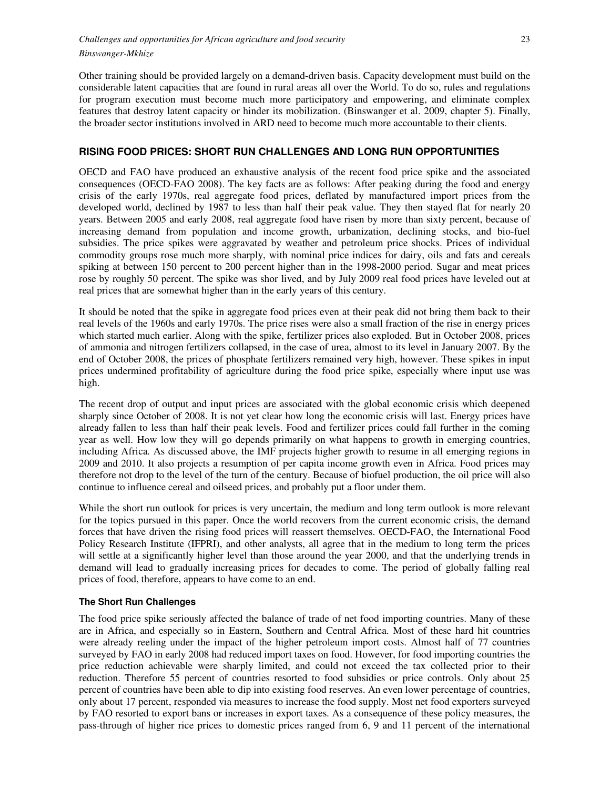Other training should be provided largely on a demand-driven basis. Capacity development must build on the considerable latent capacities that are found in rural areas all over the World. To do so, rules and regulations for program execution must become much more participatory and empowering, and eliminate complex features that destroy latent capacity or hinder its mobilization. (Binswanger et al. 2009, chapter 5). Finally, the broader sector institutions involved in ARD need to become much more accountable to their clients.

# **RISING FOOD PRICES: SHORT RUN CHALLENGES AND LONG RUN OPPORTUNITIES**

OECD and FAO have produced an exhaustive analysis of the recent food price spike and the associated consequences (OECD-FAO 2008). The key facts are as follows: After peaking during the food and energy crisis of the early 1970s, real aggregate food prices, deflated by manufactured import prices from the developed world, declined by 1987 to less than half their peak value. They then stayed flat for nearly 20 years. Between 2005 and early 2008, real aggregate food have risen by more than sixty percent, because of increasing demand from population and income growth, urbanization, declining stocks, and bio-fuel subsidies. The price spikes were aggravated by weather and petroleum price shocks. Prices of individual commodity groups rose much more sharply, with nominal price indices for dairy, oils and fats and cereals spiking at between 150 percent to 200 percent higher than in the 1998-2000 period. Sugar and meat prices rose by roughly 50 percent. The spike was shor lived, and by July 2009 real food prices have leveled out at real prices that are somewhat higher than in the early years of this century.

It should be noted that the spike in aggregate food prices even at their peak did not bring them back to their real levels of the 1960s and early 1970s. The price rises were also a small fraction of the rise in energy prices which started much earlier. Along with the spike, fertilizer prices also exploded. But in October 2008, prices of ammonia and nitrogen fertilizers collapsed, in the case of urea, almost to its level in January 2007. By the end of October 2008, the prices of phosphate fertilizers remained very high, however. These spikes in input prices undermined profitability of agriculture during the food price spike, especially where input use was high.

The recent drop of output and input prices are associated with the global economic crisis which deepened sharply since October of 2008. It is not yet clear how long the economic crisis will last. Energy prices have already fallen to less than half their peak levels. Food and fertilizer prices could fall further in the coming year as well. How low they will go depends primarily on what happens to growth in emerging countries, including Africa. As discussed above, the IMF projects higher growth to resume in all emerging regions in 2009 and 2010. It also projects a resumption of per capita income growth even in Africa. Food prices may therefore not drop to the level of the turn of the century. Because of biofuel production, the oil price will also continue to influence cereal and oilseed prices, and probably put a floor under them.

While the short run outlook for prices is very uncertain, the medium and long term outlook is more relevant for the topics pursued in this paper. Once the world recovers from the current economic crisis, the demand forces that have driven the rising food prices will reassert themselves. OECD-FAO, the International Food Policy Research Institute (IFPRI), and other analysts, all agree that in the medium to long term the prices will settle at a significantly higher level than those around the year 2000, and that the underlying trends in demand will lead to gradually increasing prices for decades to come. The period of globally falling real prices of food, therefore, appears to have come to an end.

# **The Short Run Challenges**

The food price spike seriously affected the balance of trade of net food importing countries. Many of these are in Africa, and especially so in Eastern, Southern and Central Africa. Most of these hard hit countries were already reeling under the impact of the higher petroleum import costs. Almost half of 77 countries surveyed by FAO in early 2008 had reduced import taxes on food. However, for food importing countries the price reduction achievable were sharply limited, and could not exceed the tax collected prior to their reduction. Therefore 55 percent of countries resorted to food subsidies or price controls. Only about 25 percent of countries have been able to dip into existing food reserves. An even lower percentage of countries, only about 17 percent, responded via measures to increase the food supply. Most net food exporters surveyed by FAO resorted to export bans or increases in export taxes. As a consequence of these policy measures, the pass-through of higher rice prices to domestic prices ranged from 6, 9 and 11 percent of the international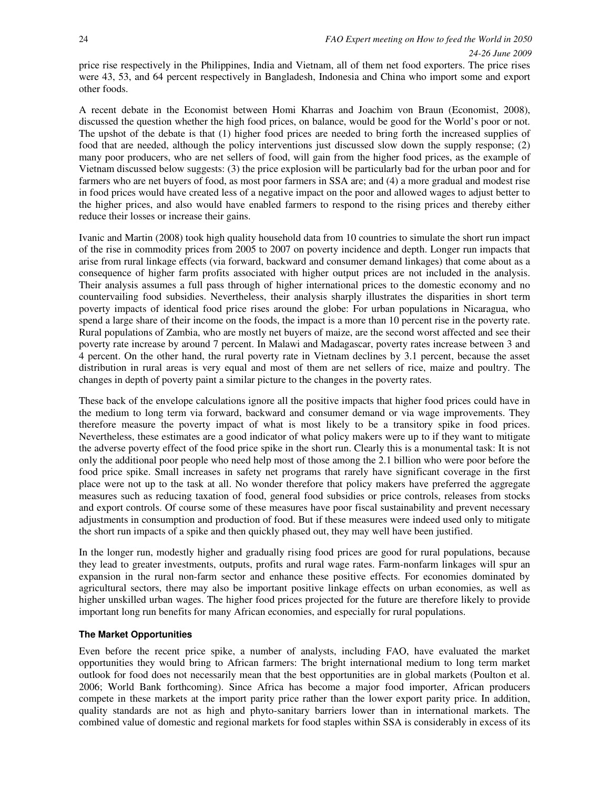price rise respectively in the Philippines, India and Vietnam, all of them net food exporters. The price rises were 43, 53, and 64 percent respectively in Bangladesh, Indonesia and China who import some and export other foods.

A recent debate in the Economist between Homi Kharras and Joachim von Braun (Economist, 2008), discussed the question whether the high food prices, on balance, would be good for the World's poor or not. The upshot of the debate is that (1) higher food prices are needed to bring forth the increased supplies of food that are needed, although the policy interventions just discussed slow down the supply response; (2) many poor producers, who are net sellers of food, will gain from the higher food prices, as the example of Vietnam discussed below suggests: (3) the price explosion will be particularly bad for the urban poor and for farmers who are net buyers of food, as most poor farmers in SSA are; and (4) a more gradual and modest rise in food prices would have created less of a negative impact on the poor and allowed wages to adjust better to the higher prices, and also would have enabled farmers to respond to the rising prices and thereby either reduce their losses or increase their gains.

Ivanic and Martin (2008) took high quality household data from 10 countries to simulate the short run impact of the rise in commodity prices from 2005 to 2007 on poverty incidence and depth. Longer run impacts that arise from rural linkage effects (via forward, backward and consumer demand linkages) that come about as a consequence of higher farm profits associated with higher output prices are not included in the analysis. Their analysis assumes a full pass through of higher international prices to the domestic economy and no countervailing food subsidies. Nevertheless, their analysis sharply illustrates the disparities in short term poverty impacts of identical food price rises around the globe: For urban populations in Nicaragua, who spend a large share of their income on the foods, the impact is a more than 10 percent rise in the poverty rate. Rural populations of Zambia, who are mostly net buyers of maize, are the second worst affected and see their poverty rate increase by around 7 percent. In Malawi and Madagascar, poverty rates increase between 3 and 4 percent. On the other hand, the rural poverty rate in Vietnam declines by 3.1 percent, because the asset distribution in rural areas is very equal and most of them are net sellers of rice, maize and poultry. The changes in depth of poverty paint a similar picture to the changes in the poverty rates.

These back of the envelope calculations ignore all the positive impacts that higher food prices could have in the medium to long term via forward, backward and consumer demand or via wage improvements. They therefore measure the poverty impact of what is most likely to be a transitory spike in food prices. Nevertheless, these estimates are a good indicator of what policy makers were up to if they want to mitigate the adverse poverty effect of the food price spike in the short run. Clearly this is a monumental task: It is not only the additional poor people who need help most of those among the 2.1 billion who were poor before the food price spike. Small increases in safety net programs that rarely have significant coverage in the first place were not up to the task at all. No wonder therefore that policy makers have preferred the aggregate measures such as reducing taxation of food, general food subsidies or price controls, releases from stocks and export controls. Of course some of these measures have poor fiscal sustainability and prevent necessary adjustments in consumption and production of food. But if these measures were indeed used only to mitigate the short run impacts of a spike and then quickly phased out, they may well have been justified.

In the longer run, modestly higher and gradually rising food prices are good for rural populations, because they lead to greater investments, outputs, profits and rural wage rates. Farm-nonfarm linkages will spur an expansion in the rural non-farm sector and enhance these positive effects. For economies dominated by agricultural sectors, there may also be important positive linkage effects on urban economies, as well as higher unskilled urban wages. The higher food prices projected for the future are therefore likely to provide important long run benefits for many African economies, and especially for rural populations.

#### **The Market Opportunities**

Even before the recent price spike, a number of analysts, including FAO, have evaluated the market opportunities they would bring to African farmers: The bright international medium to long term market outlook for food does not necessarily mean that the best opportunities are in global markets (Poulton et al. 2006; World Bank forthcoming). Since Africa has become a major food importer, African producers compete in these markets at the import parity price rather than the lower export parity price. In addition, quality standards are not as high and phyto-sanitary barriers lower than in international markets. The combined value of domestic and regional markets for food staples within SSA is considerably in excess of its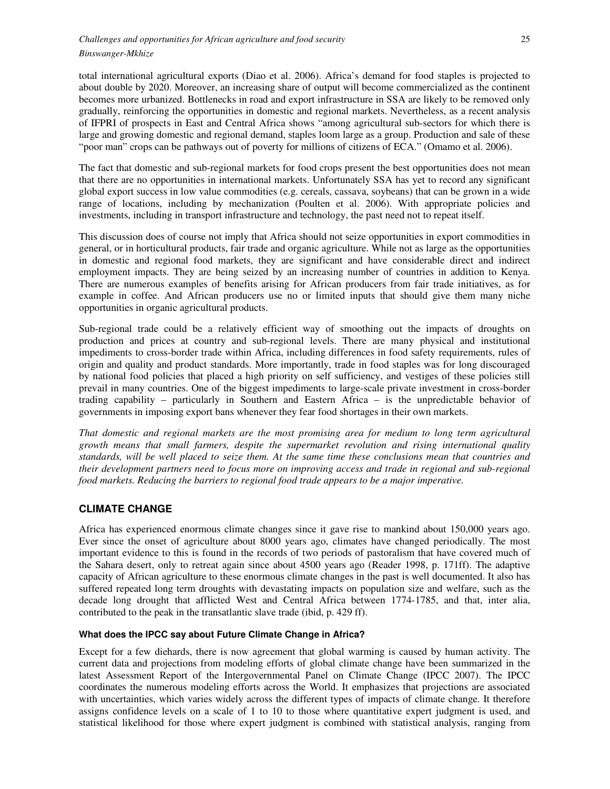total international agricultural exports (Diao et al. 2006). Africa's demand for food staples is projected to about double by 2020. Moreover, an increasing share of output will become commercialized as the continent becomes more urbanized. Bottlenecks in road and export infrastructure in SSA are likely to be removed only gradually, reinforcing the opportunities in domestic and regional markets. Nevertheless, as a recent analysis of IFPRI of prospects in East and Central Africa shows "among agricultural sub-sectors for which there is large and growing domestic and regional demand, staples loom large as a group. Production and sale of these "poor man" crops can be pathways out of poverty for millions of citizens of ECA." (Omamo et al. 2006).

The fact that domestic and sub-regional markets for food crops present the best opportunities does not mean that there are no opportunities in international markets. Unfortunately SSA has yet to record any significant global export success in low value commodities (e.g. cereals, cassava, soybeans) that can be grown in a wide range of locations, including by mechanization (Poulten et al. 2006). With appropriate policies and investments, including in transport infrastructure and technology, the past need not to repeat itself.

This discussion does of course not imply that Africa should not seize opportunities in export commodities in general, or in horticultural products, fair trade and organic agriculture. While not as large as the opportunities in domestic and regional food markets, they are significant and have considerable direct and indirect employment impacts. They are being seized by an increasing number of countries in addition to Kenya. There are numerous examples of benefits arising for African producers from fair trade initiatives, as for example in coffee. And African producers use no or limited inputs that should give them many niche opportunities in organic agricultural products.

Sub-regional trade could be a relatively efficient way of smoothing out the impacts of droughts on production and prices at country and sub-regional levels. There are many physical and institutional impediments to cross-border trade within Africa, including differences in food safety requirements, rules of origin and quality and product standards. More importantly, trade in food staples was for long discouraged by national food policies that placed a high priority on self sufficiency, and vestiges of these policies still prevail in many countries. One of the biggest impediments to large-scale private investment in cross-border trading capability – particularly in Southern and Eastern Africa – is the unpredictable behavior of governments in imposing export bans whenever they fear food shortages in their own markets.

*That domestic and regional markets are the most promising area for medium to long term agricultural growth means that small farmers, despite the supermarket revolution and rising international quality standards, will be well placed to seize them. At the same time these conclusions mean that countries and their development partners need to focus more on improving access and trade in regional and sub-regional food markets. Reducing the barriers to regional food trade appears to be a major imperative.* 

# **CLIMATE CHANGE**

Africa has experienced enormous climate changes since it gave rise to mankind about 150,000 years ago. Ever since the onset of agriculture about 8000 years ago, climates have changed periodically. The most important evidence to this is found in the records of two periods of pastoralism that have covered much of the Sahara desert, only to retreat again since about 4500 years ago (Reader 1998, p. 171ff). The adaptive capacity of African agriculture to these enormous climate changes in the past is well documented. It also has suffered repeated long term droughts with devastating impacts on population size and welfare, such as the decade long drought that afflicted West and Central Africa between 1774-1785, and that, inter alia, contributed to the peak in the transatlantic slave trade (ibid, p. 429 ff).

### **What does the IPCC say about Future Climate Change in Africa?**

Except for a few diehards, there is now agreement that global warming is caused by human activity. The current data and projections from modeling efforts of global climate change have been summarized in the latest Assessment Report of the Intergovernmental Panel on Climate Change (IPCC 2007). The IPCC coordinates the numerous modeling efforts across the World. It emphasizes that projections are associated with uncertainties, which varies widely across the different types of impacts of climate change. It therefore assigns confidence levels on a scale of 1 to 10 to those where quantitative expert judgment is used, and statistical likelihood for those where expert judgment is combined with statistical analysis, ranging from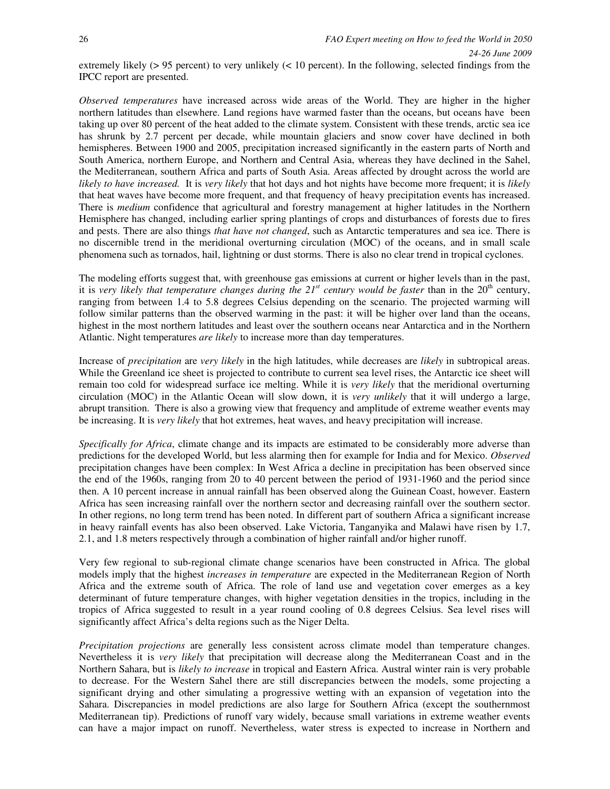extremely likely (> 95 percent) to very unlikely (< 10 percent). In the following, selected findings from the IPCC report are presented.

*Observed temperatures* have increased across wide areas of the World. They are higher in the higher northern latitudes than elsewhere. Land regions have warmed faster than the oceans, but oceans have been taking up over 80 percent of the heat added to the climate system. Consistent with these trends, arctic sea ice has shrunk by 2.7 percent per decade, while mountain glaciers and snow cover have declined in both hemispheres. Between 1900 and 2005, precipitation increased significantly in the eastern parts of North and South America, northern Europe, and Northern and Central Asia, whereas they have declined in the Sahel, the Mediterranean, southern Africa and parts of South Asia. Areas affected by drought across the world are *likely to have increased.* It is *very likely* that hot days and hot nights have become more frequent; it is *likely*  that heat waves have become more frequent, and that frequency of heavy precipitation events has increased. There is *medium* confidence that agricultural and forestry management at higher latitudes in the Northern Hemisphere has changed, including earlier spring plantings of crops and disturbances of forests due to fires and pests. There are also things *that have not changed*, such as Antarctic temperatures and sea ice. There is no discernible trend in the meridional overturning circulation (MOC) of the oceans, and in small scale phenomena such as tornados, hail, lightning or dust storms. There is also no clear trend in tropical cyclones.

The modeling efforts suggest that, with greenhouse gas emissions at current or higher levels than in the past, it is very likely that temperature changes during the 21<sup>st</sup> century would be faster than in the 20<sup>th</sup> century, ranging from between 1.4 to 5.8 degrees Celsius depending on the scenario. The projected warming will follow similar patterns than the observed warming in the past: it will be higher over land than the oceans, highest in the most northern latitudes and least over the southern oceans near Antarctica and in the Northern Atlantic. Night temperatures *are likely* to increase more than day temperatures.

Increase of *precipitation* are *very likely* in the high latitudes, while decreases are *likely* in subtropical areas. While the Greenland ice sheet is projected to contribute to current sea level rises, the Antarctic ice sheet will remain too cold for widespread surface ice melting. While it is *very likely* that the meridional overturning circulation (MOC) in the Atlantic Ocean will slow down, it is *very unlikely* that it will undergo a large, abrupt transition. There is also a growing view that frequency and amplitude of extreme weather events may be increasing. It is *very likely* that hot extremes, heat waves, and heavy precipitation will increase.

*Specifically for Africa*, climate change and its impacts are estimated to be considerably more adverse than predictions for the developed World, but less alarming then for example for India and for Mexico. *Observed* precipitation changes have been complex: In West Africa a decline in precipitation has been observed since the end of the 1960s, ranging from 20 to 40 percent between the period of 1931-1960 and the period since then. A 10 percent increase in annual rainfall has been observed along the Guinean Coast, however. Eastern Africa has seen increasing rainfall over the northern sector and decreasing rainfall over the southern sector. In other regions, no long term trend has been noted. In different part of southern Africa a significant increase in heavy rainfall events has also been observed. Lake Victoria, Tanganyika and Malawi have risen by 1.7, 2.1, and 1.8 meters respectively through a combination of higher rainfall and/or higher runoff.

Very few regional to sub-regional climate change scenarios have been constructed in Africa. The global models imply that the highest *increases in temperature* are expected in the Mediterranean Region of North Africa and the extreme south of Africa. The role of land use and vegetation cover emerges as a key determinant of future temperature changes, with higher vegetation densities in the tropics, including in the tropics of Africa suggested to result in a year round cooling of 0.8 degrees Celsius. Sea level rises will significantly affect Africa's delta regions such as the Niger Delta.

*Precipitation projections* are generally less consistent across climate model than temperature changes. Nevertheless it is *very likely* that precipitation will decrease along the Mediterranean Coast and in the Northern Sahara, but is *likely to increase* in tropical and Eastern Africa. Austral winter rain is very probable to decrease. For the Western Sahel there are still discrepancies between the models, some projecting a significant drying and other simulating a progressive wetting with an expansion of vegetation into the Sahara. Discrepancies in model predictions are also large for Southern Africa (except the southernmost Mediterranean tip). Predictions of runoff vary widely, because small variations in extreme weather events can have a major impact on runoff. Nevertheless, water stress is expected to increase in Northern and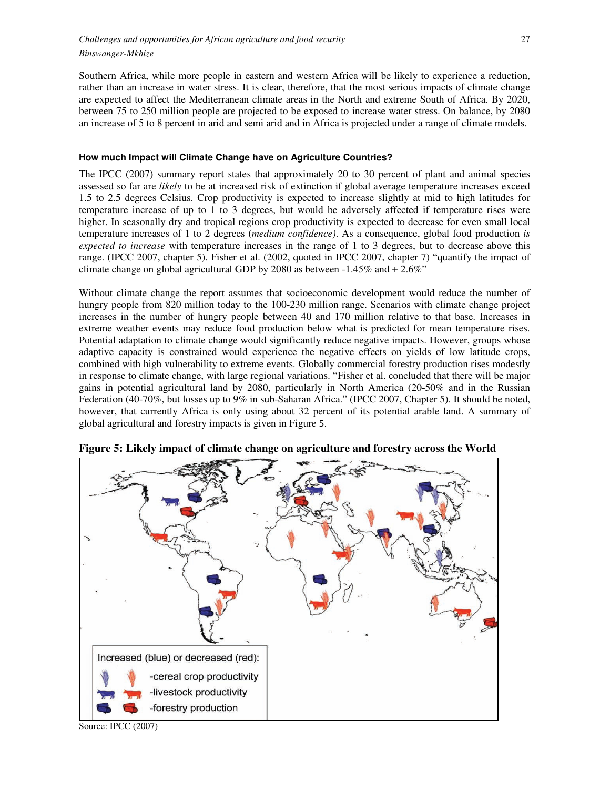Southern Africa, while more people in eastern and western Africa will be likely to experience a reduction, rather than an increase in water stress. It is clear, therefore, that the most serious impacts of climate change are expected to affect the Mediterranean climate areas in the North and extreme South of Africa. By 2020, between 75 to 250 million people are projected to be exposed to increase water stress. On balance, by 2080 an increase of 5 to 8 percent in arid and semi arid and in Africa is projected under a range of climate models.

#### **How much Impact will Climate Change have on Agriculture Countries?**

The IPCC (2007) summary report states that approximately 20 to 30 percent of plant and animal species assessed so far are *likely* to be at increased risk of extinction if global average temperature increases exceed 1.5 to 2.5 degrees Celsius. Crop productivity is expected to increase slightly at mid to high latitudes for temperature increase of up to 1 to 3 degrees, but would be adversely affected if temperature rises were higher. In seasonally dry and tropical regions crop productivity is expected to decrease for even small local temperature increases of 1 to 2 degrees (*medium confidence)*. As a consequence, global food production *is expected to increase* with temperature increases in the range of 1 to 3 degrees, but to decrease above this range. (IPCC 2007, chapter 5). Fisher et al. (2002, quoted in IPCC 2007, chapter 7) "quantify the impact of climate change on global agricultural GDP by 2080 as between -1.45% and + 2.6%"

Without climate change the report assumes that socioeconomic development would reduce the number of hungry people from 820 million today to the 100-230 million range. Scenarios with climate change project increases in the number of hungry people between 40 and 170 million relative to that base. Increases in extreme weather events may reduce food production below what is predicted for mean temperature rises. Potential adaptation to climate change would significantly reduce negative impacts. However, groups whose adaptive capacity is constrained would experience the negative effects on yields of low latitude crops, combined with high vulnerability to extreme events. Globally commercial forestry production rises modestly in response to climate change, with large regional variations. "Fisher et al. concluded that there will be major gains in potential agricultural land by 2080, particularly in North America (20-50% and in the Russian Federation (40-70%, but losses up to 9% in sub-Saharan Africa." (IPCC 2007, Chapter 5). It should be noted, however, that currently Africa is only using about 32 percent of its potential arable land. A summary of global agricultural and forestry impacts is given in Figure 5.



**Figure 5: Likely impact of climate change on agriculture and forestry across the World** 

Source: IPCC (2007)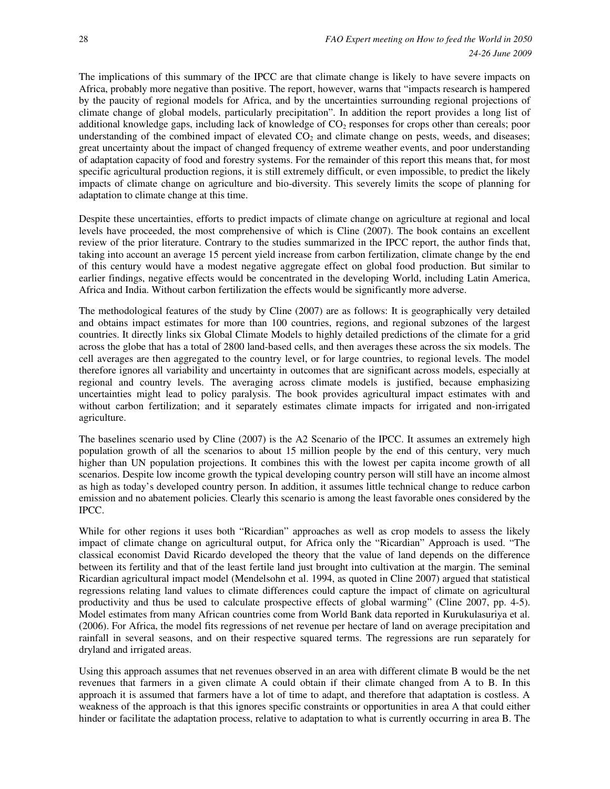The implications of this summary of the IPCC are that climate change is likely to have severe impacts on Africa, probably more negative than positive. The report, however, warns that "impacts research is hampered by the paucity of regional models for Africa, and by the uncertainties surrounding regional projections of climate change of global models, particularly precipitation". In addition the report provides a long list of additional knowledge gaps, including lack of knowledge of  $CO<sub>2</sub>$  responses for crops other than cereals; poor understanding of the combined impact of elevated  $CO<sub>2</sub>$  and climate change on pests, weeds, and diseases; great uncertainty about the impact of changed frequency of extreme weather events, and poor understanding of adaptation capacity of food and forestry systems. For the remainder of this report this means that, for most specific agricultural production regions, it is still extremely difficult, or even impossible, to predict the likely impacts of climate change on agriculture and bio-diversity. This severely limits the scope of planning for adaptation to climate change at this time.

Despite these uncertainties, efforts to predict impacts of climate change on agriculture at regional and local levels have proceeded, the most comprehensive of which is Cline (2007). The book contains an excellent review of the prior literature. Contrary to the studies summarized in the IPCC report, the author finds that, taking into account an average 15 percent yield increase from carbon fertilization, climate change by the end of this century would have a modest negative aggregate effect on global food production. But similar to earlier findings, negative effects would be concentrated in the developing World, including Latin America, Africa and India. Without carbon fertilization the effects would be significantly more adverse.

The methodological features of the study by Cline (2007) are as follows: It is geographically very detailed and obtains impact estimates for more than 100 countries, regions, and regional subzones of the largest countries. It directly links six Global Climate Models to highly detailed predictions of the climate for a grid across the globe that has a total of 2800 land-based cells, and then averages these across the six models. The cell averages are then aggregated to the country level, or for large countries, to regional levels. The model therefore ignores all variability and uncertainty in outcomes that are significant across models, especially at regional and country levels. The averaging across climate models is justified, because emphasizing uncertainties might lead to policy paralysis. The book provides agricultural impact estimates with and without carbon fertilization; and it separately estimates climate impacts for irrigated and non-irrigated agriculture.

The baselines scenario used by Cline (2007) is the A2 Scenario of the IPCC. It assumes an extremely high population growth of all the scenarios to about 15 million people by the end of this century, very much higher than UN population projections. It combines this with the lowest per capita income growth of all scenarios. Despite low income growth the typical developing country person will still have an income almost as high as today's developed country person. In addition, it assumes little technical change to reduce carbon emission and no abatement policies. Clearly this scenario is among the least favorable ones considered by the IPCC.

While for other regions it uses both "Ricardian" approaches as well as crop models to assess the likely impact of climate change on agricultural output, for Africa only the "Ricardian" Approach is used. "The classical economist David Ricardo developed the theory that the value of land depends on the difference between its fertility and that of the least fertile land just brought into cultivation at the margin. The seminal Ricardian agricultural impact model (Mendelsohn et al. 1994, as quoted in Cline 2007) argued that statistical regressions relating land values to climate differences could capture the impact of climate on agricultural productivity and thus be used to calculate prospective effects of global warming" (Cline 2007, pp. 4-5). Model estimates from many African countries come from World Bank data reported in Kurukulasuriya et al. (2006). For Africa, the model fits regressions of net revenue per hectare of land on average precipitation and rainfall in several seasons, and on their respective squared terms. The regressions are run separately for dryland and irrigated areas.

Using this approach assumes that net revenues observed in an area with different climate B would be the net revenues that farmers in a given climate A could obtain if their climate changed from A to B. In this approach it is assumed that farmers have a lot of time to adapt, and therefore that adaptation is costless. A weakness of the approach is that this ignores specific constraints or opportunities in area A that could either hinder or facilitate the adaptation process, relative to adaptation to what is currently occurring in area B. The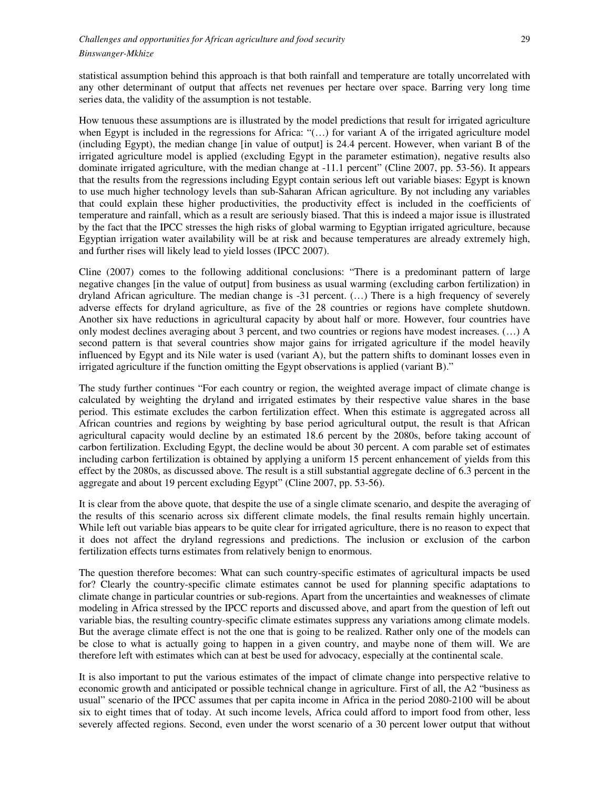statistical assumption behind this approach is that both rainfall and temperature are totally uncorrelated with any other determinant of output that affects net revenues per hectare over space. Barring very long time series data, the validity of the assumption is not testable.

How tenuous these assumptions are is illustrated by the model predictions that result for irrigated agriculture when Egypt is included in the regressions for Africa: "(…) for variant A of the irrigated agriculture model (including Egypt), the median change [in value of output] is 24.4 percent. However, when variant B of the irrigated agriculture model is applied (excluding Egypt in the parameter estimation), negative results also dominate irrigated agriculture, with the median change at -11.1 percent" (Cline 2007, pp. 53-56). It appears that the results from the regressions including Egypt contain serious left out variable biases: Egypt is known to use much higher technology levels than sub-Saharan African agriculture. By not including any variables that could explain these higher productivities, the productivity effect is included in the coefficients of temperature and rainfall, which as a result are seriously biased. That this is indeed a major issue is illustrated by the fact that the IPCC stresses the high risks of global warming to Egyptian irrigated agriculture, because Egyptian irrigation water availability will be at risk and because temperatures are already extremely high, and further rises will likely lead to yield losses (IPCC 2007).

Cline (2007) comes to the following additional conclusions: "There is a predominant pattern of large negative changes [in the value of output] from business as usual warming (excluding carbon fertilization) in dryland African agriculture. The median change is -31 percent. (…) There is a high frequency of severely adverse effects for dryland agriculture, as five of the 28 countries or regions have complete shutdown. Another six have reductions in agricultural capacity by about half or more. However, four countries have only modest declines averaging about 3 percent, and two countries or regions have modest increases. (…) A second pattern is that several countries show major gains for irrigated agriculture if the model heavily influenced by Egypt and its Nile water is used (variant A), but the pattern shifts to dominant losses even in irrigated agriculture if the function omitting the Egypt observations is applied (variant B)."

The study further continues "For each country or region, the weighted average impact of climate change is calculated by weighting the dryland and irrigated estimates by their respective value shares in the base period. This estimate excludes the carbon fertilization effect. When this estimate is aggregated across all African countries and regions by weighting by base period agricultural output, the result is that African agricultural capacity would decline by an estimated 18.6 percent by the 2080s, before taking account of carbon fertilization. Excluding Egypt, the decline would be about 30 percent. A com parable set of estimates including carbon fertilization is obtained by applying a uniform 15 percent enhancement of yields from this effect by the 2080s, as discussed above. The result is a still substantial aggregate decline of 6.3 percent in the aggregate and about 19 percent excluding Egypt" (Cline 2007, pp. 53-56).

It is clear from the above quote, that despite the use of a single climate scenario, and despite the averaging of the results of this scenario across six different climate models, the final results remain highly uncertain. While left out variable bias appears to be quite clear for irrigated agriculture, there is no reason to expect that it does not affect the dryland regressions and predictions. The inclusion or exclusion of the carbon fertilization effects turns estimates from relatively benign to enormous.

The question therefore becomes: What can such country-specific estimates of agricultural impacts be used for? Clearly the country-specific climate estimates cannot be used for planning specific adaptations to climate change in particular countries or sub-regions. Apart from the uncertainties and weaknesses of climate modeling in Africa stressed by the IPCC reports and discussed above, and apart from the question of left out variable bias, the resulting country-specific climate estimates suppress any variations among climate models. But the average climate effect is not the one that is going to be realized. Rather only one of the models can be close to what is actually going to happen in a given country, and maybe none of them will. We are therefore left with estimates which can at best be used for advocacy, especially at the continental scale.

It is also important to put the various estimates of the impact of climate change into perspective relative to economic growth and anticipated or possible technical change in agriculture. First of all, the A2 "business as usual" scenario of the IPCC assumes that per capita income in Africa in the period 2080-2100 will be about six to eight times that of today. At such income levels, Africa could afford to import food from other, less severely affected regions. Second, even under the worst scenario of a 30 percent lower output that without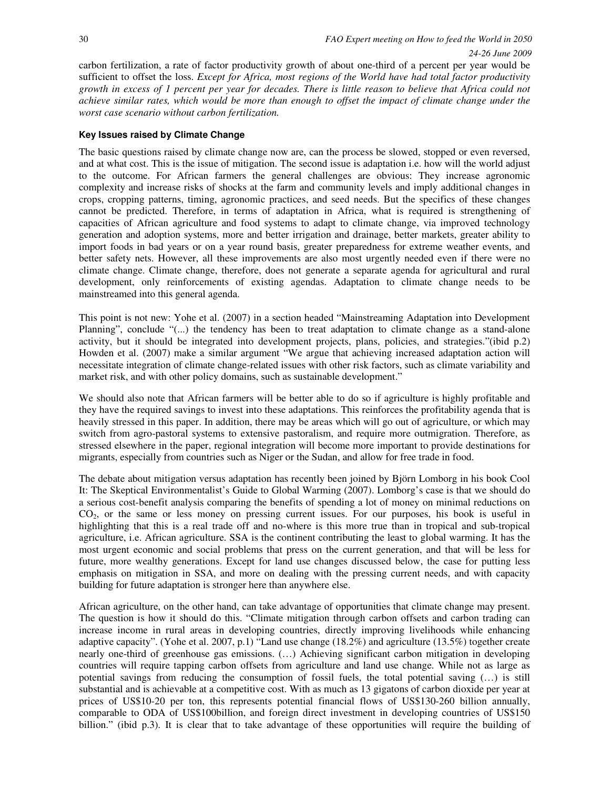carbon fertilization, a rate of factor productivity growth of about one-third of a percent per year would be sufficient to offset the loss. *Except for Africa, most regions of the World have had total factor productivity growth in excess of 1 percent per year for decades. There is little reason to believe that Africa could not achieve similar rates, which would be more than enough to offset the impact of climate change under the worst case scenario without carbon fertilization.* 

#### **Key Issues raised by Climate Change**

The basic questions raised by climate change now are, can the process be slowed, stopped or even reversed, and at what cost. This is the issue of mitigation. The second issue is adaptation i.e. how will the world adjust to the outcome. For African farmers the general challenges are obvious: They increase agronomic complexity and increase risks of shocks at the farm and community levels and imply additional changes in crops, cropping patterns, timing, agronomic practices, and seed needs. But the specifics of these changes cannot be predicted. Therefore, in terms of adaptation in Africa, what is required is strengthening of capacities of African agriculture and food systems to adapt to climate change, via improved technology generation and adoption systems, more and better irrigation and drainage, better markets, greater ability to import foods in bad years or on a year round basis, greater preparedness for extreme weather events, and better safety nets. However, all these improvements are also most urgently needed even if there were no climate change. Climate change, therefore, does not generate a separate agenda for agricultural and rural development, only reinforcements of existing agendas. Adaptation to climate change needs to be mainstreamed into this general agenda.

This point is not new: Yohe et al. (2007) in a section headed "Mainstreaming Adaptation into Development Planning", conclude "(...) the tendency has been to treat adaptation to climate change as a stand-alone activity, but it should be integrated into development projects, plans, policies, and strategies."(ibid p.2) Howden et al. (2007) make a similar argument "We argue that achieving increased adaptation action will necessitate integration of climate change-related issues with other risk factors, such as climate variability and market risk, and with other policy domains, such as sustainable development."

We should also note that African farmers will be better able to do so if agriculture is highly profitable and they have the required savings to invest into these adaptations. This reinforces the profitability agenda that is heavily stressed in this paper. In addition, there may be areas which will go out of agriculture, or which may switch from agro-pastoral systems to extensive pastoralism, and require more outmigration. Therefore, as stressed elsewhere in the paper, regional integration will become more important to provide destinations for migrants, especially from countries such as Niger or the Sudan, and allow for free trade in food.

The debate about mitigation versus adaptation has recently been joined by Björn Lomborg in his book Cool It: The Skeptical Environmentalist's Guide to Global Warming (2007). Lomborg's case is that we should do a serious cost-benefit analysis comparing the benefits of spending a lot of money on minimal reductions on CO2, or the same or less money on pressing current issues. For our purposes, his book is useful in highlighting that this is a real trade off and no-where is this more true than in tropical and sub-tropical agriculture, i.e. African agriculture. SSA is the continent contributing the least to global warming. It has the most urgent economic and social problems that press on the current generation, and that will be less for future, more wealthy generations. Except for land use changes discussed below, the case for putting less emphasis on mitigation in SSA, and more on dealing with the pressing current needs, and with capacity building for future adaptation is stronger here than anywhere else.

African agriculture, on the other hand, can take advantage of opportunities that climate change may present. The question is how it should do this. "Climate mitigation through carbon offsets and carbon trading can increase income in rural areas in developing countries, directly improving livelihoods while enhancing adaptive capacity". (Yohe et al. 2007, p.1) "Land use change (18.2%) and agriculture (13.5%) together create nearly one-third of greenhouse gas emissions. (…) Achieving significant carbon mitigation in developing countries will require tapping carbon offsets from agriculture and land use change. While not as large as potential savings from reducing the consumption of fossil fuels, the total potential saving (…) is still substantial and is achievable at a competitive cost. With as much as 13 gigatons of carbon dioxide per year at prices of US\$10-20 per ton, this represents potential financial flows of US\$130-260 billion annually, comparable to ODA of US\$100billion, and foreign direct investment in developing countries of US\$150 billion." (ibid p.3). It is clear that to take advantage of these opportunities will require the building of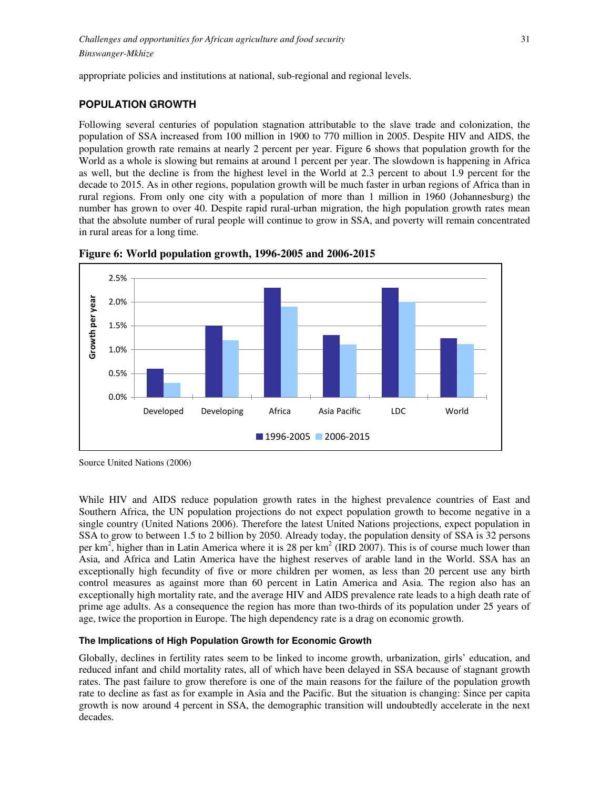appropriate policies and institutions at national, sub-regional and regional levels.

# **POPULATION GROWTH**

Following several centuries of population stagnation attributable to the slave trade and colonization, the population of SSA increased from 100 million in 1900 to 770 million in 2005. Despite HIV and AIDS, the population growth rate remains at nearly 2 percent per year. Figure 6 shows that population growth for the World as a whole is slowing but remains at around 1 percent per year. The slowdown is happening in Africa as well, but the decline is from the highest level in the World at 2.3 percent to about 1.9 percent for the decade to 2015. As in other regions, population growth will be much faster in urban regions of Africa than in rural regions. From only one city with a population of more than 1 million in 1960 (Johannesburg) the number has grown to over 40. Despite rapid rural-urban migration, the high population growth rates mean that the absolute number of rural people will continue to grow in SSA, and poverty will remain concentrated in rural areas for a long time.



**Figure 6: World population growth, 1996-2005 and 2006-2015** 

Source United Nations (2006)

While HIV and AIDS reduce population growth rates in the highest prevalence countries of East and Southern Africa, the UN population projections do not expect population growth to become negative in a single country (United Nations 2006). Therefore the latest United Nations projections, expect population in SSA to grow to between 1.5 to 2 billion by 2050. Already today, the population density of SSA is 32 persons per  $km^2$ , higher than in Latin America where it is 28 per  $km^2$  (IRD 2007). This is of course much lower than Asia, and Africa and Latin America have the highest reserves of arable land in the World. SSA has an exceptionally high fecundity of five or more children per women, as less than 20 percent use any birth control measures as against more than 60 percent in Latin America and Asia. The region also has an exceptionally high mortality rate, and the average HIV and AIDS prevalence rate leads to a high death rate of prime age adults. As a consequence the region has more than two-thirds of its population under 25 years of age, twice the proportion in Europe. The high dependency rate is a drag on economic growth.

# **The Implications of High Population Growth for Economic Growth**

Globally, declines in fertility rates seem to be linked to income growth, urbanization, girls' education, and reduced infant and child mortality rates, all of which have been delayed in SSA because of stagnant growth rates. The past failure to grow therefore is one of the main reasons for the failure of the population growth rate to decline as fast as for example in Asia and the Pacific. But the situation is changing: Since per capita growth is now around 4 percent in SSA, the demographic transition will undoubtedly accelerate in the next decades.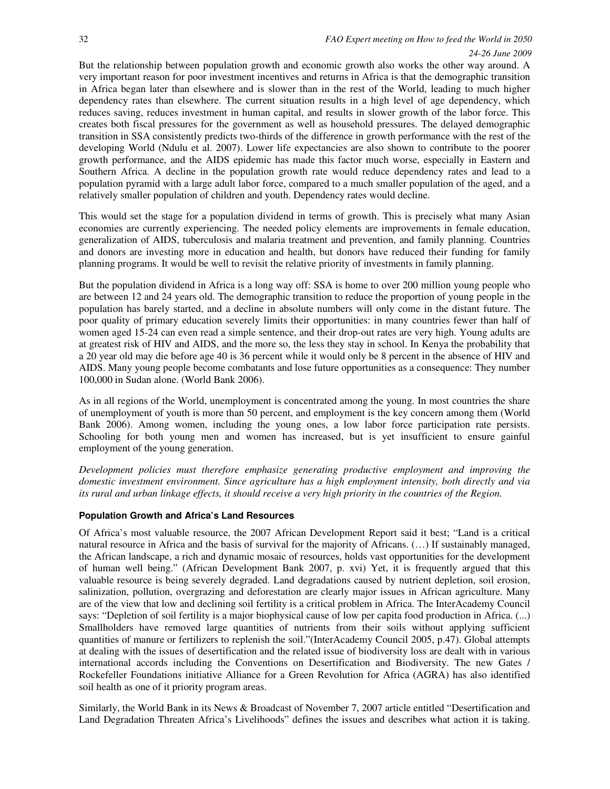# 32 *FAO Expert meeting on How to feed the World in 2050 24-26 June 2009*

But the relationship between population growth and economic growth also works the other way around. A very important reason for poor investment incentives and returns in Africa is that the demographic transition in Africa began later than elsewhere and is slower than in the rest of the World, leading to much higher dependency rates than elsewhere. The current situation results in a high level of age dependency, which reduces saving, reduces investment in human capital, and results in slower growth of the labor force. This creates both fiscal pressures for the government as well as household pressures. The delayed demographic transition in SSA consistently predicts two-thirds of the difference in growth performance with the rest of the developing World (Ndulu et al. 2007). Lower life expectancies are also shown to contribute to the poorer growth performance, and the AIDS epidemic has made this factor much worse, especially in Eastern and Southern Africa. A decline in the population growth rate would reduce dependency rates and lead to a population pyramid with a large adult labor force, compared to a much smaller population of the aged, and a relatively smaller population of children and youth. Dependency rates would decline.

This would set the stage for a population dividend in terms of growth. This is precisely what many Asian economies are currently experiencing. The needed policy elements are improvements in female education, generalization of AIDS, tuberculosis and malaria treatment and prevention, and family planning. Countries and donors are investing more in education and health, but donors have reduced their funding for family planning programs. It would be well to revisit the relative priority of investments in family planning.

But the population dividend in Africa is a long way off: SSA is home to over 200 million young people who are between 12 and 24 years old. The demographic transition to reduce the proportion of young people in the population has barely started, and a decline in absolute numbers will only come in the distant future. The poor quality of primary education severely limits their opportunities: in many countries fewer than half of women aged 15-24 can even read a simple sentence, and their drop-out rates are very high. Young adults are at greatest risk of HIV and AIDS, and the more so, the less they stay in school. In Kenya the probability that a 20 year old may die before age 40 is 36 percent while it would only be 8 percent in the absence of HIV and AIDS. Many young people become combatants and lose future opportunities as a consequence: They number 100,000 in Sudan alone. (World Bank 2006).

As in all regions of the World, unemployment is concentrated among the young. In most countries the share of unemployment of youth is more than 50 percent, and employment is the key concern among them (World Bank 2006). Among women, including the young ones, a low labor force participation rate persists. Schooling for both young men and women has increased, but is yet insufficient to ensure gainful employment of the young generation.

*Development policies must therefore emphasize generating productive employment and improving the domestic investment environment. Since agriculture has a high employment intensity, both directly and via its rural and urban linkage effects, it should receive a very high priority in the countries of the Region.* 

# **Population Growth and Africa's Land Resources**

Of Africa's most valuable resource, the 2007 African Development Report said it best; "Land is a critical natural resource in Africa and the basis of survival for the majority of Africans. (…) If sustainably managed, the African landscape, a rich and dynamic mosaic of resources, holds vast opportunities for the development of human well being." (African Development Bank 2007, p. xvi) Yet, it is frequently argued that this valuable resource is being severely degraded. Land degradations caused by nutrient depletion, soil erosion, salinization, pollution, overgrazing and deforestation are clearly major issues in African agriculture. Many are of the view that low and declining soil fertility is a critical problem in Africa. The InterAcademy Council says: "Depletion of soil fertility is a major biophysical cause of low per capita food production in Africa. (...) Smallholders have removed large quantities of nutrients from their soils without applying sufficient quantities of manure or fertilizers to replenish the soil."(InterAcademy Council 2005, p.47). Global attempts at dealing with the issues of desertification and the related issue of biodiversity loss are dealt with in various international accords including the Conventions on Desertification and Biodiversity. The new Gates / Rockefeller Foundations initiative Alliance for a Green Revolution for Africa (AGRA) has also identified soil health as one of it priority program areas.

Similarly, the World Bank in its News & Broadcast of November 7, 2007 article entitled "Desertification and Land Degradation Threaten Africa's Livelihoods" defines the issues and describes what action it is taking.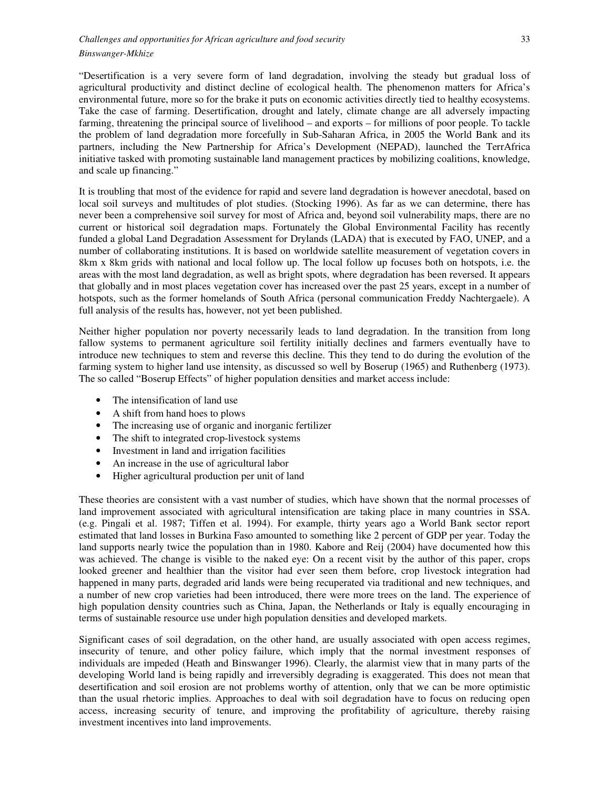"Desertification is a very severe form of land degradation, involving the steady but gradual loss of agricultural productivity and distinct decline of ecological health. The phenomenon matters for Africa's environmental future, more so for the brake it puts on economic activities directly tied to healthy ecosystems. Take the case of farming. Desertification, drought and lately, climate change are all adversely impacting farming, threatening the principal source of livelihood – and exports – for millions of poor people. To tackle the problem of land degradation more forcefully in Sub-Saharan Africa, in 2005 the World Bank and its partners, including the New Partnership for Africa's Development (NEPAD), launched the TerrAfrica initiative tasked with promoting sustainable land management practices by mobilizing coalitions, knowledge, and scale up financing."

It is troubling that most of the evidence for rapid and severe land degradation is however anecdotal, based on local soil surveys and multitudes of plot studies. (Stocking 1996). As far as we can determine, there has never been a comprehensive soil survey for most of Africa and, beyond soil vulnerability maps, there are no current or historical soil degradation maps. Fortunately the Global Environmental Facility has recently funded a global Land Degradation Assessment for Drylands (LADA) that is executed by FAO, UNEP, and a number of collaborating institutions. It is based on worldwide satellite measurement of vegetation covers in 8km x 8km grids with national and local follow up. The local follow up focuses both on hotspots, i.e. the areas with the most land degradation, as well as bright spots, where degradation has been reversed. It appears that globally and in most places vegetation cover has increased over the past 25 years, except in a number of hotspots, such as the former homelands of South Africa (personal communication Freddy Nachtergaele). A full analysis of the results has, however, not yet been published.

Neither higher population nor poverty necessarily leads to land degradation. In the transition from long fallow systems to permanent agriculture soil fertility initially declines and farmers eventually have to introduce new techniques to stem and reverse this decline. This they tend to do during the evolution of the farming system to higher land use intensity, as discussed so well by Boserup (1965) and Ruthenberg (1973). The so called "Boserup Effects" of higher population densities and market access include:

- The intensification of land use
- A shift from hand hoes to plows
- The increasing use of organic and inorganic fertilizer
- The shift to integrated crop-livestock systems
- Investment in land and irrigation facilities
- An increase in the use of agricultural labor
- Higher agricultural production per unit of land

These theories are consistent with a vast number of studies, which have shown that the normal processes of land improvement associated with agricultural intensification are taking place in many countries in SSA. (e.g. Pingali et al. 1987; Tiffen et al. 1994). For example, thirty years ago a World Bank sector report estimated that land losses in Burkina Faso amounted to something like 2 percent of GDP per year. Today the land supports nearly twice the population than in 1980. Kabore and Reij (2004) have documented how this was achieved. The change is visible to the naked eye: On a recent visit by the author of this paper, crops looked greener and healthier than the visitor had ever seen them before, crop livestock integration had happened in many parts, degraded arid lands were being recuperated via traditional and new techniques, and a number of new crop varieties had been introduced, there were more trees on the land. The experience of high population density countries such as China, Japan, the Netherlands or Italy is equally encouraging in terms of sustainable resource use under high population densities and developed markets.

Significant cases of soil degradation, on the other hand, are usually associated with open access regimes, insecurity of tenure, and other policy failure, which imply that the normal investment responses of individuals are impeded (Heath and Binswanger 1996). Clearly, the alarmist view that in many parts of the developing World land is being rapidly and irreversibly degrading is exaggerated. This does not mean that desertification and soil erosion are not problems worthy of attention, only that we can be more optimistic than the usual rhetoric implies. Approaches to deal with soil degradation have to focus on reducing open access, increasing security of tenure, and improving the profitability of agriculture, thereby raising investment incentives into land improvements.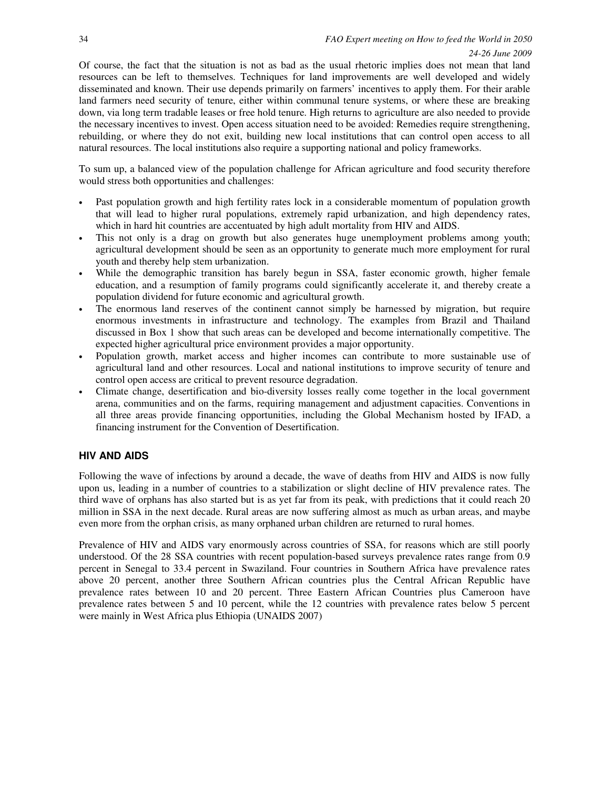Of course, the fact that the situation is not as bad as the usual rhetoric implies does not mean that land resources can be left to themselves. Techniques for land improvements are well developed and widely disseminated and known. Their use depends primarily on farmers' incentives to apply them. For their arable land farmers need security of tenure, either within communal tenure systems, or where these are breaking down, via long term tradable leases or free hold tenure. High returns to agriculture are also needed to provide the necessary incentives to invest. Open access situation need to be avoided: Remedies require strengthening, rebuilding, or where they do not exit, building new local institutions that can control open access to all natural resources. The local institutions also require a supporting national and policy frameworks.

To sum up, a balanced view of the population challenge for African agriculture and food security therefore would stress both opportunities and challenges:

- Past population growth and high fertility rates lock in a considerable momentum of population growth that will lead to higher rural populations, extremely rapid urbanization, and high dependency rates, which in hard hit countries are accentuated by high adult mortality from HIV and AIDS.
- This not only is a drag on growth but also generates huge unemployment problems among youth; agricultural development should be seen as an opportunity to generate much more employment for rural youth and thereby help stem urbanization.
- While the demographic transition has barely begun in SSA, faster economic growth, higher female education, and a resumption of family programs could significantly accelerate it, and thereby create a population dividend for future economic and agricultural growth.
- The enormous land reserves of the continent cannot simply be harnessed by migration, but require enormous investments in infrastructure and technology. The examples from Brazil and Thailand discussed in Box 1 show that such areas can be developed and become internationally competitive. The expected higher agricultural price environment provides a major opportunity.
- Population growth, market access and higher incomes can contribute to more sustainable use of agricultural land and other resources. Local and national institutions to improve security of tenure and control open access are critical to prevent resource degradation.
- Climate change, desertification and bio-diversity losses really come together in the local government arena, communities and on the farms, requiring management and adjustment capacities. Conventions in all three areas provide financing opportunities, including the Global Mechanism hosted by IFAD, a financing instrument for the Convention of Desertification.

# **HIV AND AIDS**

Following the wave of infections by around a decade, the wave of deaths from HIV and AIDS is now fully upon us, leading in a number of countries to a stabilization or slight decline of HIV prevalence rates. The third wave of orphans has also started but is as yet far from its peak, with predictions that it could reach 20 million in SSA in the next decade. Rural areas are now suffering almost as much as urban areas, and maybe even more from the orphan crisis, as many orphaned urban children are returned to rural homes.

Prevalence of HIV and AIDS vary enormously across countries of SSA, for reasons which are still poorly understood. Of the 28 SSA countries with recent population-based surveys prevalence rates range from 0.9 percent in Senegal to 33.4 percent in Swaziland. Four countries in Southern Africa have prevalence rates above 20 percent, another three Southern African countries plus the Central African Republic have prevalence rates between 10 and 20 percent. Three Eastern African Countries plus Cameroon have prevalence rates between 5 and 10 percent, while the 12 countries with prevalence rates below 5 percent were mainly in West Africa plus Ethiopia (UNAIDS 2007)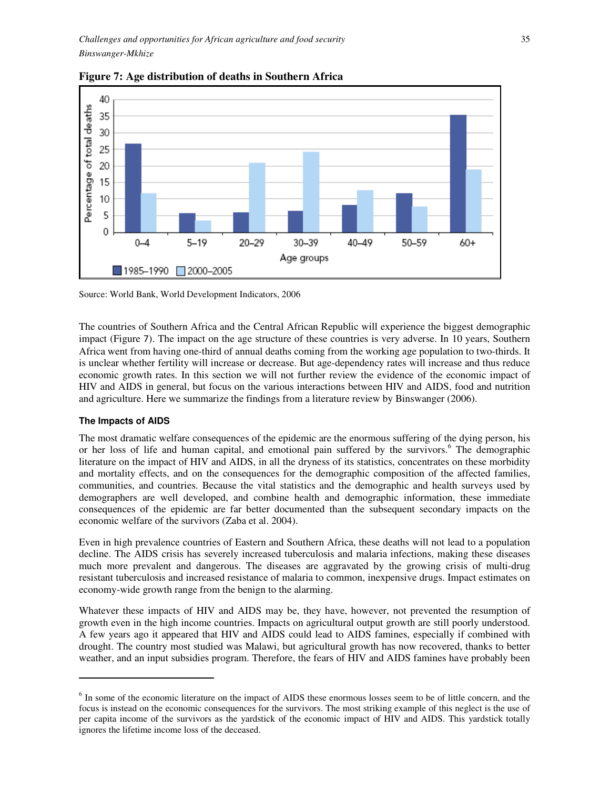

**Figure 7: Age distribution of deaths in Southern Africa** 

Source: World Bank, World Development Indicators, 2006

The countries of Southern Africa and the Central African Republic will experience the biggest demographic impact (Figure 7). The impact on the age structure of these countries is very adverse. In 10 years, Southern Africa went from having one-third of annual deaths coming from the working age population to two-thirds. It is unclear whether fertility will increase or decrease. But age-dependency rates will increase and thus reduce economic growth rates. In this section we will not further review the evidence of the economic impact of HIV and AIDS in general, but focus on the various interactions between HIV and AIDS, food and nutrition and agriculture. Here we summarize the findings from a literature review by Binswanger (2006).

# **The Impacts of AIDS**

l,

The most dramatic welfare consequences of the epidemic are the enormous suffering of the dying person, his or her loss of life and human capital, and emotional pain suffered by the survivors.<sup>6</sup> The demographic literature on the impact of HIV and AIDS, in all the dryness of its statistics, concentrates on these morbidity and mortality effects, and on the consequences for the demographic composition of the affected families, communities, and countries. Because the vital statistics and the demographic and health surveys used by demographers are well developed, and combine health and demographic information, these immediate consequences of the epidemic are far better documented than the subsequent secondary impacts on the economic welfare of the survivors (Zaba et al. 2004).

Even in high prevalence countries of Eastern and Southern Africa, these deaths will not lead to a population decline. The AIDS crisis has severely increased tuberculosis and malaria infections, making these diseases much more prevalent and dangerous. The diseases are aggravated by the growing crisis of multi-drug resistant tuberculosis and increased resistance of malaria to common, inexpensive drugs. Impact estimates on economy-wide growth range from the benign to the alarming.

Whatever these impacts of HIV and AIDS may be, they have, however, not prevented the resumption of growth even in the high income countries. Impacts on agricultural output growth are still poorly understood. A few years ago it appeared that HIV and AIDS could lead to AIDS famines, especially if combined with drought. The country most studied was Malawi, but agricultural growth has now recovered, thanks to better weather, and an input subsidies program. Therefore, the fears of HIV and AIDS famines have probably been

<sup>&</sup>lt;sup>6</sup> In some of the economic literature on the impact of AIDS these enormous losses seem to be of little concern, and the focus is instead on the economic consequences for the survivors. The most striking example of this neglect is the use of per capita income of the survivors as the yardstick of the economic impact of HIV and AIDS. This yardstick totally ignores the lifetime income loss of the deceased.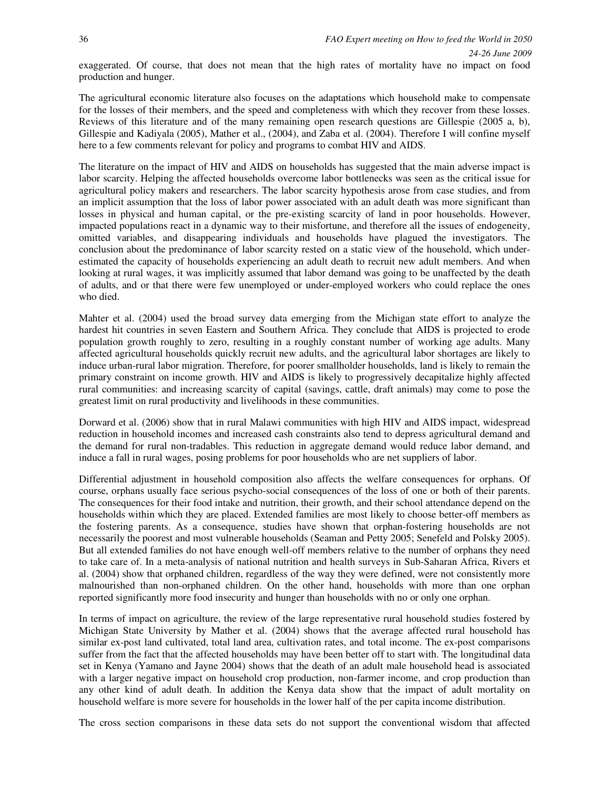*24-26 June 2009* 

exaggerated. Of course, that does not mean that the high rates of mortality have no impact on food production and hunger.

The agricultural economic literature also focuses on the adaptations which household make to compensate for the losses of their members, and the speed and completeness with which they recover from these losses. Reviews of this literature and of the many remaining open research questions are Gillespie (2005 a, b), Gillespie and Kadiyala (2005), Mather et al., (2004), and Zaba et al. (2004). Therefore I will confine myself here to a few comments relevant for policy and programs to combat HIV and AIDS.

The literature on the impact of HIV and AIDS on households has suggested that the main adverse impact is labor scarcity. Helping the affected households overcome labor bottlenecks was seen as the critical issue for agricultural policy makers and researchers. The labor scarcity hypothesis arose from case studies, and from an implicit assumption that the loss of labor power associated with an adult death was more significant than losses in physical and human capital, or the pre-existing scarcity of land in poor households. However, impacted populations react in a dynamic way to their misfortune, and therefore all the issues of endogeneity, omitted variables, and disappearing individuals and households have plagued the investigators. The conclusion about the predominance of labor scarcity rested on a static view of the household, which underestimated the capacity of households experiencing an adult death to recruit new adult members. And when looking at rural wages, it was implicitly assumed that labor demand was going to be unaffected by the death of adults, and or that there were few unemployed or under-employed workers who could replace the ones who died.

Mahter et al. (2004) used the broad survey data emerging from the Michigan state effort to analyze the hardest hit countries in seven Eastern and Southern Africa. They conclude that AIDS is projected to erode population growth roughly to zero, resulting in a roughly constant number of working age adults. Many affected agricultural households quickly recruit new adults, and the agricultural labor shortages are likely to induce urban-rural labor migration. Therefore, for poorer smallholder households, land is likely to remain the primary constraint on income growth. HIV and AIDS is likely to progressively decapitalize highly affected rural communities: and increasing scarcity of capital (savings, cattle, draft animals) may come to pose the greatest limit on rural productivity and livelihoods in these communities.

Dorward et al. (2006) show that in rural Malawi communities with high HIV and AIDS impact, widespread reduction in household incomes and increased cash constraints also tend to depress agricultural demand and the demand for rural non-tradables. This reduction in aggregate demand would reduce labor demand, and induce a fall in rural wages, posing problems for poor households who are net suppliers of labor.

Differential adjustment in household composition also affects the welfare consequences for orphans. Of course, orphans usually face serious psycho-social consequences of the loss of one or both of their parents. The consequences for their food intake and nutrition, their growth, and their school attendance depend on the households within which they are placed. Extended families are most likely to choose better-off members as the fostering parents. As a consequence, studies have shown that orphan-fostering households are not necessarily the poorest and most vulnerable households (Seaman and Petty 2005; Senefeld and Polsky 2005). But all extended families do not have enough well-off members relative to the number of orphans they need to take care of. In a meta-analysis of national nutrition and health surveys in Sub-Saharan Africa, Rivers et al. (2004) show that orphaned children, regardless of the way they were defined, were not consistently more malnourished than non-orphaned children. On the other hand, households with more than one orphan reported significantly more food insecurity and hunger than households with no or only one orphan.

In terms of impact on agriculture, the review of the large representative rural household studies fostered by Michigan State University by Mather et al. (2004) shows that the average affected rural household has similar ex-post land cultivated, total land area, cultivation rates, and total income. The ex-post comparisons suffer from the fact that the affected households may have been better off to start with. The longitudinal data set in Kenya (Yamano and Jayne 2004) shows that the death of an adult male household head is associated with a larger negative impact on household crop production, non-farmer income, and crop production than any other kind of adult death. In addition the Kenya data show that the impact of adult mortality on household welfare is more severe for households in the lower half of the per capita income distribution.

The cross section comparisons in these data sets do not support the conventional wisdom that affected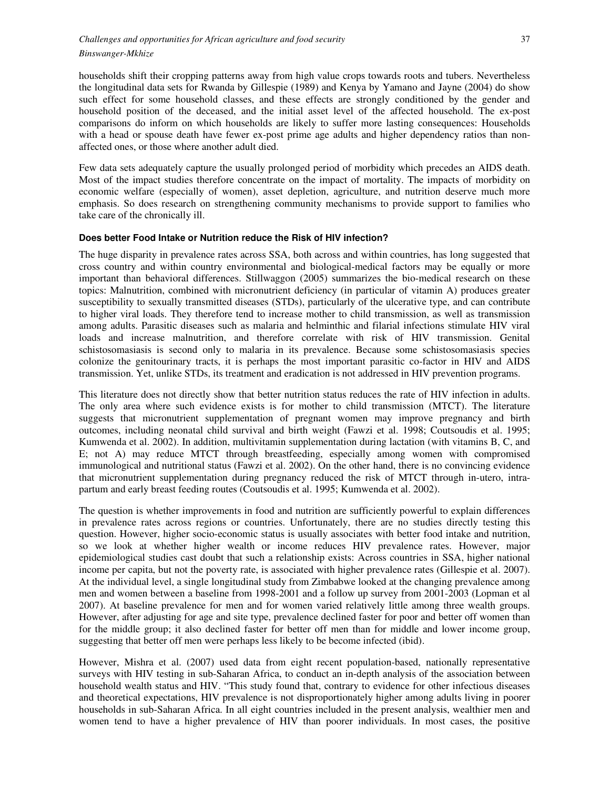households shift their cropping patterns away from high value crops towards roots and tubers. Nevertheless the longitudinal data sets for Rwanda by Gillespie (1989) and Kenya by Yamano and Jayne (2004) do show such effect for some household classes, and these effects are strongly conditioned by the gender and household position of the deceased, and the initial asset level of the affected household. The ex-post comparisons do inform on which households are likely to suffer more lasting consequences: Households with a head or spouse death have fewer ex-post prime age adults and higher dependency ratios than nonaffected ones, or those where another adult died.

Few data sets adequately capture the usually prolonged period of morbidity which precedes an AIDS death. Most of the impact studies therefore concentrate on the impact of mortality. The impacts of morbidity on economic welfare (especially of women), asset depletion, agriculture, and nutrition deserve much more emphasis. So does research on strengthening community mechanisms to provide support to families who take care of the chronically ill.

#### **Does better Food Intake or Nutrition reduce the Risk of HIV infection?**

The huge disparity in prevalence rates across SSA, both across and within countries, has long suggested that cross country and within country environmental and biological-medical factors may be equally or more important than behavioral differences. Stillwaggon (2005) summarizes the bio-medical research on these topics: Malnutrition, combined with micronutrient deficiency (in particular of vitamin A) produces greater susceptibility to sexually transmitted diseases (STDs), particularly of the ulcerative type, and can contribute to higher viral loads. They therefore tend to increase mother to child transmission, as well as transmission among adults. Parasitic diseases such as malaria and helminthic and filarial infections stimulate HIV viral loads and increase malnutrition, and therefore correlate with risk of HIV transmission. Genital schistosomasiasis is second only to malaria in its prevalence. Because some schistosomasiasis species colonize the genitourinary tracts, it is perhaps the most important parasitic co-factor in HIV and AIDS transmission. Yet, unlike STDs, its treatment and eradication is not addressed in HIV prevention programs.

This literature does not directly show that better nutrition status reduces the rate of HIV infection in adults. The only area where such evidence exists is for mother to child transmission (MTCT). The literature suggests that micronutrient supplementation of pregnant women may improve pregnancy and birth outcomes, including neonatal child survival and birth weight (Fawzi et al. 1998; Coutsoudis et al. 1995; Kumwenda et al. 2002). In addition, multivitamin supplementation during lactation (with vitamins B, C, and E; not A) may reduce MTCT through breastfeeding, especially among women with compromised immunological and nutritional status (Fawzi et al. 2002). On the other hand, there is no convincing evidence that micronutrient supplementation during pregnancy reduced the risk of MTCT through in-utero, intrapartum and early breast feeding routes (Coutsoudis et al. 1995; Kumwenda et al. 2002).

The question is whether improvements in food and nutrition are sufficiently powerful to explain differences in prevalence rates across regions or countries. Unfortunately, there are no studies directly testing this question. However, higher socio-economic status is usually associates with better food intake and nutrition, so we look at whether higher wealth or income reduces HIV prevalence rates. However, major epidemiological studies cast doubt that such a relationship exists: Across countries in SSA, higher national income per capita, but not the poverty rate, is associated with higher prevalence rates (Gillespie et al. 2007). At the individual level, a single longitudinal study from Zimbabwe looked at the changing prevalence among men and women between a baseline from 1998-2001 and a follow up survey from 2001-2003 (Lopman et al 2007). At baseline prevalence for men and for women varied relatively little among three wealth groups. However, after adjusting for age and site type, prevalence declined faster for poor and better off women than for the middle group; it also declined faster for better off men than for middle and lower income group, suggesting that better off men were perhaps less likely to be become infected (ibid).

However, Mishra et al. (2007) used data from eight recent population-based, nationally representative surveys with HIV testing in sub-Saharan Africa, to conduct an in-depth analysis of the association between household wealth status and HIV. "This study found that, contrary to evidence for other infectious diseases and theoretical expectations, HIV prevalence is not disproportionately higher among adults living in poorer households in sub-Saharan Africa. In all eight countries included in the present analysis, wealthier men and women tend to have a higher prevalence of HIV than poorer individuals. In most cases, the positive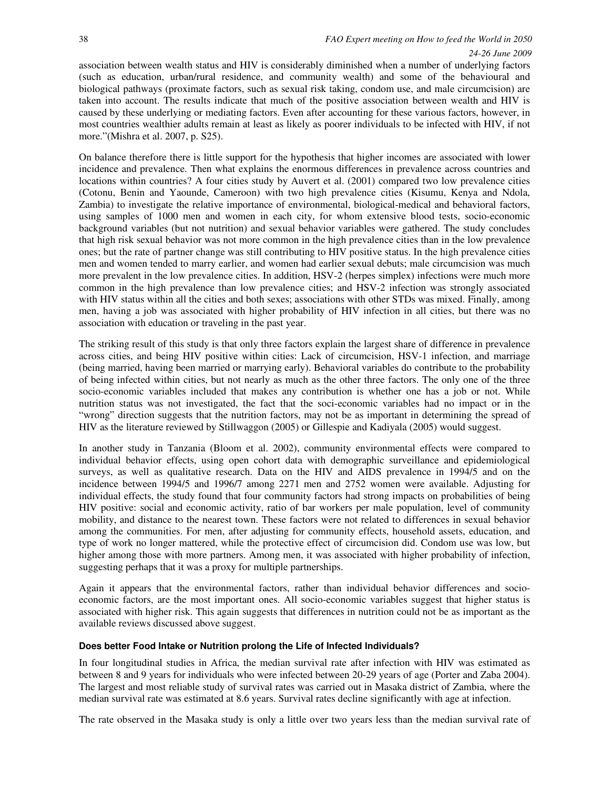#### *24-26 June 2009*

association between wealth status and HIV is considerably diminished when a number of underlying factors (such as education, urban/rural residence, and community wealth) and some of the behavioural and biological pathways (proximate factors, such as sexual risk taking, condom use, and male circumcision) are taken into account. The results indicate that much of the positive association between wealth and HIV is caused by these underlying or mediating factors. Even after accounting for these various factors, however, in most countries wealthier adults remain at least as likely as poorer individuals to be infected with HIV, if not more."(Mishra et al. 2007, p. S25).

On balance therefore there is little support for the hypothesis that higher incomes are associated with lower incidence and prevalence. Then what explains the enormous differences in prevalence across countries and locations within countries? A four cities study by Auvert et al. (2001) compared two low prevalence cities (Cotonu, Benin and Yaounde, Cameroon) with two high prevalence cities (Kisumu, Kenya and Ndola, Zambia) to investigate the relative importance of environmental, biological-medical and behavioral factors, using samples of 1000 men and women in each city, for whom extensive blood tests, socio-economic background variables (but not nutrition) and sexual behavior variables were gathered. The study concludes that high risk sexual behavior was not more common in the high prevalence cities than in the low prevalence ones; but the rate of partner change was still contributing to HIV positive status. In the high prevalence cities men and women tended to marry earlier, and women had earlier sexual debuts; male circumcision was much more prevalent in the low prevalence cities. In addition, HSV-2 (herpes simplex) infections were much more common in the high prevalence than low prevalence cities; and HSV-2 infection was strongly associated with HIV status within all the cities and both sexes; associations with other STDs was mixed. Finally, among men, having a job was associated with higher probability of HIV infection in all cities, but there was no association with education or traveling in the past year.

The striking result of this study is that only three factors explain the largest share of difference in prevalence across cities, and being HIV positive within cities: Lack of circumcision, HSV-1 infection, and marriage (being married, having been married or marrying early). Behavioral variables do contribute to the probability of being infected within cities, but not nearly as much as the other three factors. The only one of the three socio-economic variables included that makes any contribution is whether one has a job or not. While nutrition status was not investigated, the fact that the soci-economic variables had no impact or in the "wrong" direction suggests that the nutrition factors, may not be as important in determining the spread of HIV as the literature reviewed by Stillwaggon (2005) or Gillespie and Kadiyala (2005) would suggest.

In another study in Tanzania (Bloom et al. 2002), community environmental effects were compared to individual behavior effects, using open cohort data with demographic surveillance and epidemiological surveys, as well as qualitative research. Data on the HIV and AIDS prevalence in 1994/5 and on the incidence between 1994/5 and 1996/7 among 2271 men and 2752 women were available. Adjusting for individual effects, the study found that four community factors had strong impacts on probabilities of being HIV positive: social and economic activity, ratio of bar workers per male population, level of community mobility, and distance to the nearest town. These factors were not related to differences in sexual behavior among the communities. For men, after adjusting for community effects, household assets, education, and type of work no longer mattered, while the protective effect of circumcision did. Condom use was low, but higher among those with more partners. Among men, it was associated with higher probability of infection, suggesting perhaps that it was a proxy for multiple partnerships.

Again it appears that the environmental factors, rather than individual behavior differences and socioeconomic factors, are the most important ones. All socio-economic variables suggest that higher status is associated with higher risk. This again suggests that differences in nutrition could not be as important as the available reviews discussed above suggest.

#### **Does better Food Intake or Nutrition prolong the Life of Infected Individuals?**

In four longitudinal studies in Africa, the median survival rate after infection with HIV was estimated as between 8 and 9 years for individuals who were infected between 20-29 years of age (Porter and Zaba 2004). The largest and most reliable study of survival rates was carried out in Masaka district of Zambia, where the median survival rate was estimated at 8.6 years. Survival rates decline significantly with age at infection.

The rate observed in the Masaka study is only a little over two years less than the median survival rate of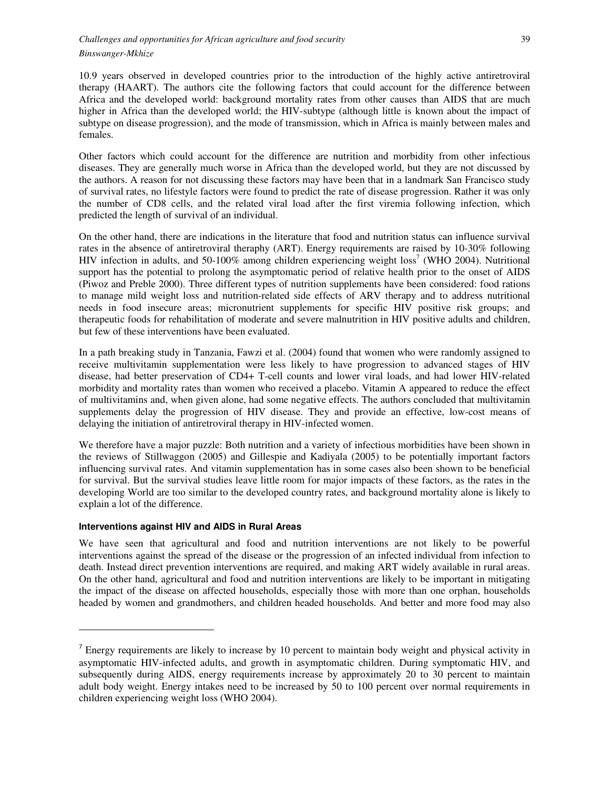10.9 years observed in developed countries prior to the introduction of the highly active antiretroviral therapy (HAART). The authors cite the following factors that could account for the difference between Africa and the developed world: background mortality rates from other causes than AIDS that are much higher in Africa than the developed world; the HIV-subtype (although little is known about the impact of subtype on disease progression), and the mode of transmission, which in Africa is mainly between males and females.

Other factors which could account for the difference are nutrition and morbidity from other infectious diseases. They are generally much worse in Africa than the developed world, but they are not discussed by the authors. A reason for not discussing these factors may have been that in a landmark San Francisco study of survival rates, no lifestyle factors were found to predict the rate of disease progression. Rather it was only the number of CD8 cells, and the related viral load after the first viremia following infection, which predicted the length of survival of an individual.

On the other hand, there are indications in the literature that food and nutrition status can influence survival rates in the absence of antiretroviral theraphy (ART). Energy requirements are raised by 10-30% following HIV infection in adults, and 50-100% among children experiencing weight loss<sup>7</sup> (WHO 2004). Nutritional support has the potential to prolong the asymptomatic period of relative health prior to the onset of AIDS (Piwoz and Preble 2000). Three different types of nutrition supplements have been considered: food rations to manage mild weight loss and nutrition-related side effects of ARV therapy and to address nutritional needs in food insecure areas; micronutrient supplements for specific HIV positive risk groups; and therapeutic foods for rehabilitation of moderate and severe malnutrition in HIV positive adults and children, but few of these interventions have been evaluated.

In a path breaking study in Tanzania, Fawzi et al. (2004) found that women who were randomly assigned to receive multivitamin supplementation were less likely to have progression to advanced stages of HIV disease, had better preservation of CD4+ T-cell counts and lower viral loads, and had lower HIV-related morbidity and mortality rates than women who received a placebo. Vitamin A appeared to reduce the effect of multivitamins and, when given alone, had some negative effects. The authors concluded that multivitamin supplements delay the progression of HIV disease. They and provide an effective, low-cost means of delaying the initiation of antiretroviral therapy in HIV-infected women.

We therefore have a major puzzle: Both nutrition and a variety of infectious morbidities have been shown in the reviews of Stillwaggon (2005) and Gillespie and Kadiyala (2005) to be potentially important factors influencing survival rates. And vitamin supplementation has in some cases also been shown to be beneficial for survival. But the survival studies leave little room for major impacts of these factors, as the rates in the developing World are too similar to the developed country rates, and background mortality alone is likely to explain a lot of the difference.

# **Interventions against HIV and AIDS in Rural Areas**

l,

We have seen that agricultural and food and nutrition interventions are not likely to be powerful interventions against the spread of the disease or the progression of an infected individual from infection to death. Instead direct prevention interventions are required, and making ART widely available in rural areas. On the other hand, agricultural and food and nutrition interventions are likely to be important in mitigating the impact of the disease on affected households, especially those with more than one orphan, households headed by women and grandmothers, and children headed households. And better and more food may also

<sup>&</sup>lt;sup>7</sup> Energy requirements are likely to increase by 10 percent to maintain body weight and physical activity in asymptomatic HIV-infected adults, and growth in asymptomatic children. During symptomatic HIV, and subsequently during AIDS, energy requirements increase by approximately 20 to 30 percent to maintain adult body weight. Energy intakes need to be increased by 50 to 100 percent over normal requirements in children experiencing weight loss (WHO 2004).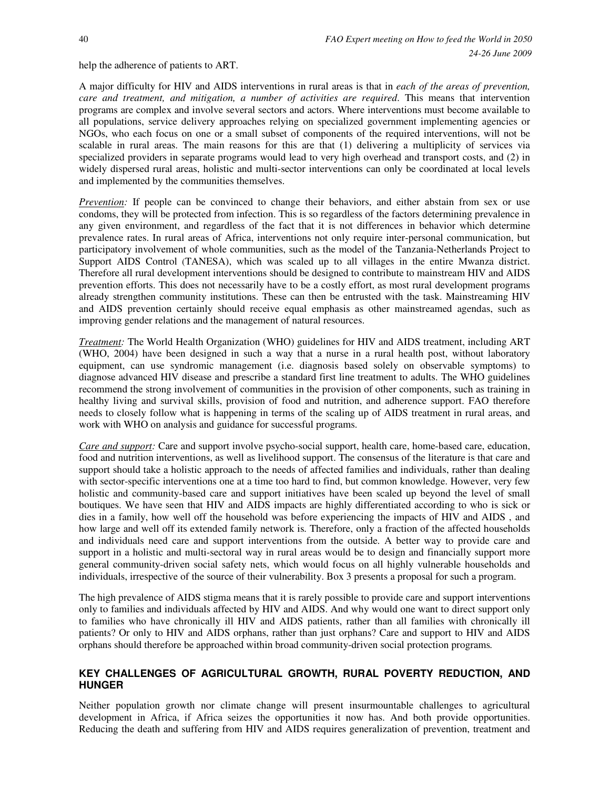help the adherence of patients to ART.

A major difficulty for HIV and AIDS interventions in rural areas is that in *each of the areas of prevention, care and treatment, and mitigation, a number of activities are required*. This means that intervention programs are complex and involve several sectors and actors. Where interventions must become available to all populations, service delivery approaches relying on specialized government implementing agencies or NGOs, who each focus on one or a small subset of components of the required interventions, will not be scalable in rural areas. The main reasons for this are that (1) delivering a multiplicity of services via specialized providers in separate programs would lead to very high overhead and transport costs, and (2) in widely dispersed rural areas, holistic and multi-sector interventions can only be coordinated at local levels and implemented by the communities themselves.

*Prevention:* If people can be convinced to change their behaviors, and either abstain from sex or use condoms, they will be protected from infection. This is so regardless of the factors determining prevalence in any given environment, and regardless of the fact that it is not differences in behavior which determine prevalence rates. In rural areas of Africa, interventions not only require inter-personal communication, but participatory involvement of whole communities, such as the model of the Tanzania-Netherlands Project to Support AIDS Control (TANESA), which was scaled up to all villages in the entire Mwanza district. Therefore all rural development interventions should be designed to contribute to mainstream HIV and AIDS prevention efforts. This does not necessarily have to be a costly effort, as most rural development programs already strengthen community institutions. These can then be entrusted with the task. Mainstreaming HIV and AIDS prevention certainly should receive equal emphasis as other mainstreamed agendas, such as improving gender relations and the management of natural resources.

*Treatment:* The World Health Organization (WHO) guidelines for HIV and AIDS treatment, including ART (WHO, 2004) have been designed in such a way that a nurse in a rural health post, without laboratory equipment, can use syndromic management (i.e. diagnosis based solely on observable symptoms) to diagnose advanced HIV disease and prescribe a standard first line treatment to adults. The WHO guidelines recommend the strong involvement of communities in the provision of other components, such as training in healthy living and survival skills, provision of food and nutrition, and adherence support. FAO therefore needs to closely follow what is happening in terms of the scaling up of AIDS treatment in rural areas, and work with WHO on analysis and guidance for successful programs.

*Care and support:* Care and support involve psycho-social support, health care, home-based care, education, food and nutrition interventions, as well as livelihood support. The consensus of the literature is that care and support should take a holistic approach to the needs of affected families and individuals, rather than dealing with sector-specific interventions one at a time too hard to find, but common knowledge. However, very few holistic and community-based care and support initiatives have been scaled up beyond the level of small boutiques. We have seen that HIV and AIDS impacts are highly differentiated according to who is sick or dies in a family, how well off the household was before experiencing the impacts of HIV and AIDS , and how large and well off its extended family network is. Therefore, only a fraction of the affected households and individuals need care and support interventions from the outside. A better way to provide care and support in a holistic and multi-sectoral way in rural areas would be to design and financially support more general community-driven social safety nets, which would focus on all highly vulnerable households and individuals, irrespective of the source of their vulnerability. Box 3 presents a proposal for such a program.

The high prevalence of AIDS stigma means that it is rarely possible to provide care and support interventions only to families and individuals affected by HIV and AIDS. And why would one want to direct support only to families who have chronically ill HIV and AIDS patients, rather than all families with chronically ill patients? Or only to HIV and AIDS orphans, rather than just orphans? Care and support to HIV and AIDS orphans should therefore be approached within broad community-driven social protection programs*.* 

# **KEY CHALLENGES OF AGRICULTURAL GROWTH, RURAL POVERTY REDUCTION, AND HUNGER**

Neither population growth nor climate change will present insurmountable challenges to agricultural development in Africa, if Africa seizes the opportunities it now has. And both provide opportunities. Reducing the death and suffering from HIV and AIDS requires generalization of prevention, treatment and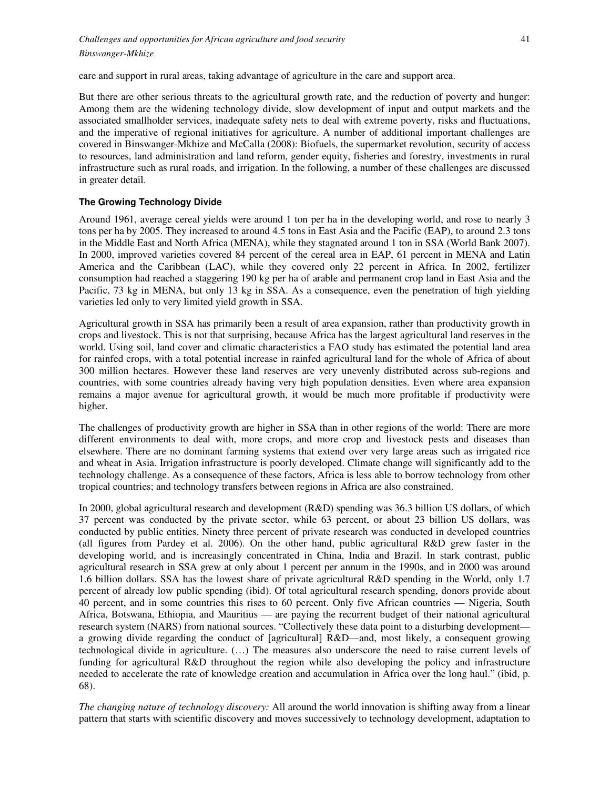care and support in rural areas, taking advantage of agriculture in the care and support area.

But there are other serious threats to the agricultural growth rate, and the reduction of poverty and hunger: Among them are the widening technology divide, slow development of input and output markets and the associated smallholder services, inadequate safety nets to deal with extreme poverty, risks and fluctuations, and the imperative of regional initiatives for agriculture. A number of additional important challenges are covered in Binswanger-Mkhize and McCalla (2008): Biofuels, the supermarket revolution, security of access to resources, land administration and land reform, gender equity, fisheries and forestry, investments in rural infrastructure such as rural roads, and irrigation. In the following, a number of these challenges are discussed in greater detail.

#### **The Growing Technology Divide**

Around 1961, average cereal yields were around 1 ton per ha in the developing world, and rose to nearly 3 tons per ha by 2005. They increased to around 4.5 tons in East Asia and the Pacific (EAP), to around 2.3 tons in the Middle East and North Africa (MENA), while they stagnated around 1 ton in SSA (World Bank 2007). In 2000, improved varieties covered 84 percent of the cereal area in EAP, 61 percent in MENA and Latin America and the Caribbean (LAC), while they covered only 22 percent in Africa. In 2002, fertilizer consumption had reached a staggering 190 kg per ha of arable and permanent crop land in East Asia and the Pacific, 73 kg in MENA, but only 13 kg in SSA. As a consequence, even the penetration of high yielding varieties led only to very limited yield growth in SSA.

Agricultural growth in SSA has primarily been a result of area expansion, rather than productivity growth in crops and livestock. This is not that surprising, because Africa has the largest agricultural land reserves in the world. Using soil, land cover and climatic characteristics a FAO study has estimated the potential land area for rainfed crops, with a total potential increase in rainfed agricultural land for the whole of Africa of about 300 million hectares. However these land reserves are very unevenly distributed across sub-regions and countries, with some countries already having very high population densities. Even where area expansion remains a major avenue for agricultural growth, it would be much more profitable if productivity were higher.

The challenges of productivity growth are higher in SSA than in other regions of the world: There are more different environments to deal with, more crops, and more crop and livestock pests and diseases than elsewhere. There are no dominant farming systems that extend over very large areas such as irrigated rice and wheat in Asia. Irrigation infrastructure is poorly developed. Climate change will significantly add to the technology challenge. As a consequence of these factors, Africa is less able to borrow technology from other tropical countries; and technology transfers between regions in Africa are also constrained.

In 2000, global agricultural research and development (R&D) spending was 36.3 billion US dollars, of which 37 percent was conducted by the private sector, while 63 percent, or about 23 billion US dollars, was conducted by public entities. Ninety three percent of private research was conducted in developed countries (all figures from Pardey et al. 2006). On the other hand, public agricultural R&D grew faster in the developing world, and is increasingly concentrated in China, India and Brazil. In stark contrast, public agricultural research in SSA grew at only about 1 percent per annum in the 1990s, and in 2000 was around 1.6 billion dollars. SSA has the lowest share of private agricultural R&D spending in the World, only 1.7 percent of already low public spending (ibid). Of total agricultural research spending, donors provide about 40 percent, and in some countries this rises to 60 percent. Only five African countries — Nigeria, South Africa, Botswana, Ethiopia, and Mauritius — are paying the recurrent budget of their national agricultural research system (NARS) from national sources. "Collectively these data point to a disturbing development a growing divide regarding the conduct of [agricultural] R&D—and, most likely, a consequent growing technological divide in agriculture. (…) The measures also underscore the need to raise current levels of funding for agricultural R&D throughout the region while also developing the policy and infrastructure needed to accelerate the rate of knowledge creation and accumulation in Africa over the long haul." (ibid, p. 68).

*The changing nature of technology discovery:* All around the world innovation is shifting away from a linear pattern that starts with scientific discovery and moves successively to technology development, adaptation to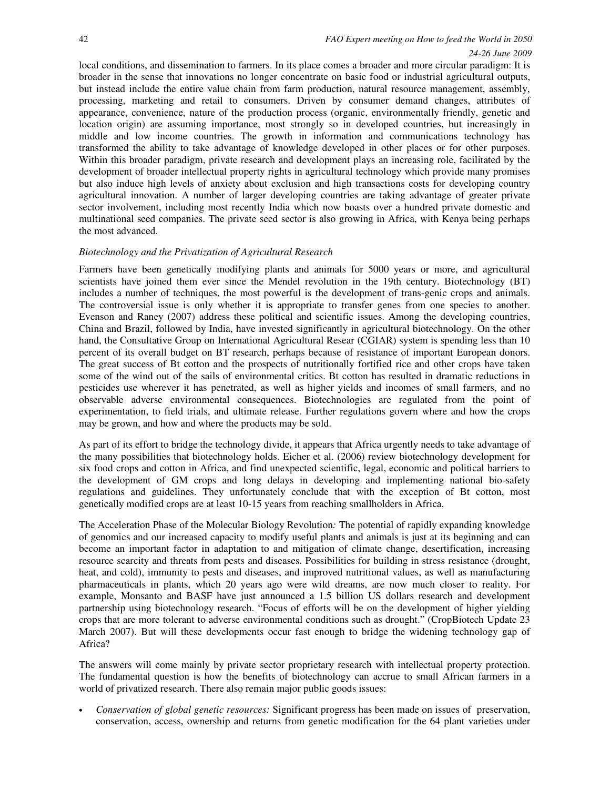#### *24-26 June 2009*

local conditions, and dissemination to farmers. In its place comes a broader and more circular paradigm: It is broader in the sense that innovations no longer concentrate on basic food or industrial agricultural outputs, but instead include the entire value chain from farm production, natural resource management, assembly, processing, marketing and retail to consumers. Driven by consumer demand changes, attributes of appearance, convenience, nature of the production process (organic, environmentally friendly, genetic and location origin) are assuming importance, most strongly so in developed countries, but increasingly in middle and low income countries. The growth in information and communications technology has transformed the ability to take advantage of knowledge developed in other places or for other purposes. Within this broader paradigm, private research and development plays an increasing role, facilitated by the development of broader intellectual property rights in agricultural technology which provide many promises but also induce high levels of anxiety about exclusion and high transactions costs for developing country agricultural innovation. A number of larger developing countries are taking advantage of greater private sector involvement, including most recently India which now boasts over a hundred private domestic and multinational seed companies. The private seed sector is also growing in Africa, with Kenya being perhaps the most advanced.

### *Biotechnology and the Privatization of Agricultural Research*

Farmers have been genetically modifying plants and animals for 5000 years or more, and agricultural scientists have joined them ever since the Mendel revolution in the 19th century. Biotechnology (BT) includes a number of techniques, the most powerful is the development of trans-genic crops and animals. The controversial issue is only whether it is appropriate to transfer genes from one species to another. Evenson and Raney (2007) address these political and scientific issues. Among the developing countries, China and Brazil, followed by India, have invested significantly in agricultural biotechnology. On the other hand, the Consultative Group on International Agricultural Resear (CGIAR) system is spending less than 10 percent of its overall budget on BT research, perhaps because of resistance of important European donors. The great success of Bt cotton and the prospects of nutritionally fortified rice and other crops have taken some of the wind out of the sails of environmental critics. Bt cotton has resulted in dramatic reductions in pesticides use wherever it has penetrated, as well as higher yields and incomes of small farmers, and no observable adverse environmental consequences. Biotechnologies are regulated from the point of experimentation, to field trials, and ultimate release. Further regulations govern where and how the crops may be grown, and how and where the products may be sold.

As part of its effort to bridge the technology divide, it appears that Africa urgently needs to take advantage of the many possibilities that biotechnology holds. Eicher et al. (2006) review biotechnology development for six food crops and cotton in Africa, and find unexpected scientific, legal, economic and political barriers to the development of GM crops and long delays in developing and implementing national bio-safety regulations and guidelines. They unfortunately conclude that with the exception of Bt cotton, most genetically modified crops are at least 10-15 years from reaching smallholders in Africa.

The Acceleration Phase of the Molecular Biology Revolution*:* The potential of rapidly expanding knowledge of genomics and our increased capacity to modify useful plants and animals is just at its beginning and can become an important factor in adaptation to and mitigation of climate change, desertification, increasing resource scarcity and threats from pests and diseases. Possibilities for building in stress resistance (drought, heat, and cold), immunity to pests and diseases, and improved nutritional values, as well as manufacturing pharmaceuticals in plants, which 20 years ago were wild dreams, are now much closer to reality. For example, Monsanto and BASF have just announced a 1.5 billion US dollars research and development partnership using biotechnology research. "Focus of efforts will be on the development of higher yielding crops that are more tolerant to adverse environmental conditions such as drought." (CropBiotech Update 23 March 2007). But will these developments occur fast enough to bridge the widening technology gap of Africa?

The answers will come mainly by private sector proprietary research with intellectual property protection. The fundamental question is how the benefits of biotechnology can accrue to small African farmers in a world of privatized research. There also remain major public goods issues:

• *Conservation of global genetic resources:* Significant progress has been made on issues of preservation, conservation, access, ownership and returns from genetic modification for the 64 plant varieties under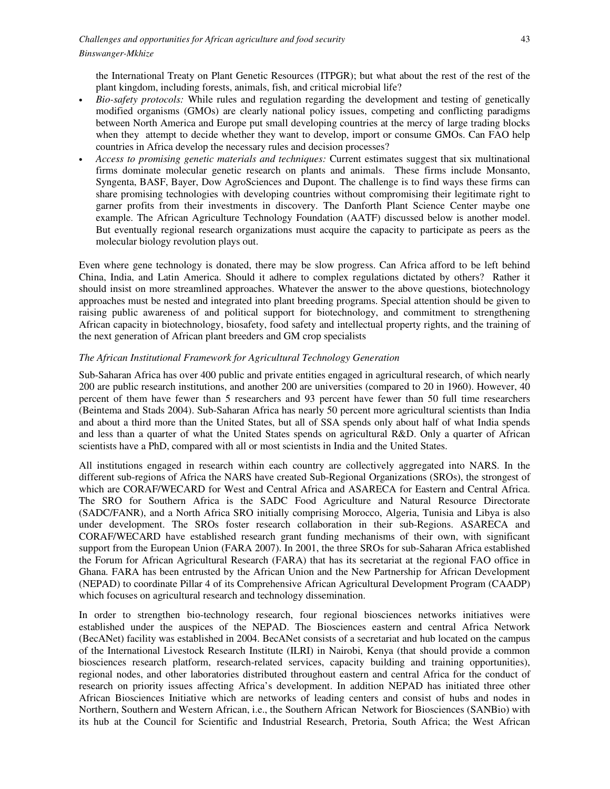the International Treaty on Plant Genetic Resources (ITPGR); but what about the rest of the rest of the plant kingdom, including forests, animals, fish, and critical microbial life?

- *Bio-safety protocols:* While rules and regulation regarding the development and testing of genetically modified organisms (GMOs) are clearly national policy issues, competing and conflicting paradigms between North America and Europe put small developing countries at the mercy of large trading blocks when they attempt to decide whether they want to develop, import or consume GMOs. Can FAO help countries in Africa develop the necessary rules and decision processes?
- *Access to promising genetic materials and techniques:* Current estimates suggest that six multinational firms dominate molecular genetic research on plants and animals. These firms include Monsanto, Syngenta, BASF, Bayer, Dow AgroSciences and Dupont. The challenge is to find ways these firms can share promising technologies with developing countries without compromising their legitimate right to garner profits from their investments in discovery. The Danforth Plant Science Center maybe one example. The African Agriculture Technology Foundation (AATF) discussed below is another model. But eventually regional research organizations must acquire the capacity to participate as peers as the molecular biology revolution plays out.

Even where gene technology is donated, there may be slow progress. Can Africa afford to be left behind China, India, and Latin America. Should it adhere to complex regulations dictated by others? Rather it should insist on more streamlined approaches. Whatever the answer to the above questions, biotechnology approaches must be nested and integrated into plant breeding programs. Special attention should be given to raising public awareness of and political support for biotechnology, and commitment to strengthening African capacity in biotechnology, biosafety, food safety and intellectual property rights, and the training of the next generation of African plant breeders and GM crop specialists

### *The African Institutional Framework for Agricultural Technology Generation*

Sub-Saharan Africa has over 400 public and private entities engaged in agricultural research, of which nearly 200 are public research institutions, and another 200 are universities (compared to 20 in 1960). However, 40 percent of them have fewer than 5 researchers and 93 percent have fewer than 50 full time researchers (Beintema and Stads 2004). Sub-Saharan Africa has nearly 50 percent more agricultural scientists than India and about a third more than the United States, but all of SSA spends only about half of what India spends and less than a quarter of what the United States spends on agricultural R&D. Only a quarter of African scientists have a PhD, compared with all or most scientists in India and the United States.

All institutions engaged in research within each country are collectively aggregated into NARS. In the different sub-regions of Africa the NARS have created Sub-Regional Organizations (SROs), the strongest of which are CORAF/WECARD for West and Central Africa and ASARECA for Eastern and Central Africa. The SRO for Southern Africa is the SADC Food Agriculture and Natural Resource Directorate (SADC/FANR), and a North Africa SRO initially comprising Morocco, Algeria, Tunisia and Libya is also under development. The SROs foster research collaboration in their sub-Regions. ASARECA and CORAF/WECARD have established research grant funding mechanisms of their own, with significant support from the European Union (FARA 2007). In 2001, the three SROs for sub-Saharan Africa established the Forum for African Agricultural Research (FARA) that has its secretariat at the regional FAO office in Ghana. FARA has been entrusted by the African Union and the New Partnership for African Development (NEPAD) to coordinate Pillar 4 of its Comprehensive African Agricultural Development Program (CAADP) which focuses on agricultural research and technology dissemination.

In order to strengthen bio-technology research, four regional biosciences networks initiatives were established under the auspices of the NEPAD. The Biosciences eastern and central Africa Network (BecANet) facility was established in 2004. BecANet consists of a secretariat and hub located on the campus of the International Livestock Research Institute (ILRI) in Nairobi, Kenya (that should provide a common biosciences research platform, research-related services, capacity building and training opportunities), regional nodes, and other laboratories distributed throughout eastern and central Africa for the conduct of research on priority issues affecting Africa's development. In addition NEPAD has initiated three other African Biosciences Initiative which are networks of leading centers and consist of hubs and nodes in Northern, Southern and Western African, i.e., the Southern African Network for Biosciences (SANBio) with its hub at the Council for Scientific and Industrial Research, Pretoria, South Africa; the West African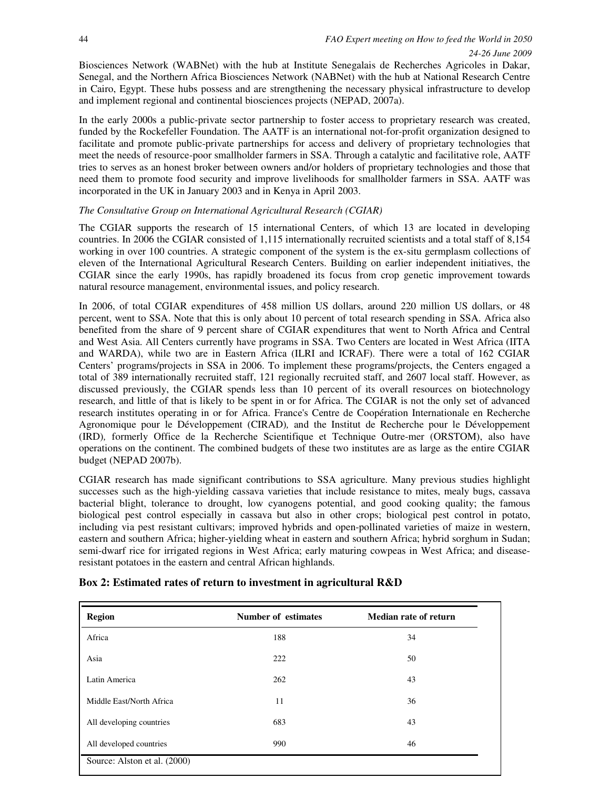Biosciences Network (WABNet) with the hub at Institute Senegalais de Recherches Agricoles in Dakar, Senegal, and the Northern Africa Biosciences Network (NABNet) with the hub at National Research Centre in Cairo, Egypt. These hubs possess and are strengthening the necessary physical infrastructure to develop and implement regional and continental biosciences projects (NEPAD, 2007a).

In the early 2000s a public-private sector partnership to foster access to proprietary research was created, funded by the Rockefeller Foundation. The AATF is an international not-for-profit organization designed to facilitate and promote public-private partnerships for access and delivery of proprietary technologies that meet the needs of resource-poor smallholder farmers in SSA. Through a catalytic and facilitative role, AATF tries to serves as an honest broker between owners and/or holders of proprietary technologies and those that need them to promote food security and improve livelihoods for smallholder farmers in SSA. AATF was incorporated in the UK in January 2003 and in Kenya in April 2003.

# *The Consultative Group on International Agricultural Research (CGIAR)*

The CGIAR supports the research of 15 international Centers, of which 13 are located in developing countries. In 2006 the CGIAR consisted of 1,115 internationally recruited scientists and a total staff of 8,154 working in over 100 countries. A strategic component of the system is the ex-situ germplasm collections of eleven of the International Agricultural Research Centers. Building on earlier independent initiatives, the CGIAR since the early 1990s, has rapidly broadened its focus from crop genetic improvement towards natural resource management, environmental issues, and policy research.

In 2006, of total CGIAR expenditures of 458 million US dollars, around 220 million US dollars, or 48 percent, went to SSA. Note that this is only about 10 percent of total research spending in SSA. Africa also benefited from the share of 9 percent share of CGIAR expenditures that went to North Africa and Central and West Asia. All Centers currently have programs in SSA. Two Centers are located in West Africa (IITA and WARDA), while two are in Eastern Africa (ILRI and ICRAF). There were a total of 162 CGIAR Centers' programs/projects in SSA in 2006. To implement these programs/projects, the Centers engaged a total of 389 internationally recruited staff, 121 regionally recruited staff, and 2607 local staff. However, as discussed previously, the CGIAR spends less than 10 percent of its overall resources on biotechnology research, and little of that is likely to be spent in or for Africa. The CGIAR is not the only set of advanced research institutes operating in or for Africa. France's Centre de Coopération Internationale en Recherche Agronomique pour le Développement (CIRAD)*,* and the Institut de Recherche pour le Développement (IRD)*,* formerly Office de la Recherche Scientifique et Technique Outre-mer (ORSTOM), also have operations on the continent. The combined budgets of these two institutes are as large as the entire CGIAR budget (NEPAD 2007b).

CGIAR research has made significant contributions to SSA agriculture. Many previous studies highlight successes such as the high-yielding cassava varieties that include resistance to mites, mealy bugs, cassava bacterial blight, tolerance to drought, low cyanogens potential, and good cooking quality; the famous biological pest control especially in cassava but also in other crops; biological pest control in potato, including via pest resistant cultivars; improved hybrids and open-pollinated varieties of maize in western, eastern and southern Africa; higher-yielding wheat in eastern and southern Africa; hybrid sorghum in Sudan; semi-dwarf rice for irrigated regions in West Africa; early maturing cowpeas in West Africa; and diseaseresistant potatoes in the eastern and central African highlands.

| <b>Region</b>                | <b>Number of estimates</b> | <b>Median rate of return</b> |
|------------------------------|----------------------------|------------------------------|
| Africa                       | 188                        | 34                           |
| Asia                         | 222                        | 50                           |
| Latin America                | 262                        | 43                           |
| Middle East/North Africa     | 11                         | 36                           |
| All developing countries     | 683                        | 43                           |
| All developed countries      | 990                        | 46                           |
| Source: Alston et al. (2000) |                            |                              |

# **Box 2: Estimated rates of return to investment in agricultural R&D**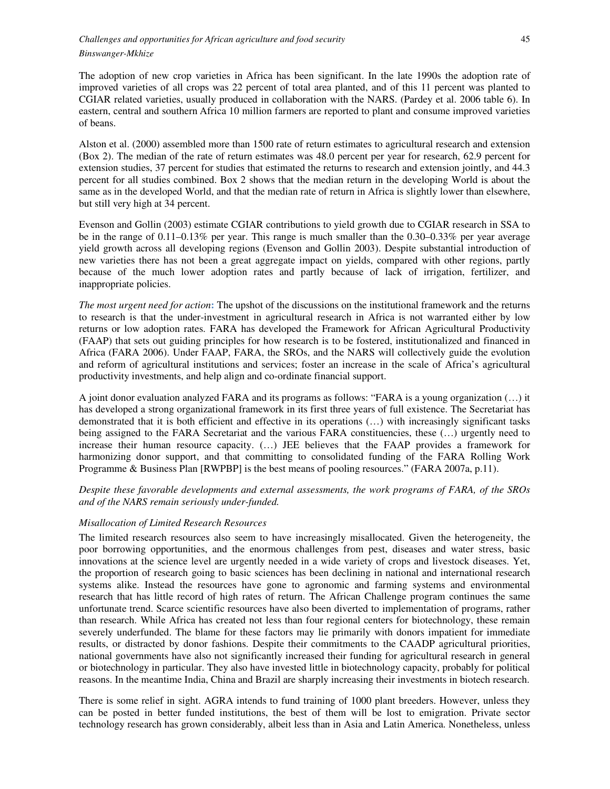The adoption of new crop varieties in Africa has been significant. In the late 1990s the adoption rate of improved varieties of all crops was 22 percent of total area planted, and of this 11 percent was planted to CGIAR related varieties, usually produced in collaboration with the NARS. (Pardey et al. 2006 table 6). In eastern, central and southern Africa 10 million farmers are reported to plant and consume improved varieties of beans.

Alston et al. (2000) assembled more than 1500 rate of return estimates to agricultural research and extension (Box 2). The median of the rate of return estimates was 48.0 percent per year for research, 62.9 percent for extension studies, 37 percent for studies that estimated the returns to research and extension jointly, and 44.3 percent for all studies combined. Box 2 shows that the median return in the developing World is about the same as in the developed World, and that the median rate of return in Africa is slightly lower than elsewhere, but still very high at 34 percent.

Evenson and Gollin (2003) estimate CGIAR contributions to yield growth due to CGIAR research in SSA to be in the range of 0.11–0.13% per year. This range is much smaller than the 0.30–0.33% per year average yield growth across all developing regions (Evenson and Gollin 2003). Despite substantial introduction of new varieties there has not been a great aggregate impact on yields, compared with other regions, partly because of the much lower adoption rates and partly because of lack of irrigation, fertilizer, and inappropriate policies.

*The most urgent need for action***:** The upshot of the discussions on the institutional framework and the returns to research is that the under-investment in agricultural research in Africa is not warranted either by low returns or low adoption rates. FARA has developed the Framework for African Agricultural Productivity (FAAP) that sets out guiding principles for how research is to be fostered, institutionalized and financed in Africa (FARA 2006). Under FAAP, FARA, the SROs, and the NARS will collectively guide the evolution and reform of agricultural institutions and services; foster an increase in the scale of Africa's agricultural productivity investments, and help align and co-ordinate financial support.

A joint donor evaluation analyzed FARA and its programs as follows: "FARA is a young organization (…) it has developed a strong organizational framework in its first three years of full existence. The Secretariat has demonstrated that it is both efficient and effective in its operations (…) with increasingly significant tasks being assigned to the FARA Secretariat and the various FARA constituencies, these (…) urgently need to increase their human resource capacity. (…) JEE believes that the FAAP provides a framework for harmonizing donor support, and that committing to consolidated funding of the FARA Rolling Work Programme & Business Plan [RWPBP] is the best means of pooling resources." (FARA 2007a, p.11).

*Despite these favorable developments and external assessments, the work programs of FARA, of the SROs and of the NARS remain seriously under-funded.* 

# *Misallocation of Limited Research Resources*

The limited research resources also seem to have increasingly misallocated. Given the heterogeneity, the poor borrowing opportunities, and the enormous challenges from pest, diseases and water stress, basic innovations at the science level are urgently needed in a wide variety of crops and livestock diseases. Yet, the proportion of research going to basic sciences has been declining in national and international research systems alike. Instead the resources have gone to agronomic and farming systems and environmental research that has little record of high rates of return. The African Challenge program continues the same unfortunate trend. Scarce scientific resources have also been diverted to implementation of programs, rather than research. While Africa has created not less than four regional centers for biotechnology, these remain severely underfunded. The blame for these factors may lie primarily with donors impatient for immediate results, or distracted by donor fashions. Despite their commitments to the CAADP agricultural priorities, national governments have also not significantly increased their funding for agricultural research in general or biotechnology in particular. They also have invested little in biotechnology capacity, probably for political reasons. In the meantime India, China and Brazil are sharply increasing their investments in biotech research.

There is some relief in sight. AGRA intends to fund training of 1000 plant breeders. However, unless they can be posted in better funded institutions, the best of them will be lost to emigration. Private sector technology research has grown considerably, albeit less than in Asia and Latin America. Nonetheless, unless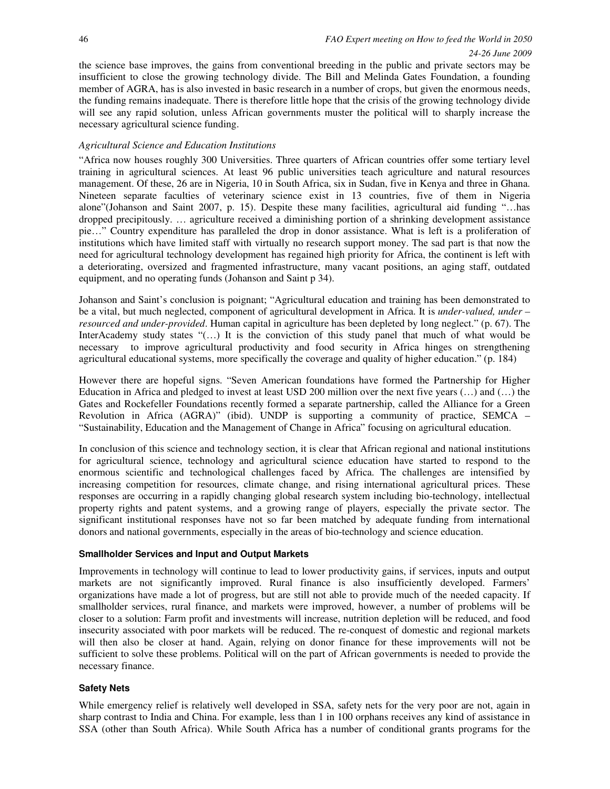the science base improves, the gains from conventional breeding in the public and private sectors may be insufficient to close the growing technology divide. The Bill and Melinda Gates Foundation, a founding member of AGRA, has is also invested in basic research in a number of crops, but given the enormous needs, the funding remains inadequate. There is therefore little hope that the crisis of the growing technology divide will see any rapid solution, unless African governments muster the political will to sharply increase the necessary agricultural science funding.

# *Agricultural Science and Education Institutions*

"Africa now houses roughly 300 Universities. Three quarters of African countries offer some tertiary level training in agricultural sciences. At least 96 public universities teach agriculture and natural resources management. Of these, 26 are in Nigeria, 10 in South Africa, six in Sudan, five in Kenya and three in Ghana. Nineteen separate faculties of veterinary science exist in 13 countries, five of them in Nigeria alone"(Johanson and Saint 2007, p. 15). Despite these many facilities, agricultural aid funding "…has dropped precipitously. … agriculture received a diminishing portion of a shrinking development assistance pie…" Country expenditure has paralleled the drop in donor assistance. What is left is a proliferation of institutions which have limited staff with virtually no research support money. The sad part is that now the need for agricultural technology development has regained high priority for Africa, the continent is left with a deteriorating, oversized and fragmented infrastructure, many vacant positions, an aging staff, outdated equipment, and no operating funds (Johanson and Saint p 34).

Johanson and Saint's conclusion is poignant; "Agricultural education and training has been demonstrated to be a vital, but much neglected, component of agricultural development in Africa. It is *under-valued, under – resourced and under-provided*. Human capital in agriculture has been depleted by long neglect." (p. 67). The InterAcademy study states "(…) It is the conviction of this study panel that much of what would be necessary to improve agricultural productivity and food security in Africa hinges on strengthening agricultural educational systems, more specifically the coverage and quality of higher education." (p. 184)

However there are hopeful signs. "Seven American foundations have formed the Partnership for Higher Education in Africa and pledged to invest at least USD 200 million over the next five years  $(\ldots)$  and  $(\ldots)$  the Gates and Rockefeller Foundations recently formed a separate partnership, called the Alliance for a Green Revolution in Africa (AGRA)" (ibid). UNDP is supporting a community of practice, SEMCA – "Sustainability, Education and the Management of Change in Africa" focusing on agricultural education.

In conclusion of this science and technology section, it is clear that African regional and national institutions for agricultural science, technology and agricultural science education have started to respond to the enormous scientific and technological challenges faced by Africa. The challenges are intensified by increasing competition for resources, climate change, and rising international agricultural prices. These responses are occurring in a rapidly changing global research system including bio-technology, intellectual property rights and patent systems, and a growing range of players, especially the private sector. The significant institutional responses have not so far been matched by adequate funding from international donors and national governments, especially in the areas of bio-technology and science education.

# **Smallholder Services and Input and Output Markets**

Improvements in technology will continue to lead to lower productivity gains, if services, inputs and output markets are not significantly improved. Rural finance is also insufficiently developed. Farmers' organizations have made a lot of progress, but are still not able to provide much of the needed capacity. If smallholder services, rural finance, and markets were improved, however, a number of problems will be closer to a solution: Farm profit and investments will increase, nutrition depletion will be reduced, and food insecurity associated with poor markets will be reduced. The re-conquest of domestic and regional markets will then also be closer at hand. Again, relying on donor finance for these improvements will not be sufficient to solve these problems. Political will on the part of African governments is needed to provide the necessary finance.

# **Safety Nets**

While emergency relief is relatively well developed in SSA, safety nets for the very poor are not, again in sharp contrast to India and China. For example, less than 1 in 100 orphans receives any kind of assistance in SSA (other than South Africa). While South Africa has a number of conditional grants programs for the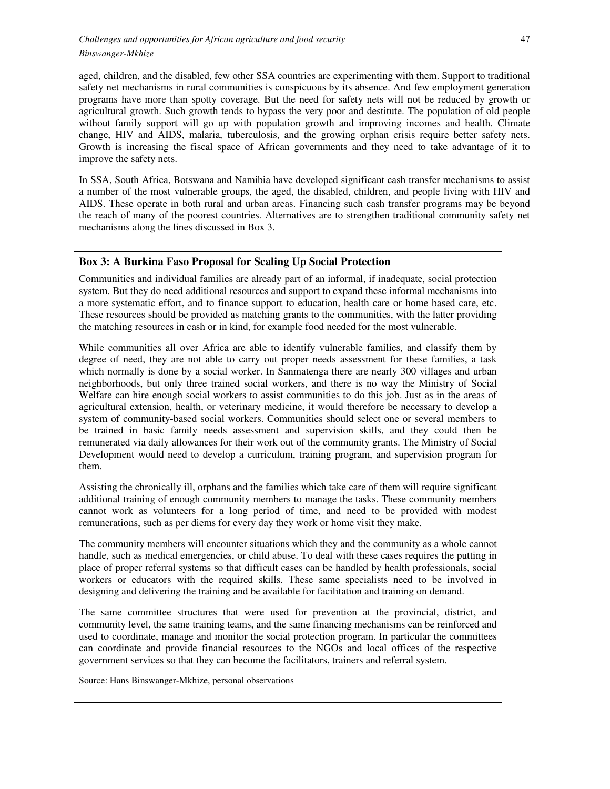aged, children, and the disabled, few other SSA countries are experimenting with them. Support to traditional safety net mechanisms in rural communities is conspicuous by its absence. And few employment generation programs have more than spotty coverage. But the need for safety nets will not be reduced by growth or agricultural growth. Such growth tends to bypass the very poor and destitute. The population of old people without family support will go up with population growth and improving incomes and health. Climate change, HIV and AIDS, malaria, tuberculosis, and the growing orphan crisis require better safety nets. Growth is increasing the fiscal space of African governments and they need to take advantage of it to improve the safety nets.

In SSA, South Africa, Botswana and Namibia have developed significant cash transfer mechanisms to assist a number of the most vulnerable groups, the aged, the disabled, children, and people living with HIV and AIDS. These operate in both rural and urban areas. Financing such cash transfer programs may be beyond the reach of many of the poorest countries. Alternatives are to strengthen traditional community safety net mechanisms along the lines discussed in Box 3.

# **Box 3: A Burkina Faso Proposal for Scaling Up Social Protection**

Communities and individual families are already part of an informal, if inadequate, social protection system. But they do need additional resources and support to expand these informal mechanisms into a more systematic effort, and to finance support to education, health care or home based care, etc. These resources should be provided as matching grants to the communities, with the latter providing the matching resources in cash or in kind, for example food needed for the most vulnerable.

While communities all over Africa are able to identify vulnerable families, and classify them by degree of need, they are not able to carry out proper needs assessment for these families, a task which normally is done by a social worker. In Sanmatenga there are nearly 300 villages and urban neighborhoods, but only three trained social workers, and there is no way the Ministry of Social Welfare can hire enough social workers to assist communities to do this job. Just as in the areas of agricultural extension, health, or veterinary medicine, it would therefore be necessary to develop a system of community-based social workers. Communities should select one or several members to be trained in basic family needs assessment and supervision skills, and they could then be remunerated via daily allowances for their work out of the community grants. The Ministry of Social Development would need to develop a curriculum, training program, and supervision program for them.

Assisting the chronically ill, orphans and the families which take care of them will require significant additional training of enough community members to manage the tasks. These community members cannot work as volunteers for a long period of time, and need to be provided with modest remunerations, such as per diems for every day they work or home visit they make.

The community members will encounter situations which they and the community as a whole cannot handle, such as medical emergencies, or child abuse. To deal with these cases requires the putting in place of proper referral systems so that difficult cases can be handled by health professionals, social workers or educators with the required skills. These same specialists need to be involved in designing and delivering the training and be available for facilitation and training on demand.

The same committee structures that were used for prevention at the provincial, district, and community level, the same training teams, and the same financing mechanisms can be reinforced and used to coordinate, manage and monitor the social protection program. In particular the committees can coordinate and provide financial resources to the NGOs and local offices of the respective government services so that they can become the facilitators, trainers and referral system.

Source: Hans Binswanger-Mkhize, personal observations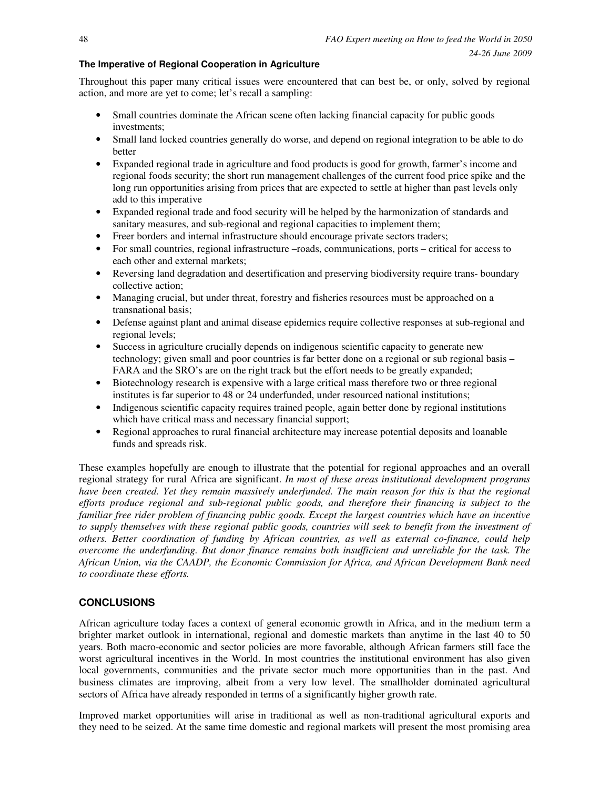# **The Imperative of Regional Cooperation in Agriculture**

Throughout this paper many critical issues were encountered that can best be, or only, solved by regional action, and more are yet to come; let's recall a sampling:

- Small countries dominate the African scene often lacking financial capacity for public goods investments;
- Small land locked countries generally do worse, and depend on regional integration to be able to do better
- Expanded regional trade in agriculture and food products is good for growth, farmer's income and regional foods security; the short run management challenges of the current food price spike and the long run opportunities arising from prices that are expected to settle at higher than past levels only add to this imperative
- Expanded regional trade and food security will be helped by the harmonization of standards and sanitary measures, and sub-regional and regional capacities to implement them;
- Freer borders and internal infrastructure should encourage private sectors traders;
- For small countries, regional infrastructure –roads, communications, ports critical for access to each other and external markets;
- Reversing land degradation and desertification and preserving biodiversity require trans- boundary collective action;
- Managing crucial, but under threat, forestry and fisheries resources must be approached on a transnational basis;
- Defense against plant and animal disease epidemics require collective responses at sub-regional and regional levels;
- Success in agriculture crucially depends on indigenous scientific capacity to generate new technology; given small and poor countries is far better done on a regional or sub regional basis – FARA and the SRO's are on the right track but the effort needs to be greatly expanded;
- Biotechnology research is expensive with a large critical mass therefore two or three regional institutes is far superior to 48 or 24 underfunded, under resourced national institutions;
- Indigenous scientific capacity requires trained people, again better done by regional institutions which have critical mass and necessary financial support;
- Regional approaches to rural financial architecture may increase potential deposits and loanable funds and spreads risk.

These examples hopefully are enough to illustrate that the potential for regional approaches and an overall regional strategy for rural Africa are significant. *In most of these areas institutional development programs have been created. Yet they remain massively underfunded. The main reason for this is that the regional efforts produce regional and sub-regional public goods, and therefore their financing is subject to the familiar free rider problem of financing public goods. Except the largest countries which have an incentive to supply themselves with these regional public goods, countries will seek to benefit from the investment of others. Better coordination of funding by African countries, as well as external co-finance, could help overcome the underfunding. But donor finance remains both insufficient and unreliable for the task. The African Union, via the CAADP, the Economic Commission for Africa, and African Development Bank need to coordinate these efforts.*

# **CONCLUSIONS**

African agriculture today faces a context of general economic growth in Africa, and in the medium term a brighter market outlook in international, regional and domestic markets than anytime in the last 40 to 50 years. Both macro-economic and sector policies are more favorable, although African farmers still face the worst agricultural incentives in the World. In most countries the institutional environment has also given local governments, communities and the private sector much more opportunities than in the past. And business climates are improving, albeit from a very low level. The smallholder dominated agricultural sectors of Africa have already responded in terms of a significantly higher growth rate.

Improved market opportunities will arise in traditional as well as non-traditional agricultural exports and they need to be seized. At the same time domestic and regional markets will present the most promising area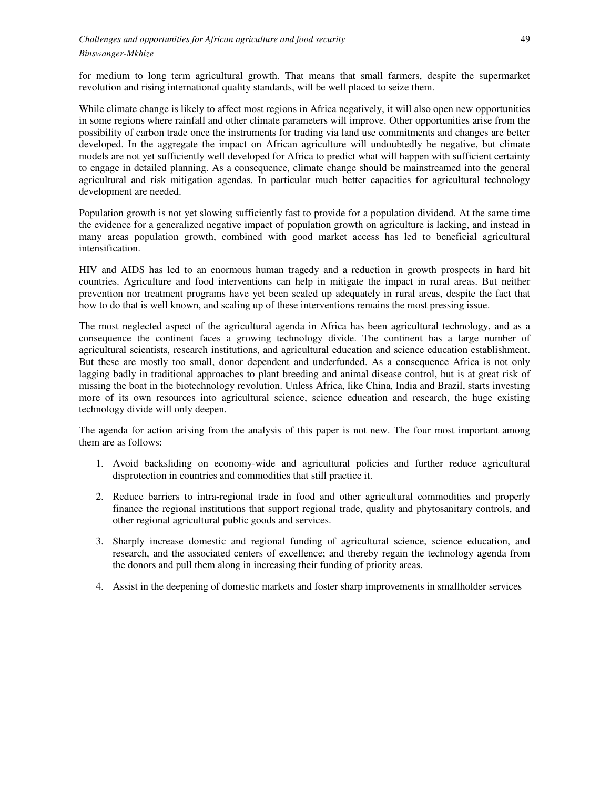for medium to long term agricultural growth. That means that small farmers, despite the supermarket revolution and rising international quality standards, will be well placed to seize them.

While climate change is likely to affect most regions in Africa negatively, it will also open new opportunities in some regions where rainfall and other climate parameters will improve. Other opportunities arise from the possibility of carbon trade once the instruments for trading via land use commitments and changes are better developed. In the aggregate the impact on African agriculture will undoubtedly be negative, but climate models are not yet sufficiently well developed for Africa to predict what will happen with sufficient certainty to engage in detailed planning. As a consequence, climate change should be mainstreamed into the general agricultural and risk mitigation agendas. In particular much better capacities for agricultural technology development are needed.

Population growth is not yet slowing sufficiently fast to provide for a population dividend. At the same time the evidence for a generalized negative impact of population growth on agriculture is lacking, and instead in many areas population growth, combined with good market access has led to beneficial agricultural intensification.

HIV and AIDS has led to an enormous human tragedy and a reduction in growth prospects in hard hit countries. Agriculture and food interventions can help in mitigate the impact in rural areas. But neither prevention nor treatment programs have yet been scaled up adequately in rural areas, despite the fact that how to do that is well known, and scaling up of these interventions remains the most pressing issue.

The most neglected aspect of the agricultural agenda in Africa has been agricultural technology, and as a consequence the continent faces a growing technology divide. The continent has a large number of agricultural scientists, research institutions, and agricultural education and science education establishment. But these are mostly too small, donor dependent and underfunded. As a consequence Africa is not only lagging badly in traditional approaches to plant breeding and animal disease control, but is at great risk of missing the boat in the biotechnology revolution. Unless Africa, like China, India and Brazil, starts investing more of its own resources into agricultural science, science education and research, the huge existing technology divide will only deepen.

The agenda for action arising from the analysis of this paper is not new. The four most important among them are as follows:

- 1. Avoid backsliding on economy-wide and agricultural policies and further reduce agricultural disprotection in countries and commodities that still practice it.
- 2. Reduce barriers to intra-regional trade in food and other agricultural commodities and properly finance the regional institutions that support regional trade, quality and phytosanitary controls, and other regional agricultural public goods and services.
- 3. Sharply increase domestic and regional funding of agricultural science, science education, and research, and the associated centers of excellence; and thereby regain the technology agenda from the donors and pull them along in increasing their funding of priority areas.
- 4. Assist in the deepening of domestic markets and foster sharp improvements in smallholder services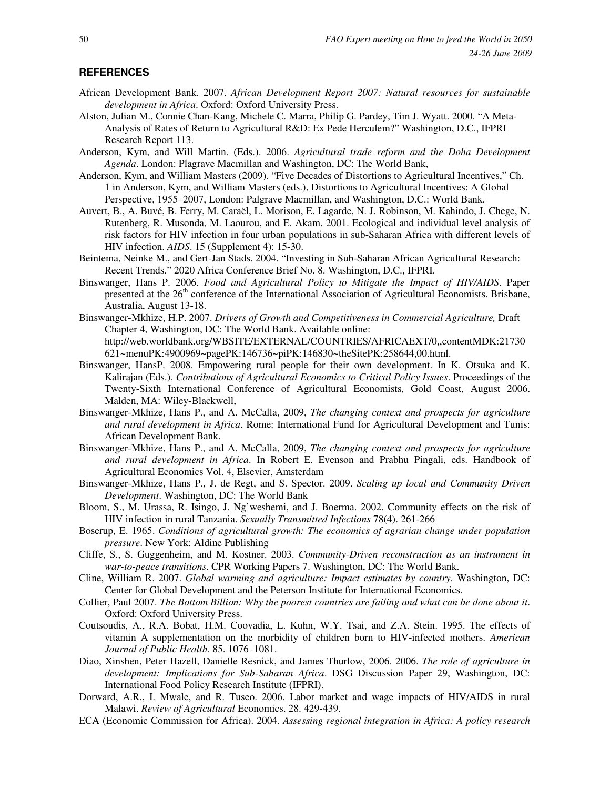#### **REFERENCES**

- African Development Bank. 2007. *African Development Report 2007: Natural resources for sustainable development in Africa*. Oxford: Oxford University Press.
- Alston, Julian M., Connie Chan-Kang, Michele C. Marra, Philip G. Pardey, Tim J. Wyatt. 2000. "A Meta-Analysis of Rates of Return to Agricultural R&D: Ex Pede Herculem?" Washington, D.C., IFPRI Research Report 113.
- Anderson, Kym, and Will Martin. (Eds.). 2006. *Agricultural trade reform and the Doha Development Agenda*. London: Plagrave Macmillan and Washington, DC: The World Bank,
- Anderson, Kym, and William Masters (2009). "Five Decades of Distortions to Agricultural Incentives," Ch. 1 in Anderson, Kym, and William Masters (eds.), Distortions to Agricultural Incentives: A Global Perspective, 1955–2007, London: Palgrave Macmillan, and Washington, D.C.: World Bank.
- Auvert, B., A. Buvé, B. Ferry, M. Caraël, L. Morison, E. Lagarde, N. J. Robinson, M. Kahindo, J. Chege, N. Rutenberg, R. Musonda, M. Laourou, and E. Akam. 2001. Ecological and individual level analysis of risk factors for HIV infection in four urban populations in sub-Saharan Africa with different levels of HIV infection. *AIDS*. 15 (Supplement 4): 15-30.
- Beintema, Neinke M., and Gert-Jan Stads. 2004. "Investing in Sub-Saharan African Agricultural Research: Recent Trends." 2020 Africa Conference Brief No. 8. Washington, D.C., IFPRI.
- Binswanger, Hans P. 2006. *Food and Agricultural Policy to Mitigate the Impact of HIV/AIDS*. Paper presented at the  $26<sup>th</sup>$  conference of the International Association of Agricultural Economists. Brisbane, Australia, August 13-18.
- Binswanger-Mkhize, H.P. 2007. *Drivers of Growth and Competitiveness in Commercial Agriculture,* Draft Chapter 4, Washington, DC: The World Bank. Available online: http://web.worldbank.org/WBSITE/EXTERNAL/COUNTRIES/AFRICAEXT/0,,contentMDK:21730 621~menuPK:4900969~pagePK:146736~piPK:146830~theSitePK:258644,00.html.
- Binswanger, HansP. 2008. Empowering rural people for their own development. In K. Otsuka and K. Kalirajan (Eds.). *Contributions of Agricultural Economics to Critical Policy Issues*. Proceedings of the Twenty-Sixth International Conference of Agricultural Economists, Gold Coast, August 2006. Malden, MA: Wiley-Blackwell,
- Binswanger-Mkhize, Hans P., and A. McCalla, 2009, *The changing context and prospects for agriculture and rural development in Africa*. Rome: International Fund for Agricultural Development and Tunis: African Development Bank.
- Binswanger-Mkhize, Hans P., and A. McCalla, 2009, *The changing context and prospects for agriculture and rural development in Africa*. In Robert E. Evenson and Prabhu Pingali, eds. Handbook of Agricultural Economics Vol. 4, Elsevier, Amsterdam
- Binswanger-Mkhize, Hans P., J. de Regt, and S. Spector. 2009. *Scaling up local and Community Driven Development*. Washington, DC: The World Bank
- Bloom, S., M. Urassa, R. Isingo, J. Ng'weshemi, and J. Boerma. 2002. Community effects on the risk of HIV infection in rural Tanzania. *Sexually Transmitted Infections* 78(4). 261-266
- Boserup, E. 1965. *Conditions of agricultural growth: The economics of agrarian change under population pressure*. New York: Aldine Publishing
- Cliffe, S., S. Guggenheim, and M. Kostner. 2003. *Community-Driven reconstruction as an instrument in war-to-peace transitions*. CPR Working Papers 7. Washington, DC: The World Bank.
- Cline, William R. 2007. *Global warming and agriculture: Impact estimates by country*. Washington, DC: Center for Global Development and the Peterson Institute for International Economics.
- Collier, Paul 2007. *The Bottom Billion: Why the poorest countries are failing and what can be done about it*. Oxford: Oxford University Press.
- Coutsoudis, A., R.A. Bobat, H.M. Coovadia, L. Kuhn, W.Y. Tsai, and Z.A. Stein. 1995. The effects of vitamin A supplementation on the morbidity of children born to HIV-infected mothers. *American Journal of Public Health*. 85. 1076–1081.
- Diao, Xinshen, Peter Hazell, Danielle Resnick, and James Thurlow, 2006. 2006. *The role of agriculture in development: Implications for Sub-Saharan Africa*. DSG Discussion Paper 29, Washington, DC: International Food Policy Research Institute (IFPRI).
- Dorward, A.R., I. Mwale, and R. Tuseo. 2006. Labor market and wage impacts of HIV/AIDS in rural Malawi. *Review of Agricultural* Economics. 28. 429-439.
- ECA (Economic Commission for Africa). 2004. *Assessing regional integration in Africa: A policy research*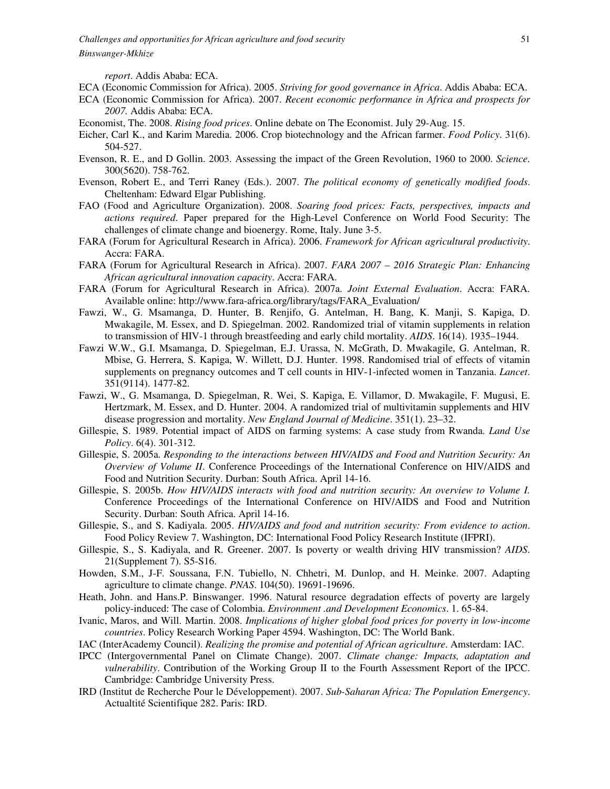*report*. Addis Ababa: ECA.

- ECA (Economic Commission for Africa). 2005. *Striving for good governance in Africa*. Addis Ababa: ECA.
- ECA (Economic Commission for Africa). 2007. *Recent economic performance in Africa and prospects for 2007.* Addis Ababa: ECA.
- Economist, The. 2008. *Rising food prices*. Online debate on The Economist. July 29-Aug. 15.
- Eicher, Carl K., and Karim Maredia. 2006. Crop biotechnology and the African farmer. *Food Policy*. 31(6). 504-527.
- Evenson, R. E., and D Gollin. 2003. Assessing the impact of the Green Revolution, 1960 to 2000. *Science*. 300(5620). 758-762.
- Evenson, Robert E., and Terri Raney (Eds.). 2007. *The political economy of genetically modified foods*. Cheltenham: Edward Elgar Publishing.
- FAO (Food and Agriculture Organization). 2008. *Soaring food prices: Facts, perspectives, impacts and actions required*. Paper prepared for the High-Level Conference on World Food Security: The challenges of climate change and bioenergy. Rome, Italy. June 3-5.
- FARA (Forum for Agricultural Research in Africa). 2006. *Framework for African agricultural productivity*. Accra: FARA.
- FARA (Forum for Agricultural Research in Africa). 2007. *FARA 2007 2016 Strategic Plan: Enhancing African agricultural innovation capacity*. Accra: FARA.
- FARA (Forum for Agricultural Research in Africa). 2007a. *Joint External Evaluation*. Accra: FARA. Available online: http://www.fara-africa.org/library/tags/FARA\_Evaluation/
- Fawzi, W., G. Msamanga, D. Hunter, B. Renjifo, G. Antelman, H. Bang, K. Manji, S. Kapiga, D. Mwakagile, M. Essex, and D. Spiegelman. 2002. Randomized trial of vitamin supplements in relation to transmission of HIV-1 through breastfeeding and early child mortality. *AIDS*. 16(14). 1935–1944.
- Fawzi W.W., G.I. Msamanga, D. Spiegelman, E.J. Urassa, N. McGrath, D. Mwakagile, G. Antelman, R. Mbise, G. Herrera, S. Kapiga, W. Willett, D.J. Hunter. 1998. Randomised trial of effects of vitamin supplements on pregnancy outcomes and T cell counts in HIV-1-infected women in Tanzania. *Lancet*. 351(9114). 1477-82.
- Fawzi, W., G. Msamanga, D. Spiegelman, R. Wei, S. Kapiga, E. Villamor, D. Mwakagile, F. Mugusi, E. Hertzmark, M. Essex, and D. Hunter. 2004. A randomized trial of multivitamin supplements and HIV disease progression and mortality. *New England Journal of Medicine*. 351(1). 23–32.
- Gillespie, S. 1989. Potential impact of AIDS on farming systems: A case study from Rwanda. *Land Use Policy*. 6(4). 301-312.
- Gillespie, S. 2005a. *Responding to the interactions between HIV/AIDS and Food and Nutrition Security: An Overview of Volume II*. Conference Proceedings of the International Conference on HIV/AIDS and Food and Nutrition Security. Durban: South Africa. April 14-16.
- Gillespie, S. 2005b. *How HIV/AIDS interacts with food and nutrition security: An overview to Volume I.* Conference Proceedings of the International Conference on HIV/AIDS and Food and Nutrition Security. Durban: South Africa. April 14-16.
- Gillespie, S., and S. Kadiyala. 2005. *HIV/AIDS and food and nutrition security: From evidence to action*. Food Policy Review 7. Washington, DC: International Food Policy Research Institute (IFPRI).
- Gillespie, S., S. Kadiyala, and R. Greener. 2007. Is poverty or wealth driving HIV transmission? *AIDS*. 21(Supplement 7). S5-S16.
- Howden, S.M., J-F. Soussana, F.N. Tubiello, N. Chhetri, M. Dunlop, and H. Meinke. 2007. Adapting agriculture to climate change. *PNAS*. 104(50). 19691-19696.
- Heath, John. and Hans.P. Binswanger. 1996. Natural resource degradation effects of poverty are largely policy-induced: The case of Colombia. *Environment .and Development Economics*. 1. 65-84.
- Ivanic, Maros, and Will. Martin. 2008. *Implications of higher global food prices for poverty in low-income countries*. Policy Research Working Paper 4594. Washington, DC: The World Bank.
- IAC (InterAcademy Council). *Realizing the promise and potential of African agriculture*. Amsterdam: IAC.
- IPCC (Intergovernmental Panel on Climate Change). 2007. *Climate change: Impacts, adaptation and vulnerability*. Contribution of the Working Group II to the Fourth Assessment Report of the IPCC. Cambridge: Cambridge University Press.
- IRD (Institut de Recherche Pour le Développement). 2007. *Sub-Saharan Africa: The Population Emergency*. Actualtité Scientifique 282. Paris: IRD.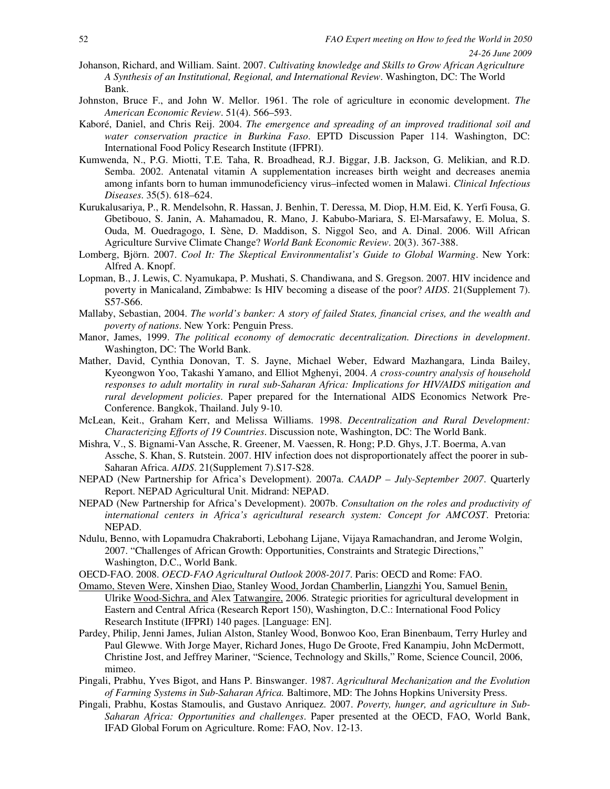- Johanson, Richard, and William. Saint. 2007. *Cultivating knowledge and Skills to Grow African Agriculture A Synthesis of an Institutional, Regional, and International Review*. Washington, DC: The World Bank.
- Johnston, Bruce F., and John W. Mellor. 1961. The role of agriculture in economic development. *The American Economic Review*. 51(4). 566–593.
- Kaboré, Daniel, and Chris Reij. 2004. *The emergence and spreading of an improved traditional soil and water conservation practice in Burkina Faso*. EPTD Discussion Paper 114. Washington, DC: International Food Policy Research Institute (IFPRI).
- Kumwenda, N., P.G. Miotti, T.E. Taha, R. Broadhead, R.J. Biggar, J.B. Jackson, G. Melikian, and R.D. Semba. 2002. Antenatal vitamin A supplementation increases birth weight and decreases anemia among infants born to human immunodeficiency virus–infected women in Malawi. *Clinical Infectious Diseases*. 35(5). 618–624.
- Kurukalusariya, P., R. Mendelsohn, R. Hassan, J. Benhin, T. Deressa, M. Diop, H.M. Eid, K. Yerfi Fousa, G. Gbetibouo, S. Janin, A. Mahamadou, R. Mano, J. Kabubo-Mariara, S. El-Marsafawy, E. Molua, S. Ouda, M. Ouedragogo, I. Sène, D. Maddison, S. Niggol Seo, and A. Dinal. 2006. Will African Agriculture Survive Climate Change? *World Bank Economic Review*. 20(3). 367-388.
- Lomberg, Björn. 2007. *Cool It: The Skeptical Environmentalist's Guide to Global Warming*. New York: Alfred A. Knopf.
- Lopman, B., J. Lewis, C. Nyamukapa, P. Mushati, S. Chandiwana, and S. Gregson. 2007. HIV incidence and poverty in Manicaland, Zimbabwe: Is HIV becoming a disease of the poor? *AIDS*. 21(Supplement 7). S57-S66.
- Mallaby, Sebastian, 2004. *The world's banker: A story of failed States, financial crises, and the wealth and poverty of nations*. New York: Penguin Press.
- Manor, James, 1999. *The political economy of democratic decentralization. Directions in development*. Washington, DC: The World Bank.
- Mather, David, Cynthia Donovan, T. S. Jayne, Michael Weber, Edward Mazhangara, Linda Bailey, Kyeongwon Yoo, Takashi Yamano, and Elliot Mghenyi, 2004. *A cross-country analysis of household responses to adult mortality in rural sub-Saharan Africa: Implications for HIV/AIDS mitigation and rural development policies*. Paper prepared for the International AIDS Economics Network Pre-Conference. Bangkok, Thailand. July 9-10.
- McLean, Keit., Graham Kerr, and Melissa Williams. 1998. *Decentralization and Rural Development: Characterizing Efforts of 19 Countries*. Discussion note, Washington, DC: The World Bank.
- Mishra, V., S. Bignami-Van Assche, R. Greener, M. Vaessen, R. Hong; P.D. Ghys, J.T. Boerma, A.van Assche, S. Khan, S. Rutstein. 2007. HIV infection does not disproportionately affect the poorer in sub-Saharan Africa. *AIDS*. 21(Supplement 7).S17-S28.
- NEPAD (New Partnership for Africa's Development). 2007a. *CAADP July-September 2007*. Quarterly Report. NEPAD Agricultural Unit. Midrand: NEPAD.
- NEPAD (New Partnership for Africa's Development). 2007b. *Consultation on the roles and productivity of international centers in Africa's agricultural research system: Concept for AMCOST*. Pretoria: NEPAD.
- Ndulu, Benno, with Lopamudra Chakraborti, Lebohang Lijane, Vijaya Ramachandran, and Jerome Wolgin, 2007. "Challenges of African Growth: Opportunities, Constraints and Strategic Directions," Washington, D.C., World Bank.
- OECD-FAO. 2008. *OECD-FAO Agricultural Outlook 2008-2017*. Paris: OECD and Rome: FAO.
- Omamo, Steven Were, Xinshen Diao, Stanley Wood, Jordan Chamberlin, Liangzhi You, Samuel Benin, Ulrike Wood-Sichra, and Alex Tatwangire, 2006. Strategic priorities for agricultural development in Eastern and Central Africa (Research Report 150), Washington, D.C.: International Food Policy Research Institute (IFPRI) 140 pages. [Language: EN].
- Pardey, Philip, Jenni James, Julian Alston, Stanley Wood, Bonwoo Koo, Eran Binenbaum, Terry Hurley and Paul Glewwe. With Jorge Mayer, Richard Jones, Hugo De Groote, Fred Kanampiu, John McDermott, Christine Jost, and Jeffrey Mariner, "Science, Technology and Skills," Rome, Science Council, 2006, mimeo.
- Pingali, Prabhu, Yves Bigot, and Hans P. Binswanger. 1987. *Agricultural Mechanization and the Evolution of Farming Systems in Sub-Saharan Africa.* Baltimore, MD: The Johns Hopkins University Press.
- Pingali, Prabhu, Kostas Stamoulis, and Gustavo Anriquez. 2007. *Poverty, hunger, and agriculture in Sub-Saharan Africa: Opportunities and challenges*. Paper presented at the OECD, FAO, World Bank, IFAD Global Forum on Agriculture. Rome: FAO, Nov. 12-13.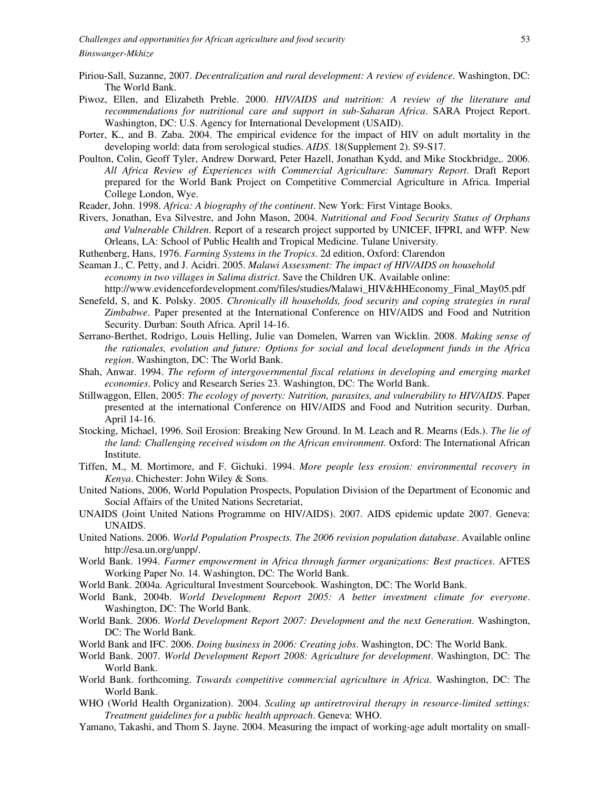- Piriou-Sall, Suzanne, 2007. *Decentralization and rural development: A review of evidence*. Washington, DC: The World Bank.
- Piwoz, Ellen, and Elizabeth Preble. 2000. *HIV/AIDS and nutrition: A review of the literature and recommendations for nutritional care and support in sub-Saharan Africa*. SARA Project Report. Washington, DC: U.S. Agency for International Development (USAID).
- Porter, K., and B. Zaba. 2004. The empirical evidence for the impact of HIV on adult mortality in the developing world: data from serological studies. *AIDS*. 18(Supplement 2). S9-S17.
- Poulton, Colin, Geoff Tyler, Andrew Dorward, Peter Hazell, Jonathan Kydd, and Mike Stockbridge,. 2006. *All Africa Review of Experiences with Commercial Agriculture: Summary Report*. Draft Report prepared for the World Bank Project on Competitive Commercial Agriculture in Africa. Imperial College London, Wye.
- Reader, John. 1998. *Africa: A biography of the continent*. New York: First Vintage Books.
- Rivers, Jonathan, Eva Silvestre, and John Mason, 2004. *Nutritional and Food Security Status of Orphans and Vulnerable Children*. Report of a research project supported by UNICEF, IFPRI, and WFP. New Orleans, LA: School of Public Health and Tropical Medicine. Tulane University.
- Ruthenberg, Hans, 1976. *Farming Systems in the Tropics*. 2d edition, Oxford: Clarendon
- Seaman J., C. Petty, and J. Acidri. 2005. *Malawi Assessment: The impact of HIV/AIDS on household economy in two villages in Salima district*. Save the Children UK. Available online: http://www.evidencefordevelopment.com/files/studies/Malawi\_HIV&HHEconomy\_Final\_May05.pdf
- Senefeld, S, and K. Polsky. 2005. *Chronically ill households, food security and coping strategies in rural Zimbabwe*. Paper presented at the International Conference on HIV/AIDS and Food and Nutrition Security. Durban: South Africa. April 14-16.
- Serrano-Berthet, Rodrigo, Louis Helling, Julie van Domelen, Warren van Wicklin. 2008. *Making sense of the rationales, evolution and future: Options for social and local development funds in the Africa region*. Washington, DC: The World Bank.
- Shah, Anwar. 1994. *The reform of intergovernmental fiscal relations in developing and emerging market economies*. Policy and Research Series 23. Washington, DC: The World Bank.
- Stillwaggon, Ellen, 2005: *The ecology of poverty: Nutrition, parasites, and vulnerability to HIV/AIDS*. Paper presented at the international Conference on HIV/AIDS and Food and Nutrition security. Durban, April 14-16.
- Stocking, Michael, 1996. Soil Erosion: Breaking New Ground. In M. Leach and R. Mearns (Eds.). *The lie of the land: Challenging received wisdom on the African environment.* Oxford: The International African Institute.
- Tiffen, M., M. Mortimore, and F. Gichuki. 1994. *More people less erosion: environmental recovery in Kenya*. Chichester: John Wiley & Sons.
- United Nations, 2006, World Population Prospects, Population Division of the Department of Economic and Social Affairs of the United Nations Secretariat,
- UNAIDS (Joint United Nations Programme on HIV/AIDS). 2007. AIDS epidemic update 2007. Geneva: UNAIDS.
- United Nations. 2006. *World Population Prospects. The 2006 revision population database*. Available online http://esa.un.org/unpp/.
- World Bank. 1994. *Farmer empowerment in Africa through farmer organizations: Best practices*. AFTES Working Paper No. 14. Washington, DC: The World Bank.
- World Bank. 2004a. Agricultural Investment Sourcebook. Washington, DC: The World Bank.
- World Bank, 2004b. *World Development Report 2005: A better investment climate for everyone*. Washington, DC: The World Bank.
- World Bank. 2006. *World Development Report 2007: Development and the next Generation*. Washington, DC: The World Bank.
- World Bank and IFC. 2006. *Doing business in 2006: Creating jobs*. Washington, DC: The World Bank.
- World Bank. 2007. *World Development Report 2008: Agriculture for development*. Washington, DC: The World Bank.
- World Bank. forthcoming. *Towards competitive commercial agriculture in Africa*. Washington, DC: The World Bank.
- WHO (World Health Organization). 2004. *Scaling up antiretroviral therapy in resource-limited settings: Treatment guidelines for a public health approach*. Geneva: WHO.
- Yamano, Takashi, and Thom S. Jayne. 2004. Measuring the impact of working-age adult mortality on small-